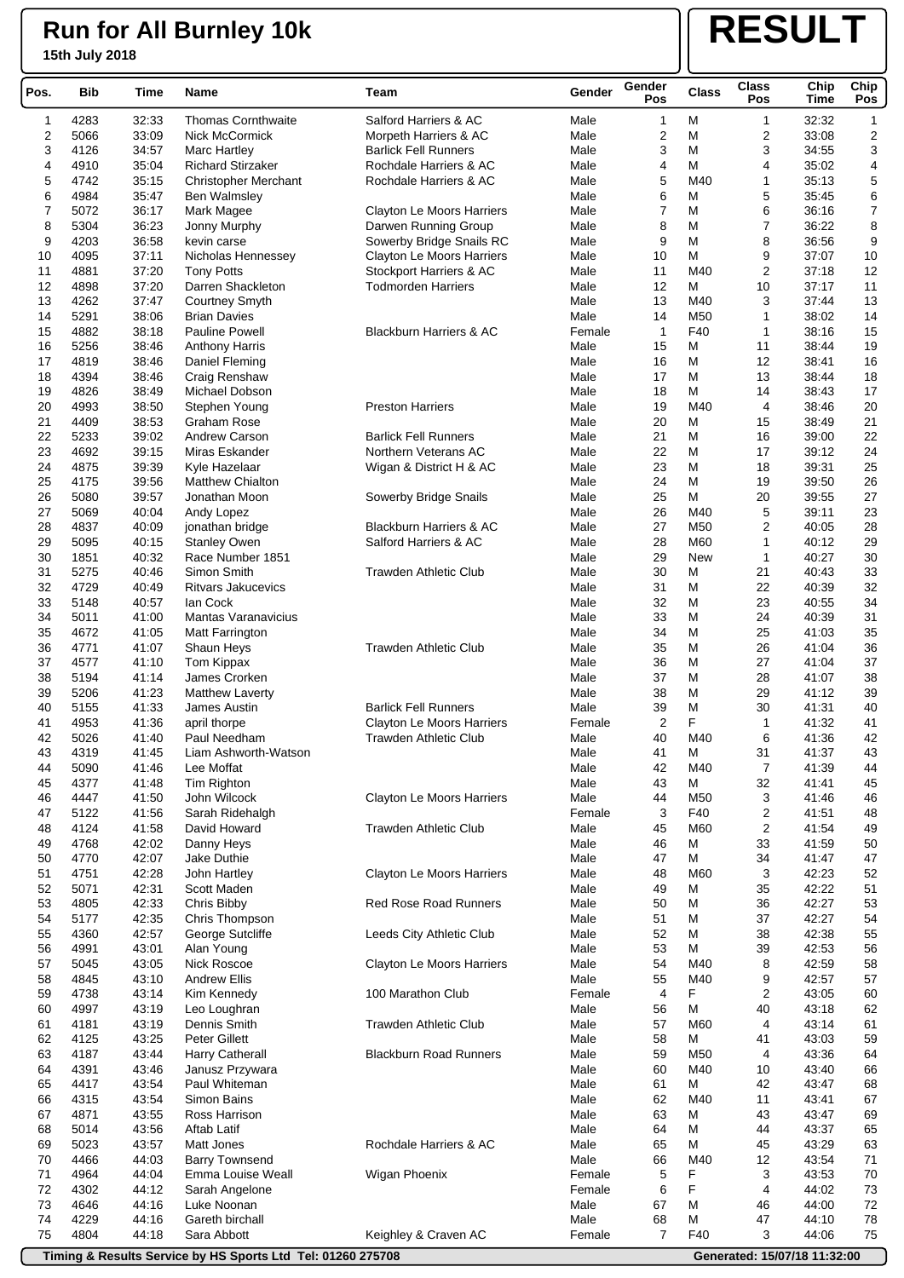## **Run for All Burnley 10k**

### **15th July 2018**

# **RESULT**

| Pos.     | <b>Bib</b>   | Time           | Name                            | Team                               | Gender       | Gender<br>Pos           | <b>Class</b>    | <b>Class</b><br>Pos | Chip<br>Time   | Chip<br>Pos             |
|----------|--------------|----------------|---------------------------------|------------------------------------|--------------|-------------------------|-----------------|---------------------|----------------|-------------------------|
| 1        | 4283         | 32:33          | <b>Thomas Cornthwaite</b>       | Salford Harriers & AC              | Male         | 1                       | М               | 1                   | 32:32          | 1                       |
| 2        | 5066         | 33:09          | <b>Nick McCormick</b>           | Morpeth Harriers & AC              | Male         | $\overline{\mathbf{c}}$ | М               | 2                   | 33:08          | $\overline{\mathbf{c}}$ |
| 3        | 4126         | 34:57          | <b>Marc Hartley</b>             | <b>Barlick Fell Runners</b>        | Male         | 3                       | M               | 3                   | 34:55          | 3                       |
| 4        | 4910         | 35:04          | <b>Richard Stirzaker</b>        | Rochdale Harriers & AC             | Male         | 4                       | M               | 4                   | 35:02          | 4                       |
| 5        | 4742         | 35:15          | <b>Christopher Merchant</b>     | Rochdale Harriers & AC             | Male         | 5                       | M40             | 1                   | 35:13          | 5                       |
| 6        | 4984         | 35:47          | <b>Ben Walmsley</b>             |                                    | Male         | 6                       | М               | 5                   | 35:45          | 6                       |
| 7        | 5072         | 36:17          | Mark Magee                      | Clayton Le Moors Harriers          | Male         | $\overline{7}$          | М               | 6                   | 36:16          | $\overline{7}$          |
| 8        | 5304         | 36:23          | Jonny Murphy                    | Darwen Running Group               | Male         | 8                       | M               | 7                   | 36:22          | 8                       |
| 9        | 4203         | 36:58          | kevin carse                     | Sowerby Bridge Snails RC           | Male         | 9                       | M               | 8                   | 36:56          | 9                       |
| 10       | 4095         | 37:11          | Nicholas Hennessey              | <b>Clayton Le Moors Harriers</b>   | Male         | 10                      | M               | 9                   | 37:07          | 10                      |
| 11       | 4881         | 37:20          | <b>Tony Potts</b>               | Stockport Harriers & AC            | Male         | 11                      | M40             | 2                   | 37:18          | 12                      |
| 12       | 4898         | 37:20          | Darren Shackleton               | <b>Todmorden Harriers</b>          | Male         | 12                      | М               | 10                  | 37:17          | 11                      |
| 13       | 4262         | 37:47          | Courtney Smyth                  |                                    | Male         | 13                      | M40             | 3                   | 37:44          | 13                      |
| 14       | 5291         | 38:06          | <b>Brian Davies</b>             |                                    | Male         | 14                      | M50             | 1                   | 38:02          | 14                      |
| 15       | 4882         | 38:18          | <b>Pauline Powell</b>           | <b>Blackburn Harriers &amp; AC</b> | Female       | 1                       | F40             | 1                   | 38:16          | 15                      |
| 16       | 5256         | 38:46          | <b>Anthony Harris</b>           |                                    | Male         | 15                      | М               | 11                  | 38:44          | 19                      |
| 17       | 4819         | 38:46          | Daniel Fleming                  |                                    | Male         | 16                      | М               | 12                  | 38:41          | 16                      |
| 18       | 4394         | 38:46          | Craig Renshaw                   |                                    | Male         | 17<br>18                | М<br>M          | 13<br>14            | 38:44<br>38:43 | 18<br>17                |
| 19<br>20 | 4826<br>4993 | 38:49<br>38:50 | Michael Dobson<br>Stephen Young | <b>Preston Harriers</b>            | Male<br>Male | 19                      | M40             | 4                   | 38:46          | 20                      |
| 21       | 4409         | 38:53          | Graham Rose                     |                                    | Male         | 20                      | M               | 15                  | 38:49          | 21                      |
| 22       | 5233         | 39:02          | <b>Andrew Carson</b>            | <b>Barlick Fell Runners</b>        | Male         | 21                      | М               | 16                  | 39:00          | 22                      |
| 23       | 4692         | 39:15          | Miras Eskander                  | Northern Veterans AC               | Male         | 22                      | М               | 17                  | 39:12          | 24                      |
| 24       | 4875         | 39:39          | Kyle Hazelaar                   | Wigan & District H & AC            | Male         | 23                      | M               | 18                  | 39:31          | 25                      |
| 25       | 4175         | 39:56          | <b>Matthew Chialton</b>         |                                    | Male         | 24                      | M               | 19                  | 39:50          | 26                      |
| 26       | 5080         | 39:57          | Jonathan Moon                   | Sowerby Bridge Snails              | Male         | 25                      | M               | 20                  | 39:55          | 27                      |
| 27       | 5069         | 40:04          | Andy Lopez                      |                                    | Male         | 26                      | M40             | 5                   | 39:11          | 23                      |
| 28       | 4837         | 40:09          | jonathan bridge                 | <b>Blackburn Harriers &amp; AC</b> | Male         | 27                      | M <sub>50</sub> | 2                   | 40:05          | 28                      |
| 29       | 5095         | 40:15          | <b>Stanley Owen</b>             | Salford Harriers & AC              | Male         | 28                      | M60             | 1                   | 40:12          | 29                      |
| 30       | 1851         | 40:32          | Race Number 1851                |                                    | Male         | 29                      | <b>New</b>      | 1                   | 40:27          | 30                      |
| 31       | 5275         | 40:46          | Simon Smith                     | <b>Trawden Athletic Club</b>       | Male         | 30                      | М               | 21                  | 40:43          | 33                      |
| 32       | 4729         | 40:49          | <b>Ritvars Jakucevics</b>       |                                    | Male         | 31                      | М               | 22                  | 40:39          | 32                      |
| 33       | 5148         | 40:57          | lan Cock                        |                                    | Male         | 32                      | M               | 23                  | 40:55          | 34                      |
| 34       | 5011         | 41:00          | <b>Mantas Varanavicius</b>      |                                    | Male         | 33                      | M               | 24                  | 40:39          | 31                      |
| 35       | 4672         | 41:05          | Matt Farrington                 |                                    | Male         | 34                      | М               | 25                  | 41:03          | 35                      |
| 36       | 4771         | 41:07          | Shaun Heys                      | <b>Trawden Athletic Club</b>       | Male         | 35                      | M               | 26                  | 41:04          | 36                      |
| 37       | 4577         | 41:10          | Tom Kippax                      |                                    | Male         | 36                      | M               | 27                  | 41:04          | 37                      |
| 38       | 5194         | 41:14          | James Crorken                   |                                    | Male         | 37                      | М               | 28                  | 41:07          | 38                      |
| 39       | 5206         | 41:23          | <b>Matthew Laverty</b>          |                                    | Male         | 38                      | M               | 29                  | 41:12          | 39                      |
| 40       | 5155         | 41:33          | James Austin                    | <b>Barlick Fell Runners</b>        | Male         | 39                      | M               | 30                  | 41:31          | 40                      |
| 41       | 4953         | 41:36          | april thorpe                    | Clayton Le Moors Harriers          | Female       | 2                       | F               | 1                   | 41:32          | 41                      |
| 42       | 5026         | 41:40          | Paul Needham                    | <b>Trawden Athletic Club</b>       | Male         | 40                      | M40             | 6                   | 41:36          | 42                      |
| 43       | 4319         | 41:45          | Liam Ashworth-Watson            |                                    | Male         | 41                      | M               | 31                  | 41:37          | 43                      |
| 44       | 5090         | 41:46          | Lee Moffat                      |                                    | Male         | 42                      | M40             | 7                   | 41:39          | 44                      |
| 45       | 4377         | 41:48          | Tim Righton                     |                                    | Male         | 43                      | м               | 32                  | 41:41          | 45                      |
| 46       | 4447         | 41:50          | John Wilcock                    | Clayton Le Moors Harriers          | Male         | 44                      | M <sub>50</sub> | 3                   | 41:46          | 46                      |
| 47       | 5122         | 41:56          | Sarah Ridehalgh                 |                                    | Female       | 3                       | F40             | 2                   | 41:51          | 48                      |
| 48       | 4124         | 41:58          | David Howard                    | <b>Trawden Athletic Club</b>       | Male         | 45                      | M60             | 2                   | 41:54          | 49                      |
| 49       | 4768         | 42:02          | Danny Heys                      |                                    | Male         | 46                      | M               | 33                  | 41:59          | 50                      |
| 50       | 4770         | 42:07          | Jake Duthie                     |                                    | Male         | 47                      | M               | 34                  | 41:47          | 47                      |
| 51       | 4751         | 42:28          | John Hartley                    | Clayton Le Moors Harriers          | Male         | 48                      | M60             | 3                   | 42:23          | 52                      |
| 52       | 5071         | 42:31          | Scott Maden                     |                                    | Male         | 49                      | М               | 35                  | 42:22          | 51                      |
| 53<br>54 | 4805<br>5177 | 42:33<br>42:35 | Chris Bibby<br>Chris Thompson   | <b>Red Rose Road Runners</b>       | Male<br>Male | 50<br>51                | М<br>М          | 36<br>37            | 42:27<br>42:27 | 53<br>54                |
| 55       | 4360         | 42:57          | George Sutcliffe                | Leeds City Athletic Club           | Male         | 52                      | М               | 38                  | 42:38          | 55                      |
| 56       | 4991         | 43:01          | Alan Young                      |                                    | Male         | 53                      | M               | 39                  | 42:53          | 56                      |
| 57       | 5045         | 43:05          | <b>Nick Roscoe</b>              | <b>Clayton Le Moors Harriers</b>   | Male         | 54                      | M40             | 8                   | 42:59          | 58                      |
| 58       | 4845         | 43:10          | <b>Andrew Ellis</b>             |                                    | Male         | 55                      | M40             | 9                   | 42:57          | 57                      |
| 59       | 4738         | 43:14          | Kim Kennedy                     | 100 Marathon Club                  | Female       | 4                       | F               | 2                   | 43:05          | 60                      |
| 60       | 4997         | 43:19          | Leo Loughran                    |                                    | Male         | 56                      | M               | 40                  | 43:18          | 62                      |
| 61       | 4181         | 43:19          | Dennis Smith                    | <b>Trawden Athletic Club</b>       | Male         | 57                      | M60             | 4                   | 43:14          | 61                      |
| 62       | 4125         | 43:25          | <b>Peter Gillett</b>            |                                    | Male         | 58                      | м               | 41                  | 43:03          | 59                      |
| 63       | 4187         | 43:44          | <b>Harry Catherall</b>          | <b>Blackburn Road Runners</b>      | Male         | 59                      | M <sub>50</sub> | 4                   | 43:36          | 64                      |
| 64       | 4391         | 43:46          | Janusz Przywara                 |                                    | Male         | 60                      | M40             | 10                  | 43:40          | 66                      |
| 65       | 4417         | 43:54          | Paul Whiteman                   |                                    | Male         | 61                      | М               | 42                  | 43:47          | 68                      |
| 66       | 4315         | 43:54          | Simon Bains                     |                                    | Male         | 62                      | M40             | 11                  | 43:41          | 67                      |
| 67       | 4871         | 43:55          | Ross Harrison                   |                                    | Male         | 63                      | M               | 43                  | 43:47          | 69                      |
| 68       | 5014         | 43:56          | Aftab Latif                     |                                    | Male         | 64                      | M               | 44                  | 43:37          | 65                      |
| 69       | 5023         | 43:57          | Matt Jones                      | Rochdale Harriers & AC             | Male         | 65                      | М               | 45                  | 43:29          | 63                      |
| 70       | 4466         | 44:03          | <b>Barry Townsend</b>           |                                    | Male         | 66                      | M40             | 12                  | 43:54          | 71                      |
| 71       | 4964         | 44:04          | Emma Louise Weall               | Wigan Phoenix                      | Female       | 5                       | F               | 3                   | 43:53          | 70                      |
| 72       | 4302         | 44:12          | Sarah Angelone                  |                                    | Female       | 6                       | F               | 4                   | 44:02          | 73                      |
| 73       | 4646         | 44:16          | Luke Noonan                     |                                    | Male         | 67                      | М               | 46                  | 44:00          | 72                      |
| 74       | 4229         | 44:16          | Gareth birchall                 |                                    | Male         | 68                      | М               | 47                  | 44:10          | 78                      |
| 75       | 4804         | 44:18          | Sara Abbott                     | Keighley & Craven AC               | Female       | $\overline{7}$          | F40             | 3                   | 44:06          | 75                      |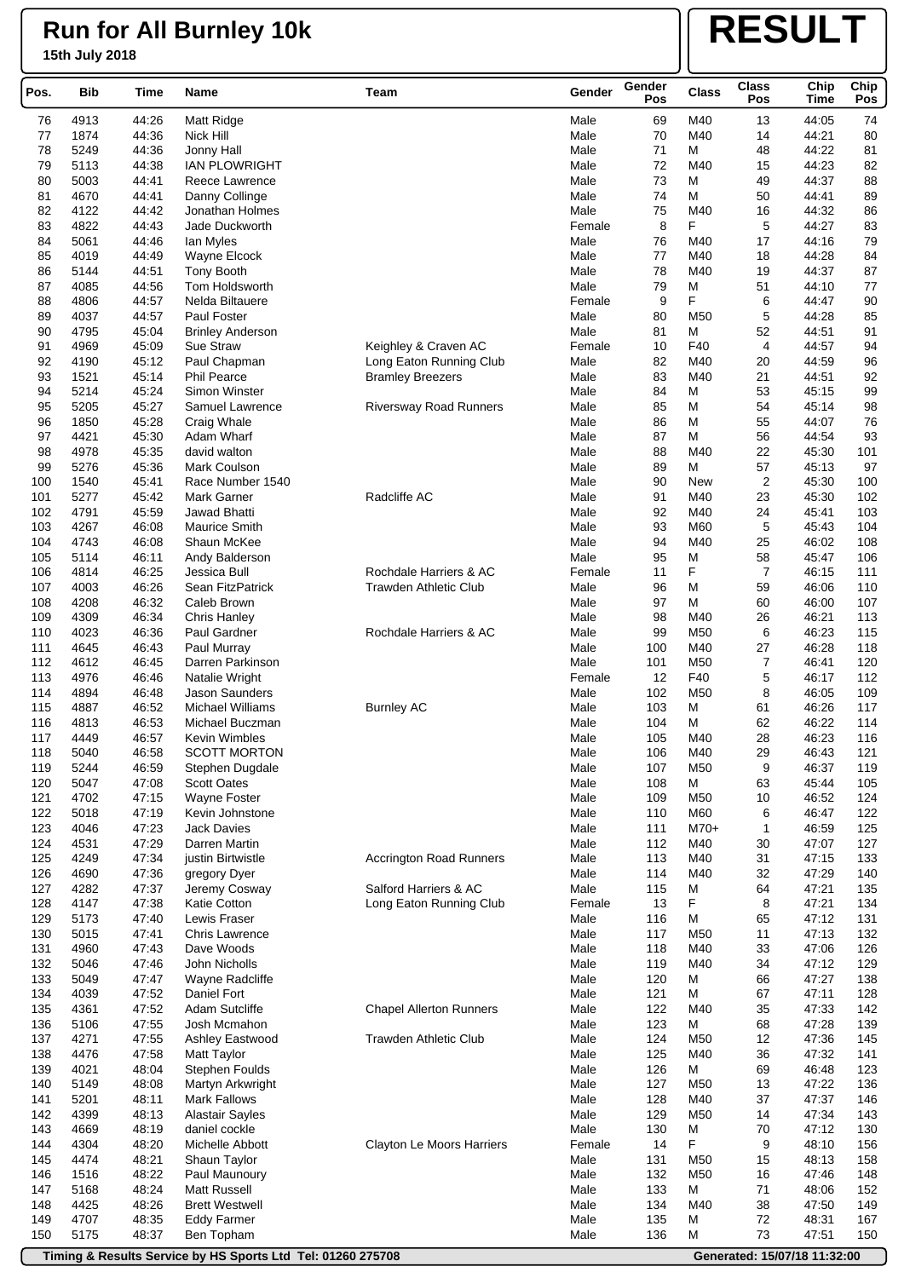# **RESULT**

| M40<br>Matt Ridge<br>Male<br>69<br>44:05<br>74<br>4913<br>44:26<br>13<br>76<br>1874<br>M40<br>44:21<br>77<br>44:36<br>Nick Hill<br>Male<br>70<br>14<br>80<br>78<br>71<br>M<br>44:22<br>5249<br>44:36<br>Jonny Hall<br>Male<br>48<br>81<br>79<br>72<br>M40<br>44:23<br>82<br>5113<br>44:38<br><b>IAN PLOWRIGHT</b><br>Male<br>15<br>44:37<br>80<br>5003<br>44:41<br>Male<br>73<br>М<br>49<br>88<br>Reece Lawrence<br>74<br>M<br>44:41<br>89<br>81<br>4670<br>44:41<br>Danny Collinge<br>Male<br>50<br>82<br>44:32<br>4122<br>44:42<br>Male<br>75<br>M40<br>16<br>86<br>Jonathan Holmes<br>F<br>5<br>44:27<br>83<br>4822<br>44:43<br>Jade Duckworth<br>Female<br>8<br>83<br>84<br>M40<br>79<br>5061<br>44:46<br>Male<br>76<br>17<br>44:16<br>lan Myles<br>85<br>44:28<br>4019<br>44:49<br>Male<br>77<br>M40<br>18<br>84<br>Wayne Elcock<br>86<br>78<br>44:37<br>87<br>5144<br>44:51<br>Male<br>M40<br>19<br><b>Tony Booth</b><br>M<br>51<br>87<br>4085<br>44:56<br>Tom Holdsworth<br>Male<br>79<br>44:10<br>77<br>F<br>88<br>44:47<br>4806<br>44:57<br>Nelda Biltauere<br>Female<br>9<br>6<br>90<br>5<br>89<br>4037<br>44:57<br>Paul Foster<br>Male<br>80<br>M50<br>44:28<br>85<br>90<br>44:51<br>4795<br>45:04<br>Male<br>81<br>М<br>52<br>91<br><b>Brinley Anderson</b><br>F40<br>$\overline{4}$<br>91<br>4969<br>45:09<br>Sue Straw<br>Keighley & Craven AC<br>Female<br>10<br>44:57<br>94<br>92<br>82<br>44:59<br>96<br>4190<br>45:12<br>Paul Chapman<br>Long Eaton Running Club<br>Male<br>M40<br>20<br>93<br>1521<br>45:14<br><b>Phil Pearce</b><br>Male<br>83<br>M40<br>21<br>44:51<br>92<br><b>Bramley Breezers</b><br>94<br>5214<br>Simon Winster<br>45:15<br>99<br>45:24<br>Male<br>84<br>М<br>53<br>95<br>5205<br>85<br>98<br>45:27<br>Samuel Lawrence<br>Male<br>M<br>54<br>45:14<br><b>Riversway Road Runners</b><br>M<br>76<br>96<br>1850<br>45:28<br>Craig Whale<br>Male<br>86<br>55<br>44:07<br>97<br>4421<br>M<br>56<br>44:54<br>93<br>45:30<br>Adam Wharf<br>Male<br>87<br>98<br>88<br>45:30<br>4978<br>45:35<br>david walton<br>Male<br>M40<br>22<br>101<br>99<br>57<br>5276<br>45:36<br>89<br>м<br>45:13<br>97<br>Mark Coulson<br>Male<br>$\overline{\mathbf{c}}$<br>45:30<br>100<br>1540<br>45:41<br>Race Number 1540<br>Male<br>90<br><b>New</b><br>100<br>Radcliffe AC<br>45:30<br>102<br>101<br>5277<br>45:42<br>Mark Garner<br>Male<br>91<br>M40<br>23<br>M40<br>102<br>4791<br>45:59<br>Jawad Bhatti<br>Male<br>92<br>24<br>45:41<br>103<br>103<br>5<br>104<br>4267<br>46:08<br>Maurice Smith<br>Male<br>93<br>M60<br>45:43<br>94<br>104<br>4743<br>46:08<br>Shaun McKee<br>Male<br>M40<br>25<br>46:02<br>108<br>95<br>58<br>105<br>5114<br>46:11<br>М<br>45:47<br>106<br>Andy Balderson<br>Male<br>F<br>7<br>46:15<br>111<br>106<br>4814<br>46:25<br>Jessica Bull<br>Rochdale Harriers & AC<br>11<br>Female<br>110<br>107<br>4003<br>46:26<br>Sean FitzPatrick<br><b>Trawden Athletic Club</b><br>Male<br>96<br>М<br>59<br>46:06<br>M<br>108<br>4208<br>46:32<br>Caleb Brown<br>Male<br>97<br>60<br>46:00<br>107<br>109<br>4309<br>46:34<br>Chris Hanley<br>Male<br>98<br>M40<br>26<br>46:21<br>113<br>4023<br>6<br>110<br>46:36<br>Paul Gardner<br>Rochdale Harriers & AC<br>Male<br>99<br>M50<br>46:23<br>115<br>111<br>4645<br>46:43<br>Paul Murray<br>Male<br>100<br>M40<br>27<br>46:28<br>118<br>7<br>112<br>4612<br>46:45<br>Darren Parkinson<br>Male<br>101<br>M50<br>46:41<br>120<br>113<br>F40<br>5<br>112<br>4976<br>46:46<br>Natalie Wright<br>Female<br>12<br>46:17<br>114<br>4894<br>46:48<br><b>Jason Saunders</b><br>Male<br>102<br>M50<br>8<br>46:05<br>109<br>115<br>46:52<br><b>Michael Williams</b><br>103<br>М<br>46:26<br>117<br>4887<br><b>Burnley AC</b><br>Male<br>61<br>46:22<br>116<br>4813<br>46:53<br>Michael Buczman<br>Male<br>104<br>М<br>62<br>114<br>46:23<br>117<br>4449<br>46:57<br>Kevin Wimbles<br>Male<br>105<br>M40<br>28<br>116<br>5040<br>46:58<br>106<br>29<br>46:43<br>121<br>118<br><b>SCOTT MORTON</b><br>Male<br>M40<br>119<br>5244<br>46:59<br>Male<br>107<br>M50<br>9<br>46:37<br>119<br>Stephen Dugdale<br>45:44<br>120<br>5047<br>47:08<br>Scott Oates<br>Male<br>108<br>М<br>63<br>105<br>121<br>4702<br>47:15<br>Wayne Foster<br>Male<br>109<br>M50<br>10<br>46:52<br>124<br>122<br>5018<br>47:19<br>Kevin Johnstone<br>Male<br>110<br>M60<br>46:47<br>122<br>6<br>123<br>4046<br>47:23<br>Male<br>111<br>$M70+$<br>1<br>46:59<br>125<br><b>Jack Davies</b><br>47:29<br>124<br>4531<br>Darren Martin<br>Male<br>112<br>M40<br>30<br>47:07<br>127<br>125<br>4249<br>47:34<br>Accrington Road Runners<br>113<br>M40<br>31<br>47:15<br>133<br>justin Birtwistle<br>Male<br>126<br>4690<br>47:36<br>Male<br>114<br>M40<br>32<br>47:29<br>140<br>gregory Dyer<br>127<br>4282<br>47:37<br>Salford Harriers & AC<br>Male<br>115<br>M<br>64<br>47:21<br>135<br>Jeremy Cosway<br>F<br>4147<br>13<br>8<br>47:21<br>134<br>128<br>47:38<br>Katie Cotton<br>Long Eaton Running Club<br>Female<br>129<br>M<br>5173<br>47:40<br>Lewis Fraser<br>Male<br>116<br>65<br>47:12<br>131<br>130<br>5015<br>47:41<br>Chris Lawrence<br>Male<br>117<br>M50<br>11<br>47:13<br>132<br>131<br>4960<br>47:43<br>Male<br>118<br>M40<br>33<br>47:06<br>126<br>Dave Woods<br>129<br>132<br>5046<br>47:46<br>John Nicholls<br>Male<br>119<br>M40<br>34<br>47:12<br>133<br>5049<br>47:47<br>Male<br>М<br>47:27<br>138<br>Wayne Radcliffe<br>120<br>66<br>134<br>4039<br>47:52<br>Daniel Fort<br>121<br>М<br>67<br>47:11<br>128<br>Male<br>135<br>4361<br>47:52<br>Adam Sutcliffe<br><b>Chapel Allerton Runners</b><br>Male<br>122<br>M40<br>35<br>47:33<br>142<br>136<br>5106<br>47:55<br>Male<br>123<br>М<br>68<br>47:28<br>139<br>Josh Mcmahon<br>47:36<br>137<br>4271<br>47:55<br>Ashley Eastwood<br><b>Trawden Athletic Club</b><br>Male<br>124<br>M50<br>12<br>145<br>138<br>4476<br>47:58<br>125<br>M40<br>36<br>47:32<br>141<br><b>Matt Taylor</b><br>Male<br>М<br>139<br>4021<br>48:04<br><b>Stephen Foulds</b><br>Male<br>126<br>69<br>46:48<br>123<br>140<br>5149<br>48:08<br>Martyn Arkwright<br>Male<br>127<br>M50<br>47:22<br>136<br>13<br>141<br>5201<br>Male<br>M40<br>37<br>47:37<br>146<br>48:11<br>Mark Fallows<br>128<br>142<br>4399<br>48:13<br>Male<br>129<br>M50<br>14<br>47:34<br>143<br><b>Alastair Sayles</b><br>143<br>4669<br>48:19<br>daniel cockle<br>Male<br>130<br>M<br>70<br>47:12<br>130<br>F<br>9<br>144<br>4304<br>48:20<br>Clayton Le Moors Harriers<br>Female<br>14<br>48:10<br>156<br>Michelle Abbott<br>145<br>4474<br>48:21<br>Male<br>131<br>M50<br>15<br>48:13<br>158<br>Shaun Taylor<br>146<br>1516<br>48:22<br>Male<br>132<br>M50<br>16<br>47:46<br>148<br>Paul Maunoury<br>M<br>71<br>147<br>5168<br>48:24<br><b>Matt Russell</b><br>Male<br>133<br>48:06<br>152<br>148<br>4425<br>48:26<br><b>Brett Westwell</b><br>Male<br>134<br>M40<br>38<br>47:50<br>149<br>149<br>4707<br>48:35<br>Male<br>135<br>M<br>72<br>48:31<br>167<br><b>Eddy Farmer</b><br>73<br>150<br>5175<br>48:37<br>Ben Topham<br>Male<br>136<br>М<br>47:51<br>150 | Pos. | Bib | Time | Name | Team | Gender | Gender<br>Pos | <b>Class</b> | <b>Class</b><br>Pos | Chip<br><b>Time</b> | Chip<br>Pos |
|---------------------------------------------------------------------------------------------------------------------------------------------------------------------------------------------------------------------------------------------------------------------------------------------------------------------------------------------------------------------------------------------------------------------------------------------------------------------------------------------------------------------------------------------------------------------------------------------------------------------------------------------------------------------------------------------------------------------------------------------------------------------------------------------------------------------------------------------------------------------------------------------------------------------------------------------------------------------------------------------------------------------------------------------------------------------------------------------------------------------------------------------------------------------------------------------------------------------------------------------------------------------------------------------------------------------------------------------------------------------------------------------------------------------------------------------------------------------------------------------------------------------------------------------------------------------------------------------------------------------------------------------------------------------------------------------------------------------------------------------------------------------------------------------------------------------------------------------------------------------------------------------------------------------------------------------------------------------------------------------------------------------------------------------------------------------------------------------------------------------------------------------------------------------------------------------------------------------------------------------------------------------------------------------------------------------------------------------------------------------------------------------------------------------------------------------------------------------------------------------------------------------------------------------------------------------------------------------------------------------------------------------------------------------------------------------------------------------------------------------------------------------------------------------------------------------------------------------------------------------------------------------------------------------------------------------------------------------------------------------------------------------------------------------------------------------------------------------------------------------------------------------------------------------------------------------------------------------------------------------------------------------------------------------------------------------------------------------------------------------------------------------------------------------------------------------------------------------------------------------------------------------------------------------------------------------------------------------------------------------------------------------------------------------------------------------------------------------------------------------------------------------------------------------------------------------------------------------------------------------------------------------------------------------------------------------------------------------------------------------------------------------------------------------------------------------------------------------------------------------------------------------------------------------------------------------------------------------------------------------------------------------------------------------------------------------------------------------------------------------------------------------------------------------------------------------------------------------------------------------------------------------------------------------------------------------------------------------------------------------------------------------------------------------------------------------------------------------------------------------------------------------------------------------------------------------------------------------------------------------------------------------------------------------------------------------------------------------------------------------------------------------------------------------------------------------------------------------------------------------------------------------------------------------------------------------------------------------------------------------------------------------------------------------------------------------------------------------------------------------------------------------------------------------------------------------------------------------------------------------------------------------------------------------------------------------------------------------------------------------------------------------------------------------------------------------------------------------------------------------------------------------------------------------------------------------------------------------------------------------------------------------------------------------------------------------------------------------------------------------------------------------------------------------------------------------------------------------------------------------------------------------------------------------------------------------------------------------------------------------------------------------------------------------------------------------------------------------------------------------------------------------------------------------------------------------------------------------------------------------------------------------------------------------------------------------------------------------------------------------------------------------------------------------------------------------------------------------------------------------------------------------------------------------------------------------------------------------------------------------------------------------------------------------------------------------------------------------------------------------------------------------------------|------|-----|------|------|------|--------|---------------|--------------|---------------------|---------------------|-------------|
|                                                                                                                                                                                                                                                                                                                                                                                                                                                                                                                                                                                                                                                                                                                                                                                                                                                                                                                                                                                                                                                                                                                                                                                                                                                                                                                                                                                                                                                                                                                                                                                                                                                                                                                                                                                                                                                                                                                                                                                                                                                                                                                                                                                                                                                                                                                                                                                                                                                                                                                                                                                                                                                                                                                                                                                                                                                                                                                                                                                                                                                                                                                                                                                                                                                                                                                                                                                                                                                                                                                                                                                                                                                                                                                                                                                                                                                                                                                                                                                                                                                                                                                                                                                                                                                                                                                                                                                                                                                                                                                                                                                                                                                                                                                                                                                                                                                                                                                                                                                                                                                                                                                                                                                                                                                                                                                                                                                                                                                                                                                                                                                                                                                                                                                                                                                                                                                                                                                                                                                                                                                                                                                                                                                                                                                                                                                                                                                                                                                                                                                                                                                                                                                                                                                                                                                                                                                                                                                                                                                                                                 |      |     |      |      |      |        |               |              |                     |                     |             |
|                                                                                                                                                                                                                                                                                                                                                                                                                                                                                                                                                                                                                                                                                                                                                                                                                                                                                                                                                                                                                                                                                                                                                                                                                                                                                                                                                                                                                                                                                                                                                                                                                                                                                                                                                                                                                                                                                                                                                                                                                                                                                                                                                                                                                                                                                                                                                                                                                                                                                                                                                                                                                                                                                                                                                                                                                                                                                                                                                                                                                                                                                                                                                                                                                                                                                                                                                                                                                                                                                                                                                                                                                                                                                                                                                                                                                                                                                                                                                                                                                                                                                                                                                                                                                                                                                                                                                                                                                                                                                                                                                                                                                                                                                                                                                                                                                                                                                                                                                                                                                                                                                                                                                                                                                                                                                                                                                                                                                                                                                                                                                                                                                                                                                                                                                                                                                                                                                                                                                                                                                                                                                                                                                                                                                                                                                                                                                                                                                                                                                                                                                                                                                                                                                                                                                                                                                                                                                                                                                                                                                                 |      |     |      |      |      |        |               |              |                     |                     |             |
|                                                                                                                                                                                                                                                                                                                                                                                                                                                                                                                                                                                                                                                                                                                                                                                                                                                                                                                                                                                                                                                                                                                                                                                                                                                                                                                                                                                                                                                                                                                                                                                                                                                                                                                                                                                                                                                                                                                                                                                                                                                                                                                                                                                                                                                                                                                                                                                                                                                                                                                                                                                                                                                                                                                                                                                                                                                                                                                                                                                                                                                                                                                                                                                                                                                                                                                                                                                                                                                                                                                                                                                                                                                                                                                                                                                                                                                                                                                                                                                                                                                                                                                                                                                                                                                                                                                                                                                                                                                                                                                                                                                                                                                                                                                                                                                                                                                                                                                                                                                                                                                                                                                                                                                                                                                                                                                                                                                                                                                                                                                                                                                                                                                                                                                                                                                                                                                                                                                                                                                                                                                                                                                                                                                                                                                                                                                                                                                                                                                                                                                                                                                                                                                                                                                                                                                                                                                                                                                                                                                                                                 |      |     |      |      |      |        |               |              |                     |                     |             |
|                                                                                                                                                                                                                                                                                                                                                                                                                                                                                                                                                                                                                                                                                                                                                                                                                                                                                                                                                                                                                                                                                                                                                                                                                                                                                                                                                                                                                                                                                                                                                                                                                                                                                                                                                                                                                                                                                                                                                                                                                                                                                                                                                                                                                                                                                                                                                                                                                                                                                                                                                                                                                                                                                                                                                                                                                                                                                                                                                                                                                                                                                                                                                                                                                                                                                                                                                                                                                                                                                                                                                                                                                                                                                                                                                                                                                                                                                                                                                                                                                                                                                                                                                                                                                                                                                                                                                                                                                                                                                                                                                                                                                                                                                                                                                                                                                                                                                                                                                                                                                                                                                                                                                                                                                                                                                                                                                                                                                                                                                                                                                                                                                                                                                                                                                                                                                                                                                                                                                                                                                                                                                                                                                                                                                                                                                                                                                                                                                                                                                                                                                                                                                                                                                                                                                                                                                                                                                                                                                                                                                                 |      |     |      |      |      |        |               |              |                     |                     |             |
|                                                                                                                                                                                                                                                                                                                                                                                                                                                                                                                                                                                                                                                                                                                                                                                                                                                                                                                                                                                                                                                                                                                                                                                                                                                                                                                                                                                                                                                                                                                                                                                                                                                                                                                                                                                                                                                                                                                                                                                                                                                                                                                                                                                                                                                                                                                                                                                                                                                                                                                                                                                                                                                                                                                                                                                                                                                                                                                                                                                                                                                                                                                                                                                                                                                                                                                                                                                                                                                                                                                                                                                                                                                                                                                                                                                                                                                                                                                                                                                                                                                                                                                                                                                                                                                                                                                                                                                                                                                                                                                                                                                                                                                                                                                                                                                                                                                                                                                                                                                                                                                                                                                                                                                                                                                                                                                                                                                                                                                                                                                                                                                                                                                                                                                                                                                                                                                                                                                                                                                                                                                                                                                                                                                                                                                                                                                                                                                                                                                                                                                                                                                                                                                                                                                                                                                                                                                                                                                                                                                                                                 |      |     |      |      |      |        |               |              |                     |                     |             |
|                                                                                                                                                                                                                                                                                                                                                                                                                                                                                                                                                                                                                                                                                                                                                                                                                                                                                                                                                                                                                                                                                                                                                                                                                                                                                                                                                                                                                                                                                                                                                                                                                                                                                                                                                                                                                                                                                                                                                                                                                                                                                                                                                                                                                                                                                                                                                                                                                                                                                                                                                                                                                                                                                                                                                                                                                                                                                                                                                                                                                                                                                                                                                                                                                                                                                                                                                                                                                                                                                                                                                                                                                                                                                                                                                                                                                                                                                                                                                                                                                                                                                                                                                                                                                                                                                                                                                                                                                                                                                                                                                                                                                                                                                                                                                                                                                                                                                                                                                                                                                                                                                                                                                                                                                                                                                                                                                                                                                                                                                                                                                                                                                                                                                                                                                                                                                                                                                                                                                                                                                                                                                                                                                                                                                                                                                                                                                                                                                                                                                                                                                                                                                                                                                                                                                                                                                                                                                                                                                                                                                                 |      |     |      |      |      |        |               |              |                     |                     |             |
|                                                                                                                                                                                                                                                                                                                                                                                                                                                                                                                                                                                                                                                                                                                                                                                                                                                                                                                                                                                                                                                                                                                                                                                                                                                                                                                                                                                                                                                                                                                                                                                                                                                                                                                                                                                                                                                                                                                                                                                                                                                                                                                                                                                                                                                                                                                                                                                                                                                                                                                                                                                                                                                                                                                                                                                                                                                                                                                                                                                                                                                                                                                                                                                                                                                                                                                                                                                                                                                                                                                                                                                                                                                                                                                                                                                                                                                                                                                                                                                                                                                                                                                                                                                                                                                                                                                                                                                                                                                                                                                                                                                                                                                                                                                                                                                                                                                                                                                                                                                                                                                                                                                                                                                                                                                                                                                                                                                                                                                                                                                                                                                                                                                                                                                                                                                                                                                                                                                                                                                                                                                                                                                                                                                                                                                                                                                                                                                                                                                                                                                                                                                                                                                                                                                                                                                                                                                                                                                                                                                                                                 |      |     |      |      |      |        |               |              |                     |                     |             |
|                                                                                                                                                                                                                                                                                                                                                                                                                                                                                                                                                                                                                                                                                                                                                                                                                                                                                                                                                                                                                                                                                                                                                                                                                                                                                                                                                                                                                                                                                                                                                                                                                                                                                                                                                                                                                                                                                                                                                                                                                                                                                                                                                                                                                                                                                                                                                                                                                                                                                                                                                                                                                                                                                                                                                                                                                                                                                                                                                                                                                                                                                                                                                                                                                                                                                                                                                                                                                                                                                                                                                                                                                                                                                                                                                                                                                                                                                                                                                                                                                                                                                                                                                                                                                                                                                                                                                                                                                                                                                                                                                                                                                                                                                                                                                                                                                                                                                                                                                                                                                                                                                                                                                                                                                                                                                                                                                                                                                                                                                                                                                                                                                                                                                                                                                                                                                                                                                                                                                                                                                                                                                                                                                                                                                                                                                                                                                                                                                                                                                                                                                                                                                                                                                                                                                                                                                                                                                                                                                                                                                                 |      |     |      |      |      |        |               |              |                     |                     |             |
|                                                                                                                                                                                                                                                                                                                                                                                                                                                                                                                                                                                                                                                                                                                                                                                                                                                                                                                                                                                                                                                                                                                                                                                                                                                                                                                                                                                                                                                                                                                                                                                                                                                                                                                                                                                                                                                                                                                                                                                                                                                                                                                                                                                                                                                                                                                                                                                                                                                                                                                                                                                                                                                                                                                                                                                                                                                                                                                                                                                                                                                                                                                                                                                                                                                                                                                                                                                                                                                                                                                                                                                                                                                                                                                                                                                                                                                                                                                                                                                                                                                                                                                                                                                                                                                                                                                                                                                                                                                                                                                                                                                                                                                                                                                                                                                                                                                                                                                                                                                                                                                                                                                                                                                                                                                                                                                                                                                                                                                                                                                                                                                                                                                                                                                                                                                                                                                                                                                                                                                                                                                                                                                                                                                                                                                                                                                                                                                                                                                                                                                                                                                                                                                                                                                                                                                                                                                                                                                                                                                                                                 |      |     |      |      |      |        |               |              |                     |                     |             |
|                                                                                                                                                                                                                                                                                                                                                                                                                                                                                                                                                                                                                                                                                                                                                                                                                                                                                                                                                                                                                                                                                                                                                                                                                                                                                                                                                                                                                                                                                                                                                                                                                                                                                                                                                                                                                                                                                                                                                                                                                                                                                                                                                                                                                                                                                                                                                                                                                                                                                                                                                                                                                                                                                                                                                                                                                                                                                                                                                                                                                                                                                                                                                                                                                                                                                                                                                                                                                                                                                                                                                                                                                                                                                                                                                                                                                                                                                                                                                                                                                                                                                                                                                                                                                                                                                                                                                                                                                                                                                                                                                                                                                                                                                                                                                                                                                                                                                                                                                                                                                                                                                                                                                                                                                                                                                                                                                                                                                                                                                                                                                                                                                                                                                                                                                                                                                                                                                                                                                                                                                                                                                                                                                                                                                                                                                                                                                                                                                                                                                                                                                                                                                                                                                                                                                                                                                                                                                                                                                                                                                                 |      |     |      |      |      |        |               |              |                     |                     |             |
|                                                                                                                                                                                                                                                                                                                                                                                                                                                                                                                                                                                                                                                                                                                                                                                                                                                                                                                                                                                                                                                                                                                                                                                                                                                                                                                                                                                                                                                                                                                                                                                                                                                                                                                                                                                                                                                                                                                                                                                                                                                                                                                                                                                                                                                                                                                                                                                                                                                                                                                                                                                                                                                                                                                                                                                                                                                                                                                                                                                                                                                                                                                                                                                                                                                                                                                                                                                                                                                                                                                                                                                                                                                                                                                                                                                                                                                                                                                                                                                                                                                                                                                                                                                                                                                                                                                                                                                                                                                                                                                                                                                                                                                                                                                                                                                                                                                                                                                                                                                                                                                                                                                                                                                                                                                                                                                                                                                                                                                                                                                                                                                                                                                                                                                                                                                                                                                                                                                                                                                                                                                                                                                                                                                                                                                                                                                                                                                                                                                                                                                                                                                                                                                                                                                                                                                                                                                                                                                                                                                                                                 |      |     |      |      |      |        |               |              |                     |                     |             |
|                                                                                                                                                                                                                                                                                                                                                                                                                                                                                                                                                                                                                                                                                                                                                                                                                                                                                                                                                                                                                                                                                                                                                                                                                                                                                                                                                                                                                                                                                                                                                                                                                                                                                                                                                                                                                                                                                                                                                                                                                                                                                                                                                                                                                                                                                                                                                                                                                                                                                                                                                                                                                                                                                                                                                                                                                                                                                                                                                                                                                                                                                                                                                                                                                                                                                                                                                                                                                                                                                                                                                                                                                                                                                                                                                                                                                                                                                                                                                                                                                                                                                                                                                                                                                                                                                                                                                                                                                                                                                                                                                                                                                                                                                                                                                                                                                                                                                                                                                                                                                                                                                                                                                                                                                                                                                                                                                                                                                                                                                                                                                                                                                                                                                                                                                                                                                                                                                                                                                                                                                                                                                                                                                                                                                                                                                                                                                                                                                                                                                                                                                                                                                                                                                                                                                                                                                                                                                                                                                                                                                                 |      |     |      |      |      |        |               |              |                     |                     |             |
|                                                                                                                                                                                                                                                                                                                                                                                                                                                                                                                                                                                                                                                                                                                                                                                                                                                                                                                                                                                                                                                                                                                                                                                                                                                                                                                                                                                                                                                                                                                                                                                                                                                                                                                                                                                                                                                                                                                                                                                                                                                                                                                                                                                                                                                                                                                                                                                                                                                                                                                                                                                                                                                                                                                                                                                                                                                                                                                                                                                                                                                                                                                                                                                                                                                                                                                                                                                                                                                                                                                                                                                                                                                                                                                                                                                                                                                                                                                                                                                                                                                                                                                                                                                                                                                                                                                                                                                                                                                                                                                                                                                                                                                                                                                                                                                                                                                                                                                                                                                                                                                                                                                                                                                                                                                                                                                                                                                                                                                                                                                                                                                                                                                                                                                                                                                                                                                                                                                                                                                                                                                                                                                                                                                                                                                                                                                                                                                                                                                                                                                                                                                                                                                                                                                                                                                                                                                                                                                                                                                                                                 |      |     |      |      |      |        |               |              |                     |                     |             |
|                                                                                                                                                                                                                                                                                                                                                                                                                                                                                                                                                                                                                                                                                                                                                                                                                                                                                                                                                                                                                                                                                                                                                                                                                                                                                                                                                                                                                                                                                                                                                                                                                                                                                                                                                                                                                                                                                                                                                                                                                                                                                                                                                                                                                                                                                                                                                                                                                                                                                                                                                                                                                                                                                                                                                                                                                                                                                                                                                                                                                                                                                                                                                                                                                                                                                                                                                                                                                                                                                                                                                                                                                                                                                                                                                                                                                                                                                                                                                                                                                                                                                                                                                                                                                                                                                                                                                                                                                                                                                                                                                                                                                                                                                                                                                                                                                                                                                                                                                                                                                                                                                                                                                                                                                                                                                                                                                                                                                                                                                                                                                                                                                                                                                                                                                                                                                                                                                                                                                                                                                                                                                                                                                                                                                                                                                                                                                                                                                                                                                                                                                                                                                                                                                                                                                                                                                                                                                                                                                                                                                                 |      |     |      |      |      |        |               |              |                     |                     |             |
|                                                                                                                                                                                                                                                                                                                                                                                                                                                                                                                                                                                                                                                                                                                                                                                                                                                                                                                                                                                                                                                                                                                                                                                                                                                                                                                                                                                                                                                                                                                                                                                                                                                                                                                                                                                                                                                                                                                                                                                                                                                                                                                                                                                                                                                                                                                                                                                                                                                                                                                                                                                                                                                                                                                                                                                                                                                                                                                                                                                                                                                                                                                                                                                                                                                                                                                                                                                                                                                                                                                                                                                                                                                                                                                                                                                                                                                                                                                                                                                                                                                                                                                                                                                                                                                                                                                                                                                                                                                                                                                                                                                                                                                                                                                                                                                                                                                                                                                                                                                                                                                                                                                                                                                                                                                                                                                                                                                                                                                                                                                                                                                                                                                                                                                                                                                                                                                                                                                                                                                                                                                                                                                                                                                                                                                                                                                                                                                                                                                                                                                                                                                                                                                                                                                                                                                                                                                                                                                                                                                                                                 |      |     |      |      |      |        |               |              |                     |                     |             |
|                                                                                                                                                                                                                                                                                                                                                                                                                                                                                                                                                                                                                                                                                                                                                                                                                                                                                                                                                                                                                                                                                                                                                                                                                                                                                                                                                                                                                                                                                                                                                                                                                                                                                                                                                                                                                                                                                                                                                                                                                                                                                                                                                                                                                                                                                                                                                                                                                                                                                                                                                                                                                                                                                                                                                                                                                                                                                                                                                                                                                                                                                                                                                                                                                                                                                                                                                                                                                                                                                                                                                                                                                                                                                                                                                                                                                                                                                                                                                                                                                                                                                                                                                                                                                                                                                                                                                                                                                                                                                                                                                                                                                                                                                                                                                                                                                                                                                                                                                                                                                                                                                                                                                                                                                                                                                                                                                                                                                                                                                                                                                                                                                                                                                                                                                                                                                                                                                                                                                                                                                                                                                                                                                                                                                                                                                                                                                                                                                                                                                                                                                                                                                                                                                                                                                                                                                                                                                                                                                                                                                                 |      |     |      |      |      |        |               |              |                     |                     |             |
|                                                                                                                                                                                                                                                                                                                                                                                                                                                                                                                                                                                                                                                                                                                                                                                                                                                                                                                                                                                                                                                                                                                                                                                                                                                                                                                                                                                                                                                                                                                                                                                                                                                                                                                                                                                                                                                                                                                                                                                                                                                                                                                                                                                                                                                                                                                                                                                                                                                                                                                                                                                                                                                                                                                                                                                                                                                                                                                                                                                                                                                                                                                                                                                                                                                                                                                                                                                                                                                                                                                                                                                                                                                                                                                                                                                                                                                                                                                                                                                                                                                                                                                                                                                                                                                                                                                                                                                                                                                                                                                                                                                                                                                                                                                                                                                                                                                                                                                                                                                                                                                                                                                                                                                                                                                                                                                                                                                                                                                                                                                                                                                                                                                                                                                                                                                                                                                                                                                                                                                                                                                                                                                                                                                                                                                                                                                                                                                                                                                                                                                                                                                                                                                                                                                                                                                                                                                                                                                                                                                                                                 |      |     |      |      |      |        |               |              |                     |                     |             |
|                                                                                                                                                                                                                                                                                                                                                                                                                                                                                                                                                                                                                                                                                                                                                                                                                                                                                                                                                                                                                                                                                                                                                                                                                                                                                                                                                                                                                                                                                                                                                                                                                                                                                                                                                                                                                                                                                                                                                                                                                                                                                                                                                                                                                                                                                                                                                                                                                                                                                                                                                                                                                                                                                                                                                                                                                                                                                                                                                                                                                                                                                                                                                                                                                                                                                                                                                                                                                                                                                                                                                                                                                                                                                                                                                                                                                                                                                                                                                                                                                                                                                                                                                                                                                                                                                                                                                                                                                                                                                                                                                                                                                                                                                                                                                                                                                                                                                                                                                                                                                                                                                                                                                                                                                                                                                                                                                                                                                                                                                                                                                                                                                                                                                                                                                                                                                                                                                                                                                                                                                                                                                                                                                                                                                                                                                                                                                                                                                                                                                                                                                                                                                                                                                                                                                                                                                                                                                                                                                                                                                                 |      |     |      |      |      |        |               |              |                     |                     |             |
|                                                                                                                                                                                                                                                                                                                                                                                                                                                                                                                                                                                                                                                                                                                                                                                                                                                                                                                                                                                                                                                                                                                                                                                                                                                                                                                                                                                                                                                                                                                                                                                                                                                                                                                                                                                                                                                                                                                                                                                                                                                                                                                                                                                                                                                                                                                                                                                                                                                                                                                                                                                                                                                                                                                                                                                                                                                                                                                                                                                                                                                                                                                                                                                                                                                                                                                                                                                                                                                                                                                                                                                                                                                                                                                                                                                                                                                                                                                                                                                                                                                                                                                                                                                                                                                                                                                                                                                                                                                                                                                                                                                                                                                                                                                                                                                                                                                                                                                                                                                                                                                                                                                                                                                                                                                                                                                                                                                                                                                                                                                                                                                                                                                                                                                                                                                                                                                                                                                                                                                                                                                                                                                                                                                                                                                                                                                                                                                                                                                                                                                                                                                                                                                                                                                                                                                                                                                                                                                                                                                                                                 |      |     |      |      |      |        |               |              |                     |                     |             |
|                                                                                                                                                                                                                                                                                                                                                                                                                                                                                                                                                                                                                                                                                                                                                                                                                                                                                                                                                                                                                                                                                                                                                                                                                                                                                                                                                                                                                                                                                                                                                                                                                                                                                                                                                                                                                                                                                                                                                                                                                                                                                                                                                                                                                                                                                                                                                                                                                                                                                                                                                                                                                                                                                                                                                                                                                                                                                                                                                                                                                                                                                                                                                                                                                                                                                                                                                                                                                                                                                                                                                                                                                                                                                                                                                                                                                                                                                                                                                                                                                                                                                                                                                                                                                                                                                                                                                                                                                                                                                                                                                                                                                                                                                                                                                                                                                                                                                                                                                                                                                                                                                                                                                                                                                                                                                                                                                                                                                                                                                                                                                                                                                                                                                                                                                                                                                                                                                                                                                                                                                                                                                                                                                                                                                                                                                                                                                                                                                                                                                                                                                                                                                                                                                                                                                                                                                                                                                                                                                                                                                                 |      |     |      |      |      |        |               |              |                     |                     |             |
|                                                                                                                                                                                                                                                                                                                                                                                                                                                                                                                                                                                                                                                                                                                                                                                                                                                                                                                                                                                                                                                                                                                                                                                                                                                                                                                                                                                                                                                                                                                                                                                                                                                                                                                                                                                                                                                                                                                                                                                                                                                                                                                                                                                                                                                                                                                                                                                                                                                                                                                                                                                                                                                                                                                                                                                                                                                                                                                                                                                                                                                                                                                                                                                                                                                                                                                                                                                                                                                                                                                                                                                                                                                                                                                                                                                                                                                                                                                                                                                                                                                                                                                                                                                                                                                                                                                                                                                                                                                                                                                                                                                                                                                                                                                                                                                                                                                                                                                                                                                                                                                                                                                                                                                                                                                                                                                                                                                                                                                                                                                                                                                                                                                                                                                                                                                                                                                                                                                                                                                                                                                                                                                                                                                                                                                                                                                                                                                                                                                                                                                                                                                                                                                                                                                                                                                                                                                                                                                                                                                                                                 |      |     |      |      |      |        |               |              |                     |                     |             |
|                                                                                                                                                                                                                                                                                                                                                                                                                                                                                                                                                                                                                                                                                                                                                                                                                                                                                                                                                                                                                                                                                                                                                                                                                                                                                                                                                                                                                                                                                                                                                                                                                                                                                                                                                                                                                                                                                                                                                                                                                                                                                                                                                                                                                                                                                                                                                                                                                                                                                                                                                                                                                                                                                                                                                                                                                                                                                                                                                                                                                                                                                                                                                                                                                                                                                                                                                                                                                                                                                                                                                                                                                                                                                                                                                                                                                                                                                                                                                                                                                                                                                                                                                                                                                                                                                                                                                                                                                                                                                                                                                                                                                                                                                                                                                                                                                                                                                                                                                                                                                                                                                                                                                                                                                                                                                                                                                                                                                                                                                                                                                                                                                                                                                                                                                                                                                                                                                                                                                                                                                                                                                                                                                                                                                                                                                                                                                                                                                                                                                                                                                                                                                                                                                                                                                                                                                                                                                                                                                                                                                                 |      |     |      |      |      |        |               |              |                     |                     |             |
|                                                                                                                                                                                                                                                                                                                                                                                                                                                                                                                                                                                                                                                                                                                                                                                                                                                                                                                                                                                                                                                                                                                                                                                                                                                                                                                                                                                                                                                                                                                                                                                                                                                                                                                                                                                                                                                                                                                                                                                                                                                                                                                                                                                                                                                                                                                                                                                                                                                                                                                                                                                                                                                                                                                                                                                                                                                                                                                                                                                                                                                                                                                                                                                                                                                                                                                                                                                                                                                                                                                                                                                                                                                                                                                                                                                                                                                                                                                                                                                                                                                                                                                                                                                                                                                                                                                                                                                                                                                                                                                                                                                                                                                                                                                                                                                                                                                                                                                                                                                                                                                                                                                                                                                                                                                                                                                                                                                                                                                                                                                                                                                                                                                                                                                                                                                                                                                                                                                                                                                                                                                                                                                                                                                                                                                                                                                                                                                                                                                                                                                                                                                                                                                                                                                                                                                                                                                                                                                                                                                                                                 |      |     |      |      |      |        |               |              |                     |                     |             |
|                                                                                                                                                                                                                                                                                                                                                                                                                                                                                                                                                                                                                                                                                                                                                                                                                                                                                                                                                                                                                                                                                                                                                                                                                                                                                                                                                                                                                                                                                                                                                                                                                                                                                                                                                                                                                                                                                                                                                                                                                                                                                                                                                                                                                                                                                                                                                                                                                                                                                                                                                                                                                                                                                                                                                                                                                                                                                                                                                                                                                                                                                                                                                                                                                                                                                                                                                                                                                                                                                                                                                                                                                                                                                                                                                                                                                                                                                                                                                                                                                                                                                                                                                                                                                                                                                                                                                                                                                                                                                                                                                                                                                                                                                                                                                                                                                                                                                                                                                                                                                                                                                                                                                                                                                                                                                                                                                                                                                                                                                                                                                                                                                                                                                                                                                                                                                                                                                                                                                                                                                                                                                                                                                                                                                                                                                                                                                                                                                                                                                                                                                                                                                                                                                                                                                                                                                                                                                                                                                                                                                                 |      |     |      |      |      |        |               |              |                     |                     |             |
|                                                                                                                                                                                                                                                                                                                                                                                                                                                                                                                                                                                                                                                                                                                                                                                                                                                                                                                                                                                                                                                                                                                                                                                                                                                                                                                                                                                                                                                                                                                                                                                                                                                                                                                                                                                                                                                                                                                                                                                                                                                                                                                                                                                                                                                                                                                                                                                                                                                                                                                                                                                                                                                                                                                                                                                                                                                                                                                                                                                                                                                                                                                                                                                                                                                                                                                                                                                                                                                                                                                                                                                                                                                                                                                                                                                                                                                                                                                                                                                                                                                                                                                                                                                                                                                                                                                                                                                                                                                                                                                                                                                                                                                                                                                                                                                                                                                                                                                                                                                                                                                                                                                                                                                                                                                                                                                                                                                                                                                                                                                                                                                                                                                                                                                                                                                                                                                                                                                                                                                                                                                                                                                                                                                                                                                                                                                                                                                                                                                                                                                                                                                                                                                                                                                                                                                                                                                                                                                                                                                                                                 |      |     |      |      |      |        |               |              |                     |                     |             |
|                                                                                                                                                                                                                                                                                                                                                                                                                                                                                                                                                                                                                                                                                                                                                                                                                                                                                                                                                                                                                                                                                                                                                                                                                                                                                                                                                                                                                                                                                                                                                                                                                                                                                                                                                                                                                                                                                                                                                                                                                                                                                                                                                                                                                                                                                                                                                                                                                                                                                                                                                                                                                                                                                                                                                                                                                                                                                                                                                                                                                                                                                                                                                                                                                                                                                                                                                                                                                                                                                                                                                                                                                                                                                                                                                                                                                                                                                                                                                                                                                                                                                                                                                                                                                                                                                                                                                                                                                                                                                                                                                                                                                                                                                                                                                                                                                                                                                                                                                                                                                                                                                                                                                                                                                                                                                                                                                                                                                                                                                                                                                                                                                                                                                                                                                                                                                                                                                                                                                                                                                                                                                                                                                                                                                                                                                                                                                                                                                                                                                                                                                                                                                                                                                                                                                                                                                                                                                                                                                                                                                                 |      |     |      |      |      |        |               |              |                     |                     |             |
|                                                                                                                                                                                                                                                                                                                                                                                                                                                                                                                                                                                                                                                                                                                                                                                                                                                                                                                                                                                                                                                                                                                                                                                                                                                                                                                                                                                                                                                                                                                                                                                                                                                                                                                                                                                                                                                                                                                                                                                                                                                                                                                                                                                                                                                                                                                                                                                                                                                                                                                                                                                                                                                                                                                                                                                                                                                                                                                                                                                                                                                                                                                                                                                                                                                                                                                                                                                                                                                                                                                                                                                                                                                                                                                                                                                                                                                                                                                                                                                                                                                                                                                                                                                                                                                                                                                                                                                                                                                                                                                                                                                                                                                                                                                                                                                                                                                                                                                                                                                                                                                                                                                                                                                                                                                                                                                                                                                                                                                                                                                                                                                                                                                                                                                                                                                                                                                                                                                                                                                                                                                                                                                                                                                                                                                                                                                                                                                                                                                                                                                                                                                                                                                                                                                                                                                                                                                                                                                                                                                                                                 |      |     |      |      |      |        |               |              |                     |                     |             |
|                                                                                                                                                                                                                                                                                                                                                                                                                                                                                                                                                                                                                                                                                                                                                                                                                                                                                                                                                                                                                                                                                                                                                                                                                                                                                                                                                                                                                                                                                                                                                                                                                                                                                                                                                                                                                                                                                                                                                                                                                                                                                                                                                                                                                                                                                                                                                                                                                                                                                                                                                                                                                                                                                                                                                                                                                                                                                                                                                                                                                                                                                                                                                                                                                                                                                                                                                                                                                                                                                                                                                                                                                                                                                                                                                                                                                                                                                                                                                                                                                                                                                                                                                                                                                                                                                                                                                                                                                                                                                                                                                                                                                                                                                                                                                                                                                                                                                                                                                                                                                                                                                                                                                                                                                                                                                                                                                                                                                                                                                                                                                                                                                                                                                                                                                                                                                                                                                                                                                                                                                                                                                                                                                                                                                                                                                                                                                                                                                                                                                                                                                                                                                                                                                                                                                                                                                                                                                                                                                                                                                                 |      |     |      |      |      |        |               |              |                     |                     |             |
|                                                                                                                                                                                                                                                                                                                                                                                                                                                                                                                                                                                                                                                                                                                                                                                                                                                                                                                                                                                                                                                                                                                                                                                                                                                                                                                                                                                                                                                                                                                                                                                                                                                                                                                                                                                                                                                                                                                                                                                                                                                                                                                                                                                                                                                                                                                                                                                                                                                                                                                                                                                                                                                                                                                                                                                                                                                                                                                                                                                                                                                                                                                                                                                                                                                                                                                                                                                                                                                                                                                                                                                                                                                                                                                                                                                                                                                                                                                                                                                                                                                                                                                                                                                                                                                                                                                                                                                                                                                                                                                                                                                                                                                                                                                                                                                                                                                                                                                                                                                                                                                                                                                                                                                                                                                                                                                                                                                                                                                                                                                                                                                                                                                                                                                                                                                                                                                                                                                                                                                                                                                                                                                                                                                                                                                                                                                                                                                                                                                                                                                                                                                                                                                                                                                                                                                                                                                                                                                                                                                                                                 |      |     |      |      |      |        |               |              |                     |                     |             |
|                                                                                                                                                                                                                                                                                                                                                                                                                                                                                                                                                                                                                                                                                                                                                                                                                                                                                                                                                                                                                                                                                                                                                                                                                                                                                                                                                                                                                                                                                                                                                                                                                                                                                                                                                                                                                                                                                                                                                                                                                                                                                                                                                                                                                                                                                                                                                                                                                                                                                                                                                                                                                                                                                                                                                                                                                                                                                                                                                                                                                                                                                                                                                                                                                                                                                                                                                                                                                                                                                                                                                                                                                                                                                                                                                                                                                                                                                                                                                                                                                                                                                                                                                                                                                                                                                                                                                                                                                                                                                                                                                                                                                                                                                                                                                                                                                                                                                                                                                                                                                                                                                                                                                                                                                                                                                                                                                                                                                                                                                                                                                                                                                                                                                                                                                                                                                                                                                                                                                                                                                                                                                                                                                                                                                                                                                                                                                                                                                                                                                                                                                                                                                                                                                                                                                                                                                                                                                                                                                                                                                                 |      |     |      |      |      |        |               |              |                     |                     |             |
|                                                                                                                                                                                                                                                                                                                                                                                                                                                                                                                                                                                                                                                                                                                                                                                                                                                                                                                                                                                                                                                                                                                                                                                                                                                                                                                                                                                                                                                                                                                                                                                                                                                                                                                                                                                                                                                                                                                                                                                                                                                                                                                                                                                                                                                                                                                                                                                                                                                                                                                                                                                                                                                                                                                                                                                                                                                                                                                                                                                                                                                                                                                                                                                                                                                                                                                                                                                                                                                                                                                                                                                                                                                                                                                                                                                                                                                                                                                                                                                                                                                                                                                                                                                                                                                                                                                                                                                                                                                                                                                                                                                                                                                                                                                                                                                                                                                                                                                                                                                                                                                                                                                                                                                                                                                                                                                                                                                                                                                                                                                                                                                                                                                                                                                                                                                                                                                                                                                                                                                                                                                                                                                                                                                                                                                                                                                                                                                                                                                                                                                                                                                                                                                                                                                                                                                                                                                                                                                                                                                                                                 |      |     |      |      |      |        |               |              |                     |                     |             |
|                                                                                                                                                                                                                                                                                                                                                                                                                                                                                                                                                                                                                                                                                                                                                                                                                                                                                                                                                                                                                                                                                                                                                                                                                                                                                                                                                                                                                                                                                                                                                                                                                                                                                                                                                                                                                                                                                                                                                                                                                                                                                                                                                                                                                                                                                                                                                                                                                                                                                                                                                                                                                                                                                                                                                                                                                                                                                                                                                                                                                                                                                                                                                                                                                                                                                                                                                                                                                                                                                                                                                                                                                                                                                                                                                                                                                                                                                                                                                                                                                                                                                                                                                                                                                                                                                                                                                                                                                                                                                                                                                                                                                                                                                                                                                                                                                                                                                                                                                                                                                                                                                                                                                                                                                                                                                                                                                                                                                                                                                                                                                                                                                                                                                                                                                                                                                                                                                                                                                                                                                                                                                                                                                                                                                                                                                                                                                                                                                                                                                                                                                                                                                                                                                                                                                                                                                                                                                                                                                                                                                                 |      |     |      |      |      |        |               |              |                     |                     |             |
|                                                                                                                                                                                                                                                                                                                                                                                                                                                                                                                                                                                                                                                                                                                                                                                                                                                                                                                                                                                                                                                                                                                                                                                                                                                                                                                                                                                                                                                                                                                                                                                                                                                                                                                                                                                                                                                                                                                                                                                                                                                                                                                                                                                                                                                                                                                                                                                                                                                                                                                                                                                                                                                                                                                                                                                                                                                                                                                                                                                                                                                                                                                                                                                                                                                                                                                                                                                                                                                                                                                                                                                                                                                                                                                                                                                                                                                                                                                                                                                                                                                                                                                                                                                                                                                                                                                                                                                                                                                                                                                                                                                                                                                                                                                                                                                                                                                                                                                                                                                                                                                                                                                                                                                                                                                                                                                                                                                                                                                                                                                                                                                                                                                                                                                                                                                                                                                                                                                                                                                                                                                                                                                                                                                                                                                                                                                                                                                                                                                                                                                                                                                                                                                                                                                                                                                                                                                                                                                                                                                                                                 |      |     |      |      |      |        |               |              |                     |                     |             |
|                                                                                                                                                                                                                                                                                                                                                                                                                                                                                                                                                                                                                                                                                                                                                                                                                                                                                                                                                                                                                                                                                                                                                                                                                                                                                                                                                                                                                                                                                                                                                                                                                                                                                                                                                                                                                                                                                                                                                                                                                                                                                                                                                                                                                                                                                                                                                                                                                                                                                                                                                                                                                                                                                                                                                                                                                                                                                                                                                                                                                                                                                                                                                                                                                                                                                                                                                                                                                                                                                                                                                                                                                                                                                                                                                                                                                                                                                                                                                                                                                                                                                                                                                                                                                                                                                                                                                                                                                                                                                                                                                                                                                                                                                                                                                                                                                                                                                                                                                                                                                                                                                                                                                                                                                                                                                                                                                                                                                                                                                                                                                                                                                                                                                                                                                                                                                                                                                                                                                                                                                                                                                                                                                                                                                                                                                                                                                                                                                                                                                                                                                                                                                                                                                                                                                                                                                                                                                                                                                                                                                                 |      |     |      |      |      |        |               |              |                     |                     |             |
|                                                                                                                                                                                                                                                                                                                                                                                                                                                                                                                                                                                                                                                                                                                                                                                                                                                                                                                                                                                                                                                                                                                                                                                                                                                                                                                                                                                                                                                                                                                                                                                                                                                                                                                                                                                                                                                                                                                                                                                                                                                                                                                                                                                                                                                                                                                                                                                                                                                                                                                                                                                                                                                                                                                                                                                                                                                                                                                                                                                                                                                                                                                                                                                                                                                                                                                                                                                                                                                                                                                                                                                                                                                                                                                                                                                                                                                                                                                                                                                                                                                                                                                                                                                                                                                                                                                                                                                                                                                                                                                                                                                                                                                                                                                                                                                                                                                                                                                                                                                                                                                                                                                                                                                                                                                                                                                                                                                                                                                                                                                                                                                                                                                                                                                                                                                                                                                                                                                                                                                                                                                                                                                                                                                                                                                                                                                                                                                                                                                                                                                                                                                                                                                                                                                                                                                                                                                                                                                                                                                                                                 |      |     |      |      |      |        |               |              |                     |                     |             |
|                                                                                                                                                                                                                                                                                                                                                                                                                                                                                                                                                                                                                                                                                                                                                                                                                                                                                                                                                                                                                                                                                                                                                                                                                                                                                                                                                                                                                                                                                                                                                                                                                                                                                                                                                                                                                                                                                                                                                                                                                                                                                                                                                                                                                                                                                                                                                                                                                                                                                                                                                                                                                                                                                                                                                                                                                                                                                                                                                                                                                                                                                                                                                                                                                                                                                                                                                                                                                                                                                                                                                                                                                                                                                                                                                                                                                                                                                                                                                                                                                                                                                                                                                                                                                                                                                                                                                                                                                                                                                                                                                                                                                                                                                                                                                                                                                                                                                                                                                                                                                                                                                                                                                                                                                                                                                                                                                                                                                                                                                                                                                                                                                                                                                                                                                                                                                                                                                                                                                                                                                                                                                                                                                                                                                                                                                                                                                                                                                                                                                                                                                                                                                                                                                                                                                                                                                                                                                                                                                                                                                                 |      |     |      |      |      |        |               |              |                     |                     |             |
|                                                                                                                                                                                                                                                                                                                                                                                                                                                                                                                                                                                                                                                                                                                                                                                                                                                                                                                                                                                                                                                                                                                                                                                                                                                                                                                                                                                                                                                                                                                                                                                                                                                                                                                                                                                                                                                                                                                                                                                                                                                                                                                                                                                                                                                                                                                                                                                                                                                                                                                                                                                                                                                                                                                                                                                                                                                                                                                                                                                                                                                                                                                                                                                                                                                                                                                                                                                                                                                                                                                                                                                                                                                                                                                                                                                                                                                                                                                                                                                                                                                                                                                                                                                                                                                                                                                                                                                                                                                                                                                                                                                                                                                                                                                                                                                                                                                                                                                                                                                                                                                                                                                                                                                                                                                                                                                                                                                                                                                                                                                                                                                                                                                                                                                                                                                                                                                                                                                                                                                                                                                                                                                                                                                                                                                                                                                                                                                                                                                                                                                                                                                                                                                                                                                                                                                                                                                                                                                                                                                                                                 |      |     |      |      |      |        |               |              |                     |                     |             |
|                                                                                                                                                                                                                                                                                                                                                                                                                                                                                                                                                                                                                                                                                                                                                                                                                                                                                                                                                                                                                                                                                                                                                                                                                                                                                                                                                                                                                                                                                                                                                                                                                                                                                                                                                                                                                                                                                                                                                                                                                                                                                                                                                                                                                                                                                                                                                                                                                                                                                                                                                                                                                                                                                                                                                                                                                                                                                                                                                                                                                                                                                                                                                                                                                                                                                                                                                                                                                                                                                                                                                                                                                                                                                                                                                                                                                                                                                                                                                                                                                                                                                                                                                                                                                                                                                                                                                                                                                                                                                                                                                                                                                                                                                                                                                                                                                                                                                                                                                                                                                                                                                                                                                                                                                                                                                                                                                                                                                                                                                                                                                                                                                                                                                                                                                                                                                                                                                                                                                                                                                                                                                                                                                                                                                                                                                                                                                                                                                                                                                                                                                                                                                                                                                                                                                                                                                                                                                                                                                                                                                                 |      |     |      |      |      |        |               |              |                     |                     |             |
|                                                                                                                                                                                                                                                                                                                                                                                                                                                                                                                                                                                                                                                                                                                                                                                                                                                                                                                                                                                                                                                                                                                                                                                                                                                                                                                                                                                                                                                                                                                                                                                                                                                                                                                                                                                                                                                                                                                                                                                                                                                                                                                                                                                                                                                                                                                                                                                                                                                                                                                                                                                                                                                                                                                                                                                                                                                                                                                                                                                                                                                                                                                                                                                                                                                                                                                                                                                                                                                                                                                                                                                                                                                                                                                                                                                                                                                                                                                                                                                                                                                                                                                                                                                                                                                                                                                                                                                                                                                                                                                                                                                                                                                                                                                                                                                                                                                                                                                                                                                                                                                                                                                                                                                                                                                                                                                                                                                                                                                                                                                                                                                                                                                                                                                                                                                                                                                                                                                                                                                                                                                                                                                                                                                                                                                                                                                                                                                                                                                                                                                                                                                                                                                                                                                                                                                                                                                                                                                                                                                                                                 |      |     |      |      |      |        |               |              |                     |                     |             |
|                                                                                                                                                                                                                                                                                                                                                                                                                                                                                                                                                                                                                                                                                                                                                                                                                                                                                                                                                                                                                                                                                                                                                                                                                                                                                                                                                                                                                                                                                                                                                                                                                                                                                                                                                                                                                                                                                                                                                                                                                                                                                                                                                                                                                                                                                                                                                                                                                                                                                                                                                                                                                                                                                                                                                                                                                                                                                                                                                                                                                                                                                                                                                                                                                                                                                                                                                                                                                                                                                                                                                                                                                                                                                                                                                                                                                                                                                                                                                                                                                                                                                                                                                                                                                                                                                                                                                                                                                                                                                                                                                                                                                                                                                                                                                                                                                                                                                                                                                                                                                                                                                                                                                                                                                                                                                                                                                                                                                                                                                                                                                                                                                                                                                                                                                                                                                                                                                                                                                                                                                                                                                                                                                                                                                                                                                                                                                                                                                                                                                                                                                                                                                                                                                                                                                                                                                                                                                                                                                                                                                                 |      |     |      |      |      |        |               |              |                     |                     |             |
|                                                                                                                                                                                                                                                                                                                                                                                                                                                                                                                                                                                                                                                                                                                                                                                                                                                                                                                                                                                                                                                                                                                                                                                                                                                                                                                                                                                                                                                                                                                                                                                                                                                                                                                                                                                                                                                                                                                                                                                                                                                                                                                                                                                                                                                                                                                                                                                                                                                                                                                                                                                                                                                                                                                                                                                                                                                                                                                                                                                                                                                                                                                                                                                                                                                                                                                                                                                                                                                                                                                                                                                                                                                                                                                                                                                                                                                                                                                                                                                                                                                                                                                                                                                                                                                                                                                                                                                                                                                                                                                                                                                                                                                                                                                                                                                                                                                                                                                                                                                                                                                                                                                                                                                                                                                                                                                                                                                                                                                                                                                                                                                                                                                                                                                                                                                                                                                                                                                                                                                                                                                                                                                                                                                                                                                                                                                                                                                                                                                                                                                                                                                                                                                                                                                                                                                                                                                                                                                                                                                                                                 |      |     |      |      |      |        |               |              |                     |                     |             |
|                                                                                                                                                                                                                                                                                                                                                                                                                                                                                                                                                                                                                                                                                                                                                                                                                                                                                                                                                                                                                                                                                                                                                                                                                                                                                                                                                                                                                                                                                                                                                                                                                                                                                                                                                                                                                                                                                                                                                                                                                                                                                                                                                                                                                                                                                                                                                                                                                                                                                                                                                                                                                                                                                                                                                                                                                                                                                                                                                                                                                                                                                                                                                                                                                                                                                                                                                                                                                                                                                                                                                                                                                                                                                                                                                                                                                                                                                                                                                                                                                                                                                                                                                                                                                                                                                                                                                                                                                                                                                                                                                                                                                                                                                                                                                                                                                                                                                                                                                                                                                                                                                                                                                                                                                                                                                                                                                                                                                                                                                                                                                                                                                                                                                                                                                                                                                                                                                                                                                                                                                                                                                                                                                                                                                                                                                                                                                                                                                                                                                                                                                                                                                                                                                                                                                                                                                                                                                                                                                                                                                                 |      |     |      |      |      |        |               |              |                     |                     |             |
|                                                                                                                                                                                                                                                                                                                                                                                                                                                                                                                                                                                                                                                                                                                                                                                                                                                                                                                                                                                                                                                                                                                                                                                                                                                                                                                                                                                                                                                                                                                                                                                                                                                                                                                                                                                                                                                                                                                                                                                                                                                                                                                                                                                                                                                                                                                                                                                                                                                                                                                                                                                                                                                                                                                                                                                                                                                                                                                                                                                                                                                                                                                                                                                                                                                                                                                                                                                                                                                                                                                                                                                                                                                                                                                                                                                                                                                                                                                                                                                                                                                                                                                                                                                                                                                                                                                                                                                                                                                                                                                                                                                                                                                                                                                                                                                                                                                                                                                                                                                                                                                                                                                                                                                                                                                                                                                                                                                                                                                                                                                                                                                                                                                                                                                                                                                                                                                                                                                                                                                                                                                                                                                                                                                                                                                                                                                                                                                                                                                                                                                                                                                                                                                                                                                                                                                                                                                                                                                                                                                                                                 |      |     |      |      |      |        |               |              |                     |                     |             |
|                                                                                                                                                                                                                                                                                                                                                                                                                                                                                                                                                                                                                                                                                                                                                                                                                                                                                                                                                                                                                                                                                                                                                                                                                                                                                                                                                                                                                                                                                                                                                                                                                                                                                                                                                                                                                                                                                                                                                                                                                                                                                                                                                                                                                                                                                                                                                                                                                                                                                                                                                                                                                                                                                                                                                                                                                                                                                                                                                                                                                                                                                                                                                                                                                                                                                                                                                                                                                                                                                                                                                                                                                                                                                                                                                                                                                                                                                                                                                                                                                                                                                                                                                                                                                                                                                                                                                                                                                                                                                                                                                                                                                                                                                                                                                                                                                                                                                                                                                                                                                                                                                                                                                                                                                                                                                                                                                                                                                                                                                                                                                                                                                                                                                                                                                                                                                                                                                                                                                                                                                                                                                                                                                                                                                                                                                                                                                                                                                                                                                                                                                                                                                                                                                                                                                                                                                                                                                                                                                                                                                                 |      |     |      |      |      |        |               |              |                     |                     |             |
|                                                                                                                                                                                                                                                                                                                                                                                                                                                                                                                                                                                                                                                                                                                                                                                                                                                                                                                                                                                                                                                                                                                                                                                                                                                                                                                                                                                                                                                                                                                                                                                                                                                                                                                                                                                                                                                                                                                                                                                                                                                                                                                                                                                                                                                                                                                                                                                                                                                                                                                                                                                                                                                                                                                                                                                                                                                                                                                                                                                                                                                                                                                                                                                                                                                                                                                                                                                                                                                                                                                                                                                                                                                                                                                                                                                                                                                                                                                                                                                                                                                                                                                                                                                                                                                                                                                                                                                                                                                                                                                                                                                                                                                                                                                                                                                                                                                                                                                                                                                                                                                                                                                                                                                                                                                                                                                                                                                                                                                                                                                                                                                                                                                                                                                                                                                                                                                                                                                                                                                                                                                                                                                                                                                                                                                                                                                                                                                                                                                                                                                                                                                                                                                                                                                                                                                                                                                                                                                                                                                                                                 |      |     |      |      |      |        |               |              |                     |                     |             |
|                                                                                                                                                                                                                                                                                                                                                                                                                                                                                                                                                                                                                                                                                                                                                                                                                                                                                                                                                                                                                                                                                                                                                                                                                                                                                                                                                                                                                                                                                                                                                                                                                                                                                                                                                                                                                                                                                                                                                                                                                                                                                                                                                                                                                                                                                                                                                                                                                                                                                                                                                                                                                                                                                                                                                                                                                                                                                                                                                                                                                                                                                                                                                                                                                                                                                                                                                                                                                                                                                                                                                                                                                                                                                                                                                                                                                                                                                                                                                                                                                                                                                                                                                                                                                                                                                                                                                                                                                                                                                                                                                                                                                                                                                                                                                                                                                                                                                                                                                                                                                                                                                                                                                                                                                                                                                                                                                                                                                                                                                                                                                                                                                                                                                                                                                                                                                                                                                                                                                                                                                                                                                                                                                                                                                                                                                                                                                                                                                                                                                                                                                                                                                                                                                                                                                                                                                                                                                                                                                                                                                                 |      |     |      |      |      |        |               |              |                     |                     |             |
|                                                                                                                                                                                                                                                                                                                                                                                                                                                                                                                                                                                                                                                                                                                                                                                                                                                                                                                                                                                                                                                                                                                                                                                                                                                                                                                                                                                                                                                                                                                                                                                                                                                                                                                                                                                                                                                                                                                                                                                                                                                                                                                                                                                                                                                                                                                                                                                                                                                                                                                                                                                                                                                                                                                                                                                                                                                                                                                                                                                                                                                                                                                                                                                                                                                                                                                                                                                                                                                                                                                                                                                                                                                                                                                                                                                                                                                                                                                                                                                                                                                                                                                                                                                                                                                                                                                                                                                                                                                                                                                                                                                                                                                                                                                                                                                                                                                                                                                                                                                                                                                                                                                                                                                                                                                                                                                                                                                                                                                                                                                                                                                                                                                                                                                                                                                                                                                                                                                                                                                                                                                                                                                                                                                                                                                                                                                                                                                                                                                                                                                                                                                                                                                                                                                                                                                                                                                                                                                                                                                                                                 |      |     |      |      |      |        |               |              |                     |                     |             |
|                                                                                                                                                                                                                                                                                                                                                                                                                                                                                                                                                                                                                                                                                                                                                                                                                                                                                                                                                                                                                                                                                                                                                                                                                                                                                                                                                                                                                                                                                                                                                                                                                                                                                                                                                                                                                                                                                                                                                                                                                                                                                                                                                                                                                                                                                                                                                                                                                                                                                                                                                                                                                                                                                                                                                                                                                                                                                                                                                                                                                                                                                                                                                                                                                                                                                                                                                                                                                                                                                                                                                                                                                                                                                                                                                                                                                                                                                                                                                                                                                                                                                                                                                                                                                                                                                                                                                                                                                                                                                                                                                                                                                                                                                                                                                                                                                                                                                                                                                                                                                                                                                                                                                                                                                                                                                                                                                                                                                                                                                                                                                                                                                                                                                                                                                                                                                                                                                                                                                                                                                                                                                                                                                                                                                                                                                                                                                                                                                                                                                                                                                                                                                                                                                                                                                                                                                                                                                                                                                                                                                                 |      |     |      |      |      |        |               |              |                     |                     |             |
|                                                                                                                                                                                                                                                                                                                                                                                                                                                                                                                                                                                                                                                                                                                                                                                                                                                                                                                                                                                                                                                                                                                                                                                                                                                                                                                                                                                                                                                                                                                                                                                                                                                                                                                                                                                                                                                                                                                                                                                                                                                                                                                                                                                                                                                                                                                                                                                                                                                                                                                                                                                                                                                                                                                                                                                                                                                                                                                                                                                                                                                                                                                                                                                                                                                                                                                                                                                                                                                                                                                                                                                                                                                                                                                                                                                                                                                                                                                                                                                                                                                                                                                                                                                                                                                                                                                                                                                                                                                                                                                                                                                                                                                                                                                                                                                                                                                                                                                                                                                                                                                                                                                                                                                                                                                                                                                                                                                                                                                                                                                                                                                                                                                                                                                                                                                                                                                                                                                                                                                                                                                                                                                                                                                                                                                                                                                                                                                                                                                                                                                                                                                                                                                                                                                                                                                                                                                                                                                                                                                                                                 |      |     |      |      |      |        |               |              |                     |                     |             |
|                                                                                                                                                                                                                                                                                                                                                                                                                                                                                                                                                                                                                                                                                                                                                                                                                                                                                                                                                                                                                                                                                                                                                                                                                                                                                                                                                                                                                                                                                                                                                                                                                                                                                                                                                                                                                                                                                                                                                                                                                                                                                                                                                                                                                                                                                                                                                                                                                                                                                                                                                                                                                                                                                                                                                                                                                                                                                                                                                                                                                                                                                                                                                                                                                                                                                                                                                                                                                                                                                                                                                                                                                                                                                                                                                                                                                                                                                                                                                                                                                                                                                                                                                                                                                                                                                                                                                                                                                                                                                                                                                                                                                                                                                                                                                                                                                                                                                                                                                                                                                                                                                                                                                                                                                                                                                                                                                                                                                                                                                                                                                                                                                                                                                                                                                                                                                                                                                                                                                                                                                                                                                                                                                                                                                                                                                                                                                                                                                                                                                                                                                                                                                                                                                                                                                                                                                                                                                                                                                                                                                                 |      |     |      |      |      |        |               |              |                     |                     |             |
|                                                                                                                                                                                                                                                                                                                                                                                                                                                                                                                                                                                                                                                                                                                                                                                                                                                                                                                                                                                                                                                                                                                                                                                                                                                                                                                                                                                                                                                                                                                                                                                                                                                                                                                                                                                                                                                                                                                                                                                                                                                                                                                                                                                                                                                                                                                                                                                                                                                                                                                                                                                                                                                                                                                                                                                                                                                                                                                                                                                                                                                                                                                                                                                                                                                                                                                                                                                                                                                                                                                                                                                                                                                                                                                                                                                                                                                                                                                                                                                                                                                                                                                                                                                                                                                                                                                                                                                                                                                                                                                                                                                                                                                                                                                                                                                                                                                                                                                                                                                                                                                                                                                                                                                                                                                                                                                                                                                                                                                                                                                                                                                                                                                                                                                                                                                                                                                                                                                                                                                                                                                                                                                                                                                                                                                                                                                                                                                                                                                                                                                                                                                                                                                                                                                                                                                                                                                                                                                                                                                                                                 |      |     |      |      |      |        |               |              |                     |                     |             |
|                                                                                                                                                                                                                                                                                                                                                                                                                                                                                                                                                                                                                                                                                                                                                                                                                                                                                                                                                                                                                                                                                                                                                                                                                                                                                                                                                                                                                                                                                                                                                                                                                                                                                                                                                                                                                                                                                                                                                                                                                                                                                                                                                                                                                                                                                                                                                                                                                                                                                                                                                                                                                                                                                                                                                                                                                                                                                                                                                                                                                                                                                                                                                                                                                                                                                                                                                                                                                                                                                                                                                                                                                                                                                                                                                                                                                                                                                                                                                                                                                                                                                                                                                                                                                                                                                                                                                                                                                                                                                                                                                                                                                                                                                                                                                                                                                                                                                                                                                                                                                                                                                                                                                                                                                                                                                                                                                                                                                                                                                                                                                                                                                                                                                                                                                                                                                                                                                                                                                                                                                                                                                                                                                                                                                                                                                                                                                                                                                                                                                                                                                                                                                                                                                                                                                                                                                                                                                                                                                                                                                                 |      |     |      |      |      |        |               |              |                     |                     |             |
|                                                                                                                                                                                                                                                                                                                                                                                                                                                                                                                                                                                                                                                                                                                                                                                                                                                                                                                                                                                                                                                                                                                                                                                                                                                                                                                                                                                                                                                                                                                                                                                                                                                                                                                                                                                                                                                                                                                                                                                                                                                                                                                                                                                                                                                                                                                                                                                                                                                                                                                                                                                                                                                                                                                                                                                                                                                                                                                                                                                                                                                                                                                                                                                                                                                                                                                                                                                                                                                                                                                                                                                                                                                                                                                                                                                                                                                                                                                                                                                                                                                                                                                                                                                                                                                                                                                                                                                                                                                                                                                                                                                                                                                                                                                                                                                                                                                                                                                                                                                                                                                                                                                                                                                                                                                                                                                                                                                                                                                                                                                                                                                                                                                                                                                                                                                                                                                                                                                                                                                                                                                                                                                                                                                                                                                                                                                                                                                                                                                                                                                                                                                                                                                                                                                                                                                                                                                                                                                                                                                                                                 |      |     |      |      |      |        |               |              |                     |                     |             |
|                                                                                                                                                                                                                                                                                                                                                                                                                                                                                                                                                                                                                                                                                                                                                                                                                                                                                                                                                                                                                                                                                                                                                                                                                                                                                                                                                                                                                                                                                                                                                                                                                                                                                                                                                                                                                                                                                                                                                                                                                                                                                                                                                                                                                                                                                                                                                                                                                                                                                                                                                                                                                                                                                                                                                                                                                                                                                                                                                                                                                                                                                                                                                                                                                                                                                                                                                                                                                                                                                                                                                                                                                                                                                                                                                                                                                                                                                                                                                                                                                                                                                                                                                                                                                                                                                                                                                                                                                                                                                                                                                                                                                                                                                                                                                                                                                                                                                                                                                                                                                                                                                                                                                                                                                                                                                                                                                                                                                                                                                                                                                                                                                                                                                                                                                                                                                                                                                                                                                                                                                                                                                                                                                                                                                                                                                                                                                                                                                                                                                                                                                                                                                                                                                                                                                                                                                                                                                                                                                                                                                                 |      |     |      |      |      |        |               |              |                     |                     |             |
|                                                                                                                                                                                                                                                                                                                                                                                                                                                                                                                                                                                                                                                                                                                                                                                                                                                                                                                                                                                                                                                                                                                                                                                                                                                                                                                                                                                                                                                                                                                                                                                                                                                                                                                                                                                                                                                                                                                                                                                                                                                                                                                                                                                                                                                                                                                                                                                                                                                                                                                                                                                                                                                                                                                                                                                                                                                                                                                                                                                                                                                                                                                                                                                                                                                                                                                                                                                                                                                                                                                                                                                                                                                                                                                                                                                                                                                                                                                                                                                                                                                                                                                                                                                                                                                                                                                                                                                                                                                                                                                                                                                                                                                                                                                                                                                                                                                                                                                                                                                                                                                                                                                                                                                                                                                                                                                                                                                                                                                                                                                                                                                                                                                                                                                                                                                                                                                                                                                                                                                                                                                                                                                                                                                                                                                                                                                                                                                                                                                                                                                                                                                                                                                                                                                                                                                                                                                                                                                                                                                                                                 |      |     |      |      |      |        |               |              |                     |                     |             |
|                                                                                                                                                                                                                                                                                                                                                                                                                                                                                                                                                                                                                                                                                                                                                                                                                                                                                                                                                                                                                                                                                                                                                                                                                                                                                                                                                                                                                                                                                                                                                                                                                                                                                                                                                                                                                                                                                                                                                                                                                                                                                                                                                                                                                                                                                                                                                                                                                                                                                                                                                                                                                                                                                                                                                                                                                                                                                                                                                                                                                                                                                                                                                                                                                                                                                                                                                                                                                                                                                                                                                                                                                                                                                                                                                                                                                                                                                                                                                                                                                                                                                                                                                                                                                                                                                                                                                                                                                                                                                                                                                                                                                                                                                                                                                                                                                                                                                                                                                                                                                                                                                                                                                                                                                                                                                                                                                                                                                                                                                                                                                                                                                                                                                                                                                                                                                                                                                                                                                                                                                                                                                                                                                                                                                                                                                                                                                                                                                                                                                                                                                                                                                                                                                                                                                                                                                                                                                                                                                                                                                                 |      |     |      |      |      |        |               |              |                     |                     |             |
|                                                                                                                                                                                                                                                                                                                                                                                                                                                                                                                                                                                                                                                                                                                                                                                                                                                                                                                                                                                                                                                                                                                                                                                                                                                                                                                                                                                                                                                                                                                                                                                                                                                                                                                                                                                                                                                                                                                                                                                                                                                                                                                                                                                                                                                                                                                                                                                                                                                                                                                                                                                                                                                                                                                                                                                                                                                                                                                                                                                                                                                                                                                                                                                                                                                                                                                                                                                                                                                                                                                                                                                                                                                                                                                                                                                                                                                                                                                                                                                                                                                                                                                                                                                                                                                                                                                                                                                                                                                                                                                                                                                                                                                                                                                                                                                                                                                                                                                                                                                                                                                                                                                                                                                                                                                                                                                                                                                                                                                                                                                                                                                                                                                                                                                                                                                                                                                                                                                                                                                                                                                                                                                                                                                                                                                                                                                                                                                                                                                                                                                                                                                                                                                                                                                                                                                                                                                                                                                                                                                                                                 |      |     |      |      |      |        |               |              |                     |                     |             |
|                                                                                                                                                                                                                                                                                                                                                                                                                                                                                                                                                                                                                                                                                                                                                                                                                                                                                                                                                                                                                                                                                                                                                                                                                                                                                                                                                                                                                                                                                                                                                                                                                                                                                                                                                                                                                                                                                                                                                                                                                                                                                                                                                                                                                                                                                                                                                                                                                                                                                                                                                                                                                                                                                                                                                                                                                                                                                                                                                                                                                                                                                                                                                                                                                                                                                                                                                                                                                                                                                                                                                                                                                                                                                                                                                                                                                                                                                                                                                                                                                                                                                                                                                                                                                                                                                                                                                                                                                                                                                                                                                                                                                                                                                                                                                                                                                                                                                                                                                                                                                                                                                                                                                                                                                                                                                                                                                                                                                                                                                                                                                                                                                                                                                                                                                                                                                                                                                                                                                                                                                                                                                                                                                                                                                                                                                                                                                                                                                                                                                                                                                                                                                                                                                                                                                                                                                                                                                                                                                                                                                                 |      |     |      |      |      |        |               |              |                     |                     |             |
|                                                                                                                                                                                                                                                                                                                                                                                                                                                                                                                                                                                                                                                                                                                                                                                                                                                                                                                                                                                                                                                                                                                                                                                                                                                                                                                                                                                                                                                                                                                                                                                                                                                                                                                                                                                                                                                                                                                                                                                                                                                                                                                                                                                                                                                                                                                                                                                                                                                                                                                                                                                                                                                                                                                                                                                                                                                                                                                                                                                                                                                                                                                                                                                                                                                                                                                                                                                                                                                                                                                                                                                                                                                                                                                                                                                                                                                                                                                                                                                                                                                                                                                                                                                                                                                                                                                                                                                                                                                                                                                                                                                                                                                                                                                                                                                                                                                                                                                                                                                                                                                                                                                                                                                                                                                                                                                                                                                                                                                                                                                                                                                                                                                                                                                                                                                                                                                                                                                                                                                                                                                                                                                                                                                                                                                                                                                                                                                                                                                                                                                                                                                                                                                                                                                                                                                                                                                                                                                                                                                                                                 |      |     |      |      |      |        |               |              |                     |                     |             |
|                                                                                                                                                                                                                                                                                                                                                                                                                                                                                                                                                                                                                                                                                                                                                                                                                                                                                                                                                                                                                                                                                                                                                                                                                                                                                                                                                                                                                                                                                                                                                                                                                                                                                                                                                                                                                                                                                                                                                                                                                                                                                                                                                                                                                                                                                                                                                                                                                                                                                                                                                                                                                                                                                                                                                                                                                                                                                                                                                                                                                                                                                                                                                                                                                                                                                                                                                                                                                                                                                                                                                                                                                                                                                                                                                                                                                                                                                                                                                                                                                                                                                                                                                                                                                                                                                                                                                                                                                                                                                                                                                                                                                                                                                                                                                                                                                                                                                                                                                                                                                                                                                                                                                                                                                                                                                                                                                                                                                                                                                                                                                                                                                                                                                                                                                                                                                                                                                                                                                                                                                                                                                                                                                                                                                                                                                                                                                                                                                                                                                                                                                                                                                                                                                                                                                                                                                                                                                                                                                                                                                                 |      |     |      |      |      |        |               |              |                     |                     |             |
|                                                                                                                                                                                                                                                                                                                                                                                                                                                                                                                                                                                                                                                                                                                                                                                                                                                                                                                                                                                                                                                                                                                                                                                                                                                                                                                                                                                                                                                                                                                                                                                                                                                                                                                                                                                                                                                                                                                                                                                                                                                                                                                                                                                                                                                                                                                                                                                                                                                                                                                                                                                                                                                                                                                                                                                                                                                                                                                                                                                                                                                                                                                                                                                                                                                                                                                                                                                                                                                                                                                                                                                                                                                                                                                                                                                                                                                                                                                                                                                                                                                                                                                                                                                                                                                                                                                                                                                                                                                                                                                                                                                                                                                                                                                                                                                                                                                                                                                                                                                                                                                                                                                                                                                                                                                                                                                                                                                                                                                                                                                                                                                                                                                                                                                                                                                                                                                                                                                                                                                                                                                                                                                                                                                                                                                                                                                                                                                                                                                                                                                                                                                                                                                                                                                                                                                                                                                                                                                                                                                                                                 |      |     |      |      |      |        |               |              |                     |                     |             |
|                                                                                                                                                                                                                                                                                                                                                                                                                                                                                                                                                                                                                                                                                                                                                                                                                                                                                                                                                                                                                                                                                                                                                                                                                                                                                                                                                                                                                                                                                                                                                                                                                                                                                                                                                                                                                                                                                                                                                                                                                                                                                                                                                                                                                                                                                                                                                                                                                                                                                                                                                                                                                                                                                                                                                                                                                                                                                                                                                                                                                                                                                                                                                                                                                                                                                                                                                                                                                                                                                                                                                                                                                                                                                                                                                                                                                                                                                                                                                                                                                                                                                                                                                                                                                                                                                                                                                                                                                                                                                                                                                                                                                                                                                                                                                                                                                                                                                                                                                                                                                                                                                                                                                                                                                                                                                                                                                                                                                                                                                                                                                                                                                                                                                                                                                                                                                                                                                                                                                                                                                                                                                                                                                                                                                                                                                                                                                                                                                                                                                                                                                                                                                                                                                                                                                                                                                                                                                                                                                                                                                                 |      |     |      |      |      |        |               |              |                     |                     |             |
|                                                                                                                                                                                                                                                                                                                                                                                                                                                                                                                                                                                                                                                                                                                                                                                                                                                                                                                                                                                                                                                                                                                                                                                                                                                                                                                                                                                                                                                                                                                                                                                                                                                                                                                                                                                                                                                                                                                                                                                                                                                                                                                                                                                                                                                                                                                                                                                                                                                                                                                                                                                                                                                                                                                                                                                                                                                                                                                                                                                                                                                                                                                                                                                                                                                                                                                                                                                                                                                                                                                                                                                                                                                                                                                                                                                                                                                                                                                                                                                                                                                                                                                                                                                                                                                                                                                                                                                                                                                                                                                                                                                                                                                                                                                                                                                                                                                                                                                                                                                                                                                                                                                                                                                                                                                                                                                                                                                                                                                                                                                                                                                                                                                                                                                                                                                                                                                                                                                                                                                                                                                                                                                                                                                                                                                                                                                                                                                                                                                                                                                                                                                                                                                                                                                                                                                                                                                                                                                                                                                                                                 |      |     |      |      |      |        |               |              |                     |                     |             |
|                                                                                                                                                                                                                                                                                                                                                                                                                                                                                                                                                                                                                                                                                                                                                                                                                                                                                                                                                                                                                                                                                                                                                                                                                                                                                                                                                                                                                                                                                                                                                                                                                                                                                                                                                                                                                                                                                                                                                                                                                                                                                                                                                                                                                                                                                                                                                                                                                                                                                                                                                                                                                                                                                                                                                                                                                                                                                                                                                                                                                                                                                                                                                                                                                                                                                                                                                                                                                                                                                                                                                                                                                                                                                                                                                                                                                                                                                                                                                                                                                                                                                                                                                                                                                                                                                                                                                                                                                                                                                                                                                                                                                                                                                                                                                                                                                                                                                                                                                                                                                                                                                                                                                                                                                                                                                                                                                                                                                                                                                                                                                                                                                                                                                                                                                                                                                                                                                                                                                                                                                                                                                                                                                                                                                                                                                                                                                                                                                                                                                                                                                                                                                                                                                                                                                                                                                                                                                                                                                                                                                                 |      |     |      |      |      |        |               |              |                     |                     |             |
|                                                                                                                                                                                                                                                                                                                                                                                                                                                                                                                                                                                                                                                                                                                                                                                                                                                                                                                                                                                                                                                                                                                                                                                                                                                                                                                                                                                                                                                                                                                                                                                                                                                                                                                                                                                                                                                                                                                                                                                                                                                                                                                                                                                                                                                                                                                                                                                                                                                                                                                                                                                                                                                                                                                                                                                                                                                                                                                                                                                                                                                                                                                                                                                                                                                                                                                                                                                                                                                                                                                                                                                                                                                                                                                                                                                                                                                                                                                                                                                                                                                                                                                                                                                                                                                                                                                                                                                                                                                                                                                                                                                                                                                                                                                                                                                                                                                                                                                                                                                                                                                                                                                                                                                                                                                                                                                                                                                                                                                                                                                                                                                                                                                                                                                                                                                                                                                                                                                                                                                                                                                                                                                                                                                                                                                                                                                                                                                                                                                                                                                                                                                                                                                                                                                                                                                                                                                                                                                                                                                                                                 |      |     |      |      |      |        |               |              |                     |                     |             |
|                                                                                                                                                                                                                                                                                                                                                                                                                                                                                                                                                                                                                                                                                                                                                                                                                                                                                                                                                                                                                                                                                                                                                                                                                                                                                                                                                                                                                                                                                                                                                                                                                                                                                                                                                                                                                                                                                                                                                                                                                                                                                                                                                                                                                                                                                                                                                                                                                                                                                                                                                                                                                                                                                                                                                                                                                                                                                                                                                                                                                                                                                                                                                                                                                                                                                                                                                                                                                                                                                                                                                                                                                                                                                                                                                                                                                                                                                                                                                                                                                                                                                                                                                                                                                                                                                                                                                                                                                                                                                                                                                                                                                                                                                                                                                                                                                                                                                                                                                                                                                                                                                                                                                                                                                                                                                                                                                                                                                                                                                                                                                                                                                                                                                                                                                                                                                                                                                                                                                                                                                                                                                                                                                                                                                                                                                                                                                                                                                                                                                                                                                                                                                                                                                                                                                                                                                                                                                                                                                                                                                                 |      |     |      |      |      |        |               |              |                     |                     |             |
|                                                                                                                                                                                                                                                                                                                                                                                                                                                                                                                                                                                                                                                                                                                                                                                                                                                                                                                                                                                                                                                                                                                                                                                                                                                                                                                                                                                                                                                                                                                                                                                                                                                                                                                                                                                                                                                                                                                                                                                                                                                                                                                                                                                                                                                                                                                                                                                                                                                                                                                                                                                                                                                                                                                                                                                                                                                                                                                                                                                                                                                                                                                                                                                                                                                                                                                                                                                                                                                                                                                                                                                                                                                                                                                                                                                                                                                                                                                                                                                                                                                                                                                                                                                                                                                                                                                                                                                                                                                                                                                                                                                                                                                                                                                                                                                                                                                                                                                                                                                                                                                                                                                                                                                                                                                                                                                                                                                                                                                                                                                                                                                                                                                                                                                                                                                                                                                                                                                                                                                                                                                                                                                                                                                                                                                                                                                                                                                                                                                                                                                                                                                                                                                                                                                                                                                                                                                                                                                                                                                                                                 |      |     |      |      |      |        |               |              |                     |                     |             |
|                                                                                                                                                                                                                                                                                                                                                                                                                                                                                                                                                                                                                                                                                                                                                                                                                                                                                                                                                                                                                                                                                                                                                                                                                                                                                                                                                                                                                                                                                                                                                                                                                                                                                                                                                                                                                                                                                                                                                                                                                                                                                                                                                                                                                                                                                                                                                                                                                                                                                                                                                                                                                                                                                                                                                                                                                                                                                                                                                                                                                                                                                                                                                                                                                                                                                                                                                                                                                                                                                                                                                                                                                                                                                                                                                                                                                                                                                                                                                                                                                                                                                                                                                                                                                                                                                                                                                                                                                                                                                                                                                                                                                                                                                                                                                                                                                                                                                                                                                                                                                                                                                                                                                                                                                                                                                                                                                                                                                                                                                                                                                                                                                                                                                                                                                                                                                                                                                                                                                                                                                                                                                                                                                                                                                                                                                                                                                                                                                                                                                                                                                                                                                                                                                                                                                                                                                                                                                                                                                                                                                                 |      |     |      |      |      |        |               |              |                     |                     |             |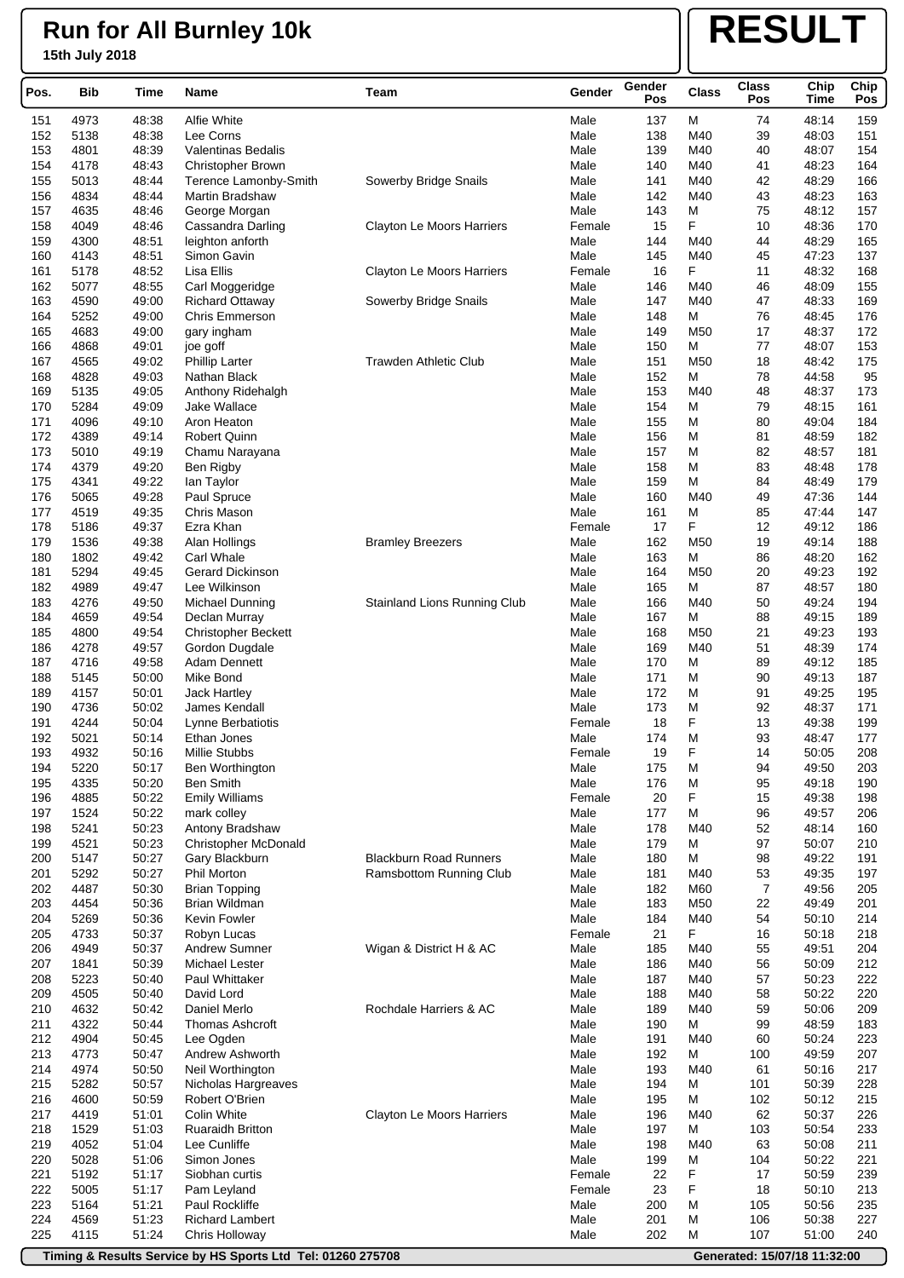# **RESULT**

|            |              |                |                                          |                                  |              | Gender     |                 | <b>Class</b> | Chip           |             |
|------------|--------------|----------------|------------------------------------------|----------------------------------|--------------|------------|-----------------|--------------|----------------|-------------|
| Pos.       | <b>Bib</b>   | Time           | Name                                     | Team                             | Gender       | Pos        | <b>Class</b>    | Pos          | Time           | Chip<br>Pos |
| 151        | 4973         | 48:38          | <b>Alfie White</b>                       |                                  | Male         | 137        | M               | 74           | 48:14          | 159         |
| 152        | 5138         | 48:38          | Lee Corns                                |                                  | Male         | 138        | M40             | 39           | 48:03          | 151         |
| 153        | 4801         | 48:39          | <b>Valentinas Bedalis</b>                |                                  | Male         | 139        | M40             | 40           | 48:07          | 154         |
| 154        | 4178         | 48:43          | <b>Christopher Brown</b>                 |                                  | Male         | 140        | M40             | 41           | 48:23          | 164         |
| 155        | 5013         | 48:44          | Terence Lamonby-Smith                    | Sowerby Bridge Snails            | Male         | 141        | M40             | 42           | 48:29          | 166         |
| 156        | 4834         | 48:44          | Martin Bradshaw                          |                                  | Male         | 142        | M40             | 43           | 48:23          | 163         |
| 157        | 4635         | 48:46          | George Morgan                            |                                  | Male         | 143        | М               | 75           | 48:12          | 157         |
| 158        | 4049         | 48:46          | Cassandra Darling                        | Clayton Le Moors Harriers        | Female       | 15         | F               | 10           | 48:36          | 170         |
| 159        | 4300         | 48:51          | leighton anforth                         |                                  | Male         | 144        | M40             | 44           | 48:29          | 165         |
| 160        | 4143         | 48:51          | Simon Gavin                              |                                  | Male         | 145        | M40             | 45           | 47:23          | 137         |
| 161        | 5178         | 48:52          | Lisa Ellis                               | <b>Clayton Le Moors Harriers</b> | Female       | 16         | F               | 11           | 48:32          | 168         |
| 162<br>163 | 5077<br>4590 | 48:55<br>49:00 | Carl Moggeridge                          |                                  | Male<br>Male | 146<br>147 | M40<br>M40      | 46<br>47     | 48:09<br>48:33 | 155<br>169  |
| 164        | 5252         | 49:00          | <b>Richard Ottaway</b><br>Chris Emmerson | Sowerby Bridge Snails            | Male         | 148        | M               | 76           | 48:45          | 176         |
| 165        | 4683         | 49:00          | gary ingham                              |                                  | Male         | 149        | M <sub>50</sub> | 17           | 48:37          | 172         |
| 166        | 4868         | 49:01          | joe goff                                 |                                  | Male         | 150        | M               | 77           | 48:07          | 153         |
| 167        | 4565         | 49:02          | <b>Phillip Larter</b>                    | <b>Trawden Athletic Club</b>     | Male         | 151        | M50             | 18           | 48:42          | 175         |
| 168        | 4828         | 49:03          | Nathan Black                             |                                  | Male         | 152        | М               | 78           | 44:58          | 95          |
| 169        | 5135         | 49:05          | Anthony Ridehalgh                        |                                  | Male         | 153        | M40             | 48           | 48:37          | 173         |
| 170        | 5284         | 49:09          | Jake Wallace                             |                                  | Male         | 154        | М               | 79           | 48:15          | 161         |
| 171        | 4096         | 49:10          | Aron Heaton                              |                                  | Male         | 155        | М               | 80           | 49:04          | 184         |
| 172        | 4389         | 49:14          | <b>Robert Quinn</b>                      |                                  | Male         | 156        | М               | 81           | 48:59          | 182         |
| 173        | 5010         | 49:19          | Chamu Narayana                           |                                  | Male         | 157        | М               | 82           | 48:57          | 181         |
| 174<br>175 | 4379<br>4341 | 49:20<br>49:22 | Ben Rigby<br>lan Taylor                  |                                  | Male<br>Male | 158<br>159 | М<br>М          | 83<br>84     | 48:48<br>48:49 | 178<br>179  |
| 176        | 5065         | 49:28          | Paul Spruce                              |                                  | Male         | 160        | M40             | 49           | 47:36          | 144         |
| 177        | 4519         | 49:35          | Chris Mason                              |                                  | Male         | 161        | М               | 85           | 47:44          | 147         |
| 178        | 5186         | 49:37          | Ezra Khan                                |                                  | Female       | 17         | F               | 12           | 49:12          | 186         |
| 179        | 1536         | 49:38          | Alan Hollings                            | <b>Bramley Breezers</b>          | Male         | 162        | M50             | 19           | 49:14          | 188         |
| 180        | 1802         | 49:42          | <b>Carl Whale</b>                        |                                  | Male         | 163        | М               | 86           | 48:20          | 162         |
| 181        | 5294         | 49:45          | <b>Gerard Dickinson</b>                  |                                  | Male         | 164        | M <sub>50</sub> | 20           | 49:23          | 192         |
| 182        | 4989         | 49:47          | Lee Wilkinson                            |                                  | Male         | 165        | М               | 87           | 48:57          | 180         |
| 183        | 4276         | 49:50          | Michael Dunning                          | Stainland Lions Running Club     | Male         | 166        | M40             | 50           | 49:24          | 194         |
| 184        | 4659         | 49:54          | Declan Murray                            |                                  | Male         | 167        | М               | 88           | 49:15          | 189         |
| 185        | 4800         | 49:54          | <b>Christopher Beckett</b>               |                                  | Male         | 168        | M50             | 21           | 49:23          | 193         |
| 186<br>187 | 4278<br>4716 | 49:57<br>49:58 | Gordon Dugdale<br>Adam Dennett           |                                  | Male<br>Male | 169<br>170 | M40<br>М        | 51<br>89     | 48:39<br>49:12 | 174<br>185  |
| 188        | 5145         | 50:00          | Mike Bond                                |                                  | Male         | 171        | М               | 90           | 49:13          | 187         |
| 189        | 4157         | 50:01          | <b>Jack Hartley</b>                      |                                  | Male         | 172        | М               | 91           | 49:25          | 195         |
| 190        | 4736         | 50:02          | James Kendall                            |                                  | Male         | 173        | М               | 92           | 48:37          | 171         |
| 191        | 4244         | 50:04          | Lynne Berbatiotis                        |                                  | Female       | 18         | F               | 13           | 49:38          | 199         |
| 192        | 5021         | 50:14          | Ethan Jones                              |                                  | Male         | 174        | М               | 93           | 48:47          | 177         |
| 193        | 4932         | 50:16          | Millie Stubbs                            |                                  | Female       | 19         | ۲               | 14           | 50.05          | 208         |
| 194        | 5220         | 50:17          | Ben Worthington                          |                                  | Male         | 175        | М               | 94           | 49:50          | 203         |
| 195        | 4335         | 50:20          | <b>Ben Smith</b>                         |                                  | Male         | 176        | М               | 95           | 49:18          | 190         |
| 196        | 4885         | 50:22          | <b>Emily Williams</b>                    |                                  | Female       | 20         | F               | 15           | 49:38          | 198         |
| 197<br>198 | 1524<br>5241 | 50:22<br>50:23 | mark colley<br>Antony Bradshaw           |                                  | Male<br>Male | 177<br>178 | M<br>M40        | 96<br>52     | 49:57<br>48:14 | 206<br>160  |
| 199        | 4521         | 50:23          | <b>Christopher McDonald</b>              |                                  | Male         | 179        | М               | 97           | 50:07          | 210         |
| 200        | 5147         | 50:27          | Gary Blackburn                           | <b>Blackburn Road Runners</b>    | Male         | 180        | M               | 98           | 49:22          | 191         |
| 201        | 5292         | 50:27          | <b>Phil Morton</b>                       | Ramsbottom Running Club          | Male         | 181        | M40             | 53           | 49:35          | 197         |
| 202        | 4487         | 50:30          | <b>Brian Topping</b>                     |                                  | Male         | 182        | M60             | 7            | 49:56          | 205         |
| 203        | 4454         | 50:36          | Brian Wildman                            |                                  | Male         | 183        | M50             | 22           | 49:49          | 201         |
| 204        | 5269         | 50:36          | Kevin Fowler                             |                                  | Male         | 184        | M40             | 54           | 50:10          | 214         |
| 205        | 4733         | 50:37          | Robyn Lucas                              |                                  | Female       | 21         | F               | 16           | 50:18          | 218         |
| 206        | 4949         | 50:37          | <b>Andrew Sumner</b>                     | Wigan & District H & AC          | Male         | 185        | M40             | 55           | 49:51          | 204         |
| 207        | 1841         | 50:39          | Michael Lester                           |                                  | Male         | 186        | M40             | 56           | 50:09          | 212         |
| 208<br>209 | 5223<br>4505 | 50:40<br>50:40 | Paul Whittaker<br>David Lord             |                                  | Male<br>Male | 187<br>188 | M40<br>M40      | 57<br>58     | 50:23<br>50:22 | 222<br>220  |
| 210        | 4632         | 50:42          | Daniel Merlo                             | Rochdale Harriers & AC           | Male         | 189        | M40             | 59           | 50:06          | 209         |
| 211        | 4322         | 50:44          | Thomas Ashcroft                          |                                  | Male         | 190        | М               | 99           | 48:59          | 183         |
| 212        | 4904         | 50:45          | Lee Ogden                                |                                  | Male         | 191        | M40             | 60           | 50:24          | 223         |
| 213        | 4773         | 50:47          | Andrew Ashworth                          |                                  | Male         | 192        | М               | 100          | 49:59          | 207         |
| 214        | 4974         | 50:50          | Neil Worthington                         |                                  | Male         | 193        | M40             | 61           | 50:16          | 217         |
| 215        | 5282         | 50:57          | Nicholas Hargreaves                      |                                  | Male         | 194        | М               | 101          | 50:39          | 228         |
| 216        | 4600         | 50:59          | Robert O'Brien                           |                                  | Male         | 195        | М               | 102          | 50:12          | 215         |
| 217        | 4419         | 51:01          | Colin White                              | <b>Clayton Le Moors Harriers</b> | Male         | 196        | M40             | 62           | 50:37          | 226         |
| 218        | 1529         | 51:03          | Ruaraidh Britton                         |                                  | Male         | 197        | М               | 103          | 50:54          | 233         |
| 219<br>220 | 4052<br>5028 | 51:04<br>51:06 | Lee Cunliffe<br>Simon Jones              |                                  | Male<br>Male | 198<br>199 | M40<br>М        | 63<br>104    | 50:08<br>50:22 | 211<br>221  |
| 221        | 5192         | 51:17          | Siobhan curtis                           |                                  | Female       | 22         | F               | 17           | 50:59          | 239         |
| 222        | 5005         | 51:17          | Pam Leyland                              |                                  | Female       | 23         | F               | 18           | 50:10          | 213         |
| 223        | 5164         | 51:21          | Paul Rockliffe                           |                                  | Male         | 200        | М               | 105          | 50:56          | 235         |
| 224        | 4569         | 51:23          | <b>Richard Lambert</b>                   |                                  | Male         | 201        | М               | 106          | 50:38          | 227         |
| 225        | 4115         | 51:24          | Chris Holloway                           |                                  | Male         | 202        | М               | 107          | 51:00          | 240         |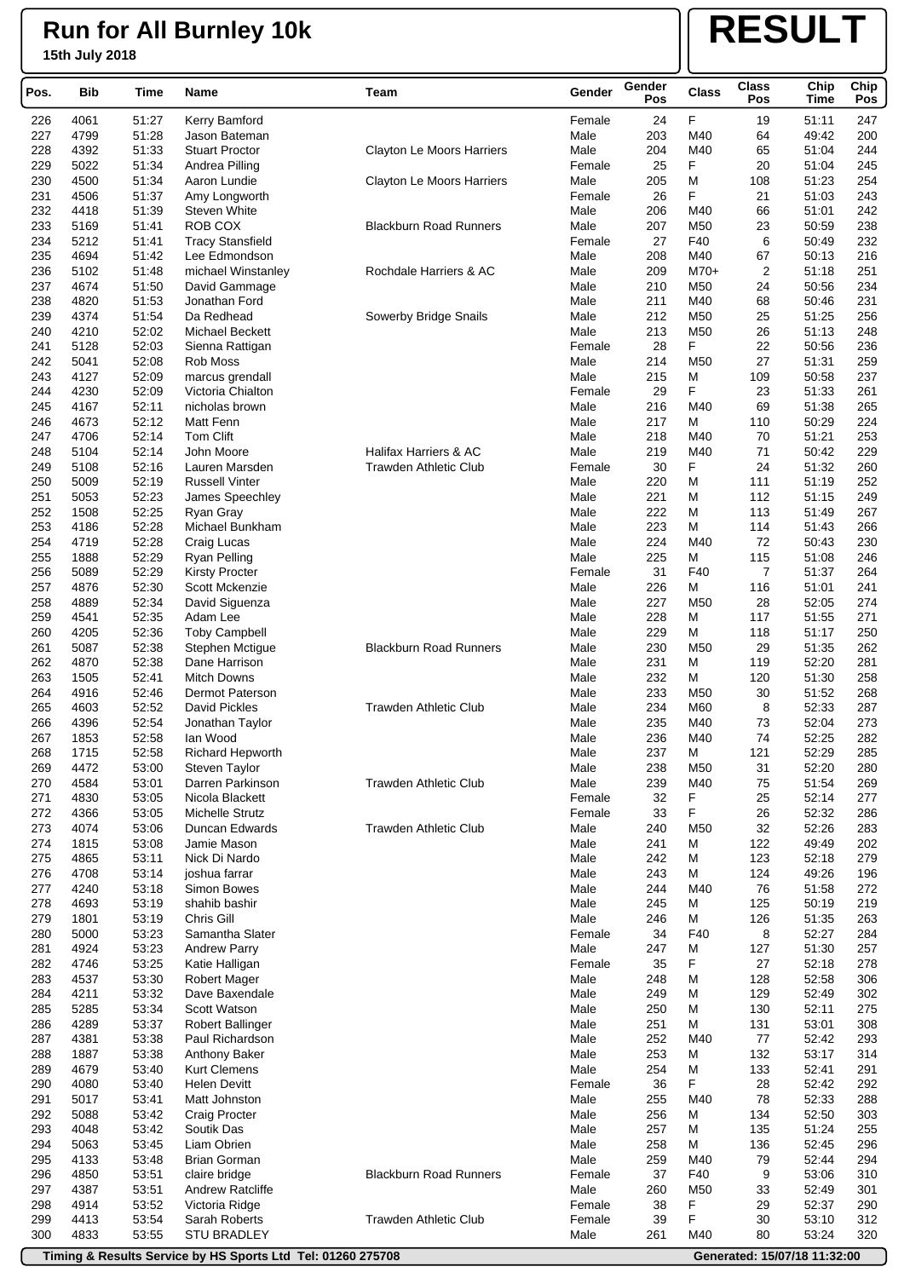# **RESULT**

| Pos.       | <b>Bib</b>   | Time           | Name                                       | Team                          | Gender         | Gender<br>Pos | <b>Class</b>    | <b>Class</b><br>Pos     | Chip<br>Time   | Chip<br>Pos |
|------------|--------------|----------------|--------------------------------------------|-------------------------------|----------------|---------------|-----------------|-------------------------|----------------|-------------|
| 226        | 4061         | 51:27          | Kerry Bamford                              |                               | Female         | 24            | F               | 19                      | 51:11          | 247         |
| 227        | 4799         | 51:28          | Jason Bateman                              |                               | Male           | 203           | M40             | 64                      | 49:42          | 200         |
| 228        | 4392         | 51:33          | <b>Stuart Proctor</b>                      | Clayton Le Moors Harriers     | Male           | 204           | M40             | 65                      | 51:04          | 244         |
| 229        | 5022         | 51:34          | Andrea Pilling                             |                               | Female         | 25            | F               | 20                      | 51:04          | 245         |
| 230        | 4500         | 51:34          | Aaron Lundie                               | Clayton Le Moors Harriers     | Male           | 205           | М               | 108                     | 51:23          | 254         |
| 231<br>232 | 4506<br>4418 | 51:37<br>51:39 | Amy Longworth<br><b>Steven White</b>       |                               | Female<br>Male | 26<br>206     | F<br>M40        | 21<br>66                | 51:03<br>51:01 | 243<br>242  |
| 233        | 5169         | 51:41          | ROB COX                                    | <b>Blackburn Road Runners</b> | Male           | 207           | M50             | 23                      | 50:59          | 238         |
| 234        | 5212         | 51:41          | <b>Tracy Stansfield</b>                    |                               | Female         | 27            | F40             | 6                       | 50:49          | 232         |
| 235        | 4694         | 51:42          | Lee Edmondson                              |                               | Male           | 208           | M40             | 67                      | 50:13          | 216         |
| 236        | 5102         | 51:48          | michael Winstanley                         | Rochdale Harriers & AC        | Male           | 209           | $M70+$          | $\overline{\mathbf{c}}$ | 51:18          | 251         |
| 237        | 4674         | 51:50          | David Gammage                              |                               | Male           | 210           | M50             | 24                      | 50:56          | 234         |
| 238        | 4820         | 51:53          | Jonathan Ford                              |                               | Male           | 211           | M40             | 68                      | 50:46          | 231         |
| 239        | 4374         | 51:54          | Da Redhead                                 | Sowerby Bridge Snails         | Male           | 212           | M50             | 25                      | 51:25          | 256         |
| 240<br>241 | 4210<br>5128 | 52:02<br>52:03 | Michael Beckett<br>Sienna Rattigan         |                               | Male<br>Female | 213<br>28     | M50<br>F        | 26<br>22                | 51:13<br>50:56 | 248<br>236  |
| 242        | 5041         | 52:08          | Rob Moss                                   |                               | Male           | 214           | M50             | 27                      | 51:31          | 259         |
| 243        | 4127         | 52:09          | marcus grendall                            |                               | Male           | 215           | М               | 109                     | 50:58          | 237         |
| 244        | 4230         | 52:09          | Victoria Chialton                          |                               | Female         | 29            | F               | 23                      | 51:33          | 261         |
| 245        | 4167         | 52:11          | nicholas brown                             |                               | Male           | 216           | M40             | 69                      | 51:38          | 265         |
| 246        | 4673         | 52:12          | Matt Fenn                                  |                               | Male           | 217           | М               | 110                     | 50:29          | 224         |
| 247        | 4706         | 52:14          | <b>Tom Clift</b>                           |                               | Male           | 218           | M40             | 70                      | 51:21          | 253         |
| 248        | 5104         | 52:14          | John Moore                                 | Halifax Harriers & AC         | Male           | 219           | M40             | 71                      | 50:42          | 229         |
| 249        | 5108         | 52:16          | Lauren Marsden<br><b>Russell Vinter</b>    | <b>Trawden Athletic Club</b>  | Female         | 30<br>220     | F               | 24                      | 51:32          | 260<br>252  |
| 250<br>251 | 5009<br>5053 | 52:19<br>52:23 | James Speechley                            |                               | Male<br>Male   | 221           | М<br>М          | 111<br>112              | 51:19<br>51:15 | 249         |
| 252        | 1508         | 52:25          | Ryan Gray                                  |                               | Male           | 222           | M               | 113                     | 51:49          | 267         |
| 253        | 4186         | 52:28          | Michael Bunkham                            |                               | Male           | 223           | М               | 114                     | 51:43          | 266         |
| 254        | 4719         | 52:28          | Craig Lucas                                |                               | Male           | 224           | M40             | 72                      | 50:43          | 230         |
| 255        | 1888         | 52:29          | <b>Ryan Pelling</b>                        |                               | Male           | 225           | М               | 115                     | 51:08          | 246         |
| 256        | 5089         | 52:29          | <b>Kirsty Procter</b>                      |                               | Female         | 31            | F40             | 7                       | 51:37          | 264         |
| 257        | 4876         | 52:30          | Scott Mckenzie                             |                               | Male           | 226           | M               | 116                     | 51:01          | 241         |
| 258        | 4889         | 52:34          | David Siguenza                             |                               | Male           | 227           | M <sub>50</sub> | 28                      | 52:05          | 274         |
| 259<br>260 | 4541<br>4205 | 52:35<br>52:36 | Adam Lee<br><b>Toby Campbell</b>           |                               | Male<br>Male   | 228<br>229    | М<br>M          | 117<br>118              | 51:55<br>51:17 | 271<br>250  |
| 261        | 5087         | 52:38          | Stephen Mctigue                            | <b>Blackburn Road Runners</b> | Male           | 230           | M <sub>50</sub> | 29                      | 51:35          | 262         |
| 262        | 4870         | 52:38          | Dane Harrison                              |                               | Male           | 231           | М               | 119                     | 52:20          | 281         |
| 263        | 1505         | 52:41          | <b>Mitch Downs</b>                         |                               | Male           | 232           | M               | 120                     | 51:30          | 258         |
| 264        | 4916         | 52:46          | Dermot Paterson                            |                               | Male           | 233           | M50             | 30                      | 51:52          | 268         |
| 265        | 4603         | 52:52          | David Pickles                              | <b>Trawden Athletic Club</b>  | Male           | 234           | M60             | 8                       | 52:33          | 287         |
| 266        | 4396         | 52:54          | Jonathan Taylor                            |                               | Male           | 235           | M40             | 73                      | 52:04          | 273         |
| 267        | 1853         | 52:58          | lan Wood                                   |                               | Male           | 236           | M40             | 74                      | 52:25          | 282         |
| 268<br>269 | 1715<br>4472 | 52:58<br>53:00 | Richard Hepworth<br><b>Steven Taylor</b>   |                               | Male<br>Male   | 237<br>238    | M<br>M50        | 121<br>31               | 52:29<br>52:20 | 285<br>280  |
| 270        | 4584         | 53:01          | Darren Parkinson                           | <b>Trawden Athletic Club</b>  | Male           | 239           | M40             | 75                      | 51:54          | 269         |
| 271        | 4830         | 53:05          | Nicola Blackett                            |                               | Female         | 32            | F               | 25                      | 52:14          | 277         |
| 272        | 4366         | 53:05          | Michelle Strutz                            |                               | Female         | 33            | F               | 26                      | 52:32          | 286         |
| 273        | 4074         | 53:06          | Duncan Edwards                             | <b>Trawden Athletic Club</b>  | Male           | 240           | M50             | 32                      | 52:26          | 283         |
| 274        | 1815         | 53:08          | Jamie Mason                                |                               | Male           | 241           | М               | 122                     | 49:49          | 202         |
| 275        | 4865         | 53:11          | Nick Di Nardo                              |                               | Male           | 242           | М               | 123                     | 52:18          | 279         |
| 276        | 4708         | 53:14          | joshua farrar<br>Simon Bowes               |                               | Male           | 243           | М               | 124                     | 49:26          | 196         |
| 277<br>278 | 4240<br>4693 | 53:18<br>53:19 | shahib bashir                              |                               | Male<br>Male   | 244<br>245    | M40<br>М        | 76<br>125               | 51:58<br>50:19 | 272<br>219  |
| 279        | 1801         | 53:19          | Chris Gill                                 |                               | Male           | 246           | М               | 126                     | 51:35          | 263         |
| 280        | 5000         | 53:23          | Samantha Slater                            |                               | Female         | 34            | F40             | 8                       | 52:27          | 284         |
| 281        | 4924         | 53:23          | <b>Andrew Parry</b>                        |                               | Male           | 247           | М               | 127                     | 51:30          | 257         |
| 282        | 4746         | 53:25          | Katie Halligan                             |                               | Female         | 35            | F               | 27                      | 52:18          | 278         |
| 283        | 4537         | 53:30          | <b>Robert Mager</b>                        |                               | Male           | 248           | М               | 128                     | 52:58          | 306         |
| 284        | 4211         | 53:32          | Dave Baxendale                             |                               | Male           | 249           | М               | 129                     | 52:49          | 302         |
| 285        | 5285         | 53:34          | Scott Watson                               |                               | Male           | 250           | М               | 130                     | 52:11          | 275         |
| 286<br>287 | 4289<br>4381 | 53:37<br>53:38 | <b>Robert Ballinger</b><br>Paul Richardson |                               | Male<br>Male   | 251<br>252    | М<br>M40        | 131<br>77               | 53:01<br>52:42 | 308<br>293  |
| 288        | 1887         | 53:38          | Anthony Baker                              |                               | Male           | 253           | М               | 132                     | 53:17          | 314         |
| 289        | 4679         | 53:40          | <b>Kurt Clemens</b>                        |                               | Male           | 254           | M               | 133                     | 52:41          | 291         |
| 290        | 4080         | 53:40          | <b>Helen Devitt</b>                        |                               | Female         | 36            | F               | 28                      | 52:42          | 292         |
| 291        | 5017         | 53:41          | Matt Johnston                              |                               | Male           | 255           | M40             | 78                      | 52:33          | 288         |
| 292        | 5088         | 53:42          | Craig Procter                              |                               | Male           | 256           | М               | 134                     | 52:50          | 303         |
| 293        | 4048         | 53:42          | Soutik Das                                 |                               | Male           | 257           | М               | 135                     | 51:24          | 255         |
| 294        | 5063         | 53:45          | Liam Obrien                                |                               | Male           | 258           | М               | 136                     | 52:45          | 296         |
| 295<br>296 | 4133<br>4850 | 53:48<br>53:51 | <b>Brian Gorman</b><br>claire bridge       | <b>Blackburn Road Runners</b> | Male<br>Female | 259<br>37     | M40<br>F40      | 79<br>9                 | 52:44<br>53:06 | 294<br>310  |
| 297        | 4387         | 53:51          | Andrew Ratcliffe                           |                               | Male           | 260           | M50             | 33                      | 52:49          | 301         |
| 298        | 4914         | 53:52          | Victoria Ridge                             |                               | Female         | 38            | F               | 29                      | 52:37          | 290         |
| 299        | 4413         | 53:54          | Sarah Roberts                              | Trawden Athletic Club         | Female         | 39            | F               | 30                      | 53:10          | 312         |
| 300        | 4833         | 53:55          | <b>STU BRADLEY</b>                         |                               | Male           | 261           | M40             | 80                      | 53:24          | 320         |

**Timing & Results Service by HS Sports Ltd Tel: 01260 275708 Generated: 15/07/18 11:32:00**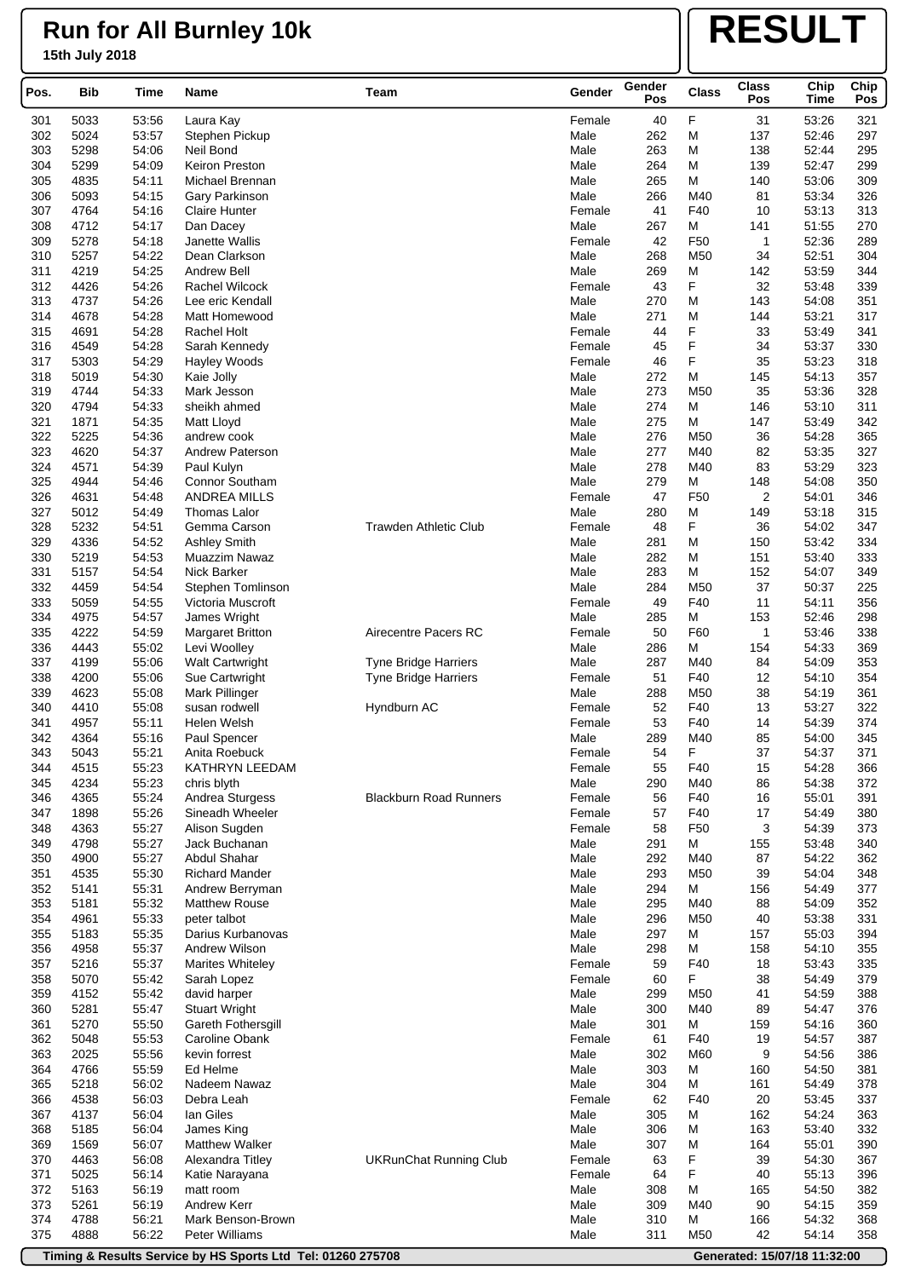# **RESULT**

| Pos.       | <b>Bib</b>   | Time           | Name                                    | Team                          | Gender           | Gender<br>Pos | <b>Class</b>    | <b>Class</b><br>Pos | Chip<br><b>Time</b> | Chip<br>Pos |
|------------|--------------|----------------|-----------------------------------------|-------------------------------|------------------|---------------|-----------------|---------------------|---------------------|-------------|
| 301        | 5033         | 53:56          | Laura Kay                               |                               | Female           | 40            | F               | 31                  | 53:26               | 321         |
| 302        | 5024         | 53:57          | Stephen Pickup                          |                               | Male             | 262           | M               | 137                 | 52:46               | 297         |
| 303        | 5298         | 54:06          | Neil Bond                               |                               | Male             | 263           | М               | 138                 | 52:44               | 295         |
| 304        | 5299         | 54:09          | Keiron Preston                          |                               | Male             | 264           | M               | 139                 | 52:47               | 299         |
| 305        | 4835         | 54:11          | Michael Brennan                         |                               | Male             | 265           | М               | 140                 | 53:06               | 309         |
| 306<br>307 | 5093<br>4764 | 54:15<br>54:16 | Gary Parkinson<br><b>Claire Hunter</b>  |                               | Male<br>Female   | 266<br>41     | M40<br>F40      | 81<br>10            | 53:34<br>53:13      | 326<br>313  |
| 308        | 4712         | 54:17          | Dan Dacey                               |                               | Male             | 267           | м               | 141                 | 51:55               | 270         |
| 309        | 5278         | 54:18          | Janette Wallis                          |                               | Female           | 42            | F50             | $\mathbf{1}$        | 52:36               | 289         |
| 310        | 5257         | 54:22          | Dean Clarkson                           |                               | Male             | 268           | M50             | 34                  | 52:51               | 304         |
| 311        | 4219         | 54:25          | Andrew Bell                             |                               | Male             | 269           | М               | 142                 | 53:59               | 344         |
| 312        | 4426         | 54:26          | Rachel Wilcock                          |                               | Female           | 43            | F               | 32                  | 53:48               | 339         |
| 313        | 4737         | 54:26          | Lee eric Kendall                        |                               | Male             | 270           | М               | 143                 | 54:08               | 351         |
| 314        | 4678         | 54:28          | Matt Homewood                           |                               | Male             | 271           | М               | 144                 | 53:21               | 317         |
| 315<br>316 | 4691<br>4549 | 54:28<br>54:28 | Rachel Holt<br>Sarah Kennedy            |                               | Female<br>Female | 44<br>45      | F<br>F          | 33<br>34            | 53:49<br>53:37      | 341<br>330  |
| 317        | 5303         | 54:29          | Hayley Woods                            |                               | Female           | 46            | F               | 35                  | 53:23               | 318         |
| 318        | 5019         | 54:30          | Kaie Jolly                              |                               | Male             | 272           | М               | 145                 | 54:13               | 357         |
| 319        | 4744         | 54:33          | Mark Jesson                             |                               | Male             | 273           | M50             | 35                  | 53:36               | 328         |
| 320        | 4794         | 54:33          | sheikh ahmed                            |                               | Male             | 274           | M               | 146                 | 53:10               | 311         |
| 321        | 1871         | 54:35          | Matt Lloyd                              |                               | Male             | 275           | М               | 147                 | 53:49               | 342         |
| 322        | 5225         | 54:36          | andrew cook                             |                               | Male             | 276           | M50             | 36                  | 54:28               | 365         |
| 323        | 4620         | 54:37          | Andrew Paterson                         |                               | Male             | 277           | M40             | 82                  | 53:35               | 327         |
| 324        | 4571         | 54:39          | Paul Kulyn                              |                               | Male             | 278           | M40<br>M        | 83                  | 53:29               | 323         |
| 325<br>326 | 4944<br>4631 | 54:46<br>54:48 | Connor Southam<br><b>ANDREA MILLS</b>   |                               | Male<br>Female   | 279<br>47     | F <sub>50</sub> | 148<br>2            | 54:08<br>54:01      | 350<br>346  |
| 327        | 5012         | 54:49          | <b>Thomas Lalor</b>                     |                               | Male             | 280           | М               | 149                 | 53:18               | 315         |
| 328        | 5232         | 54:51          | Gemma Carson                            | <b>Trawden Athletic Club</b>  | Female           | 48            | F               | 36                  | 54:02               | 347         |
| 329        | 4336         | 54:52          | <b>Ashley Smith</b>                     |                               | Male             | 281           | М               | 150                 | 53:42               | 334         |
| 330        | 5219         | 54:53          | Muazzim Nawaz                           |                               | Male             | 282           | М               | 151                 | 53:40               | 333         |
| 331        | 5157         | 54:54          | Nick Barker                             |                               | Male             | 283           | M               | 152                 | 54:07               | 349         |
| 332        | 4459         | 54:54          | Stephen Tomlinson                       |                               | Male             | 284           | M50             | 37                  | 50:37               | 225         |
| 333        | 5059         | 54:55          | Victoria Muscroft                       |                               | Female           | 49            | F40             | 11                  | 54:11               | 356         |
| 334<br>335 | 4975<br>4222 | 54:57<br>54:59 | James Wright<br><b>Margaret Britton</b> | Airecentre Pacers RC          | Male<br>Female   | 285<br>50     | М<br>F60        | 153<br>1            | 52:46<br>53:46      | 298<br>338  |
| 336        | 4443         | 55:02          | Levi Woolley                            |                               | Male             | 286           | м               | 154                 | 54:33               | 369         |
| 337        | 4199         | 55:06          | Walt Cartwright                         | <b>Tyne Bridge Harriers</b>   | Male             | 287           | M40             | 84                  | 54:09               | 353         |
| 338        | 4200         | 55:06          | Sue Cartwright                          | <b>Tyne Bridge Harriers</b>   | Female           | 51            | F40             | 12                  | 54:10               | 354         |
| 339        | 4623         | 55:08          | Mark Pillinger                          |                               | Male             | 288           | M50             | 38                  | 54:19               | 361         |
| 340        | 4410         | 55:08          | susan rodwell                           | Hyndburn AC                   | Female           | 52            | F40             | 13                  | 53:27               | 322         |
| 341        | 4957         | 55:11          | Helen Welsh                             |                               | Female           | 53            | F40             | 14                  | 54:39               | 374         |
| 342        | 4364         | 55:16          | Paul Spencer                            |                               | Male             | 289           | M40<br>F        | 85                  | 54:00               | 345         |
| 343<br>344 | 5043<br>4515 | 55:21<br>55:23 | Anita Roebuck<br>KATHRYN LEEDAM         |                               | Female           | 54<br>55      | F40             | 37<br>15            | 54:37<br>54:28      | 371<br>366  |
| 345        | 4234         | 55:23          | chris blyth                             |                               | Female<br>Male   | 290           | M40             | 86                  | 54:38               | 372         |
| 346        | 4365         | 55:24          | Andrea Sturgess                         | <b>Blackburn Road Runners</b> | Female           | 56            | F40             | 16                  | 55:01               | 391         |
| 347        | 1898         | 55:26          | Sineadh Wheeler                         |                               | Female           | 57            | F40             | 17                  | 54:49               | 380         |
| 348        | 4363         | 55:27          | Alison Sugden                           |                               | Female           | 58            | F50             | 3                   | 54:39               | 373         |
| 349        | 4798         | 55:27          | Jack Buchanan                           |                               | Male             | 291           | М               | 155                 | 53:48               | 340         |
| 350        | 4900         | 55:27          | Abdul Shahar                            |                               | Male             | 292           | M40             | 87                  | 54:22               | 362         |
| 351        | 4535         | 55:30          | <b>Richard Mander</b>                   |                               | Male             | 293           | M50             | 39                  | 54:04               | 348         |
| 352<br>353 | 5141<br>5181 | 55:31<br>55:32 | Andrew Berryman<br><b>Matthew Rouse</b> |                               | Male<br>Male     | 294<br>295    | М<br>M40        | 156<br>88           | 54:49<br>54:09      | 377<br>352  |
| 354        | 4961         | 55:33          | peter talbot                            |                               | Male             | 296           | M50             | 40                  | 53:38               | 331         |
| 355        | 5183         | 55:35          | Darius Kurbanovas                       |                               | Male             | 297           | М               | 157                 | 55:03               | 394         |
| 356        | 4958         | 55:37          | Andrew Wilson                           |                               | Male             | 298           | М               | 158                 | 54:10               | 355         |
| 357        | 5216         | 55:37          | <b>Marites Whiteley</b>                 |                               | Female           | 59            | F40             | 18                  | 53:43               | 335         |
| 358        | 5070         | 55:42          | Sarah Lopez                             |                               | Female           | 60            | F               | 38                  | 54:49               | 379         |
| 359        | 4152         | 55:42          | david harper                            |                               | Male             | 299           | M50             | 41                  | 54:59               | 388         |
| 360        | 5281         | 55:47          | <b>Stuart Wright</b>                    |                               | Male             | 300           | M40             | 89                  | 54:47               | 376         |
| 361<br>362 | 5270<br>5048 | 55:50<br>55:53 | Gareth Fothersgill<br>Caroline Obank    |                               | Male<br>Female   | 301<br>61     | М<br>F40        | 159<br>19           | 54:16<br>54:57      | 360<br>387  |
| 363        | 2025         | 55:56          | kevin forrest                           |                               | Male             | 302           | M60             | 9                   | 54:56               | 386         |
| 364        | 4766         | 55:59          | Ed Helme                                |                               | Male             | 303           | М               | 160                 | 54:50               | 381         |
| 365        | 5218         | 56:02          | Nadeem Nawaz                            |                               | Male             | 304           | М               | 161                 | 54:49               | 378         |
| 366        | 4538         | 56:03          | Debra Leah                              |                               | Female           | 62            | F40             | 20                  | 53:45               | 337         |
| 367        | 4137         | 56:04          | lan Giles                               |                               | Male             | 305           | М               | 162                 | 54:24               | 363         |
| 368        | 5185         | 56:04          | James King                              |                               | Male             | 306           | M               | 163                 | 53:40               | 332         |
| 369        | 1569         | 56:07          | <b>Matthew Walker</b>                   |                               | Male             | 307           | M               | 164                 | 55:01               | 390         |
| 370<br>371 | 4463<br>5025 | 56:08<br>56:14 | Alexandra Titley<br>Katie Narayana      | <b>UKRunChat Running Club</b> | Female<br>Female | 63<br>64      | F<br>F          | 39<br>40            | 54:30<br>55:13      | 367<br>396  |
| 372        | 5163         | 56:19          | matt room                               |                               | Male             | 308           | M               | 165                 | 54:50               | 382         |
| 373        | 5261         | 56:19          | Andrew Kerr                             |                               | Male             | 309           | M40             | 90                  | 54:15               | 359         |
| 374        | 4788         | 56:21          | Mark Benson-Brown                       |                               | Male             | 310           | М               | 166                 | 54:32               | 368         |
| 375        | 4888         | 56:22          | Peter Williams                          |                               | Male             | 311           | M50             | 42                  | 54:14               | 358         |

**Timing & Results Service by HS Sports Ltd Tel: 01260 275708 Generated: 15/07/18 11:32:00**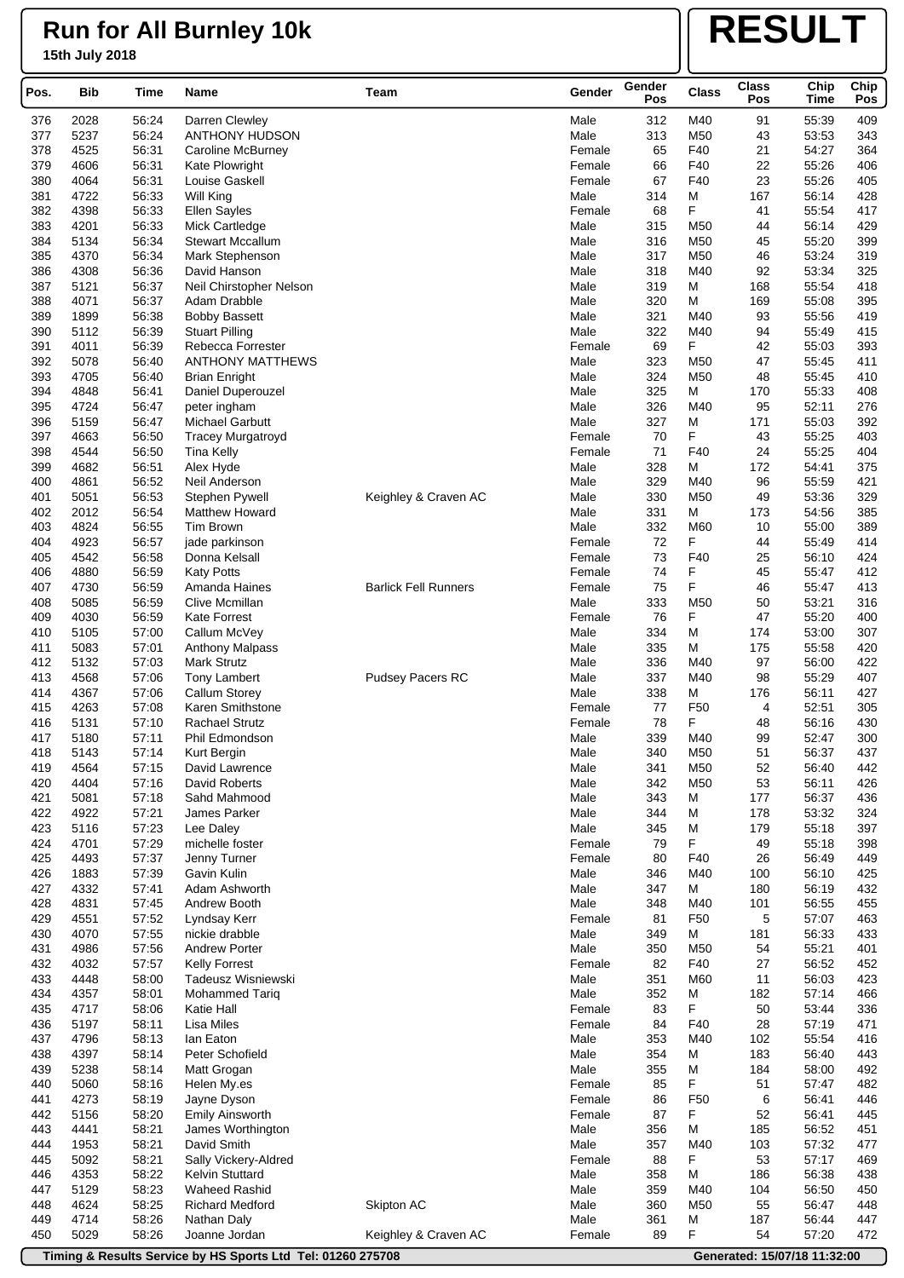# **RESULT**

| Pos.       | <b>Bib</b>   | Time           | <b>Name</b>                    | Team                        | Gender         | Gender<br>Pos | <b>Class</b>    | <b>Class</b><br>Pos | Chip<br><b>Time</b> | Chip<br>Pos |
|------------|--------------|----------------|--------------------------------|-----------------------------|----------------|---------------|-----------------|---------------------|---------------------|-------------|
| 376        | 2028         | 56:24          | Darren Clewley                 |                             | Male           | 312           | M40             | 91                  | 55:39               | 409         |
| 377        | 5237         | 56:24          | ANTHONY HUDSON                 |                             | Male           | 313           | M50             | 43                  | 53:53               | 343         |
| 378        | 4525         | 56:31          | <b>Caroline McBurney</b>       |                             | Female         | 65            | F40             | 21                  | 54:27               | 364         |
| 379        | 4606         | 56:31          | Kate Plowright                 |                             | Female         | 66            | F40             | 22                  | 55:26               | 406         |
| 380        | 4064         | 56:31          | Louise Gaskell                 |                             | Female         | 67            | F40             | 23                  | 55:26               | 405         |
| 381        | 4722         | 56:33          | <b>Will King</b>               |                             | Male           | 314           | М               | 167                 | 56:14               | 428         |
| 382        | 4398         | 56:33          | <b>Ellen Sayles</b>            |                             | Female         | 68            | F               | 41                  | 55:54               | 417         |
| 383        | 4201         | 56:33          | Mick Cartledge                 |                             | Male           | 315           | M50             | 44                  | 56:14               | 429         |
| 384        | 5134         | 56:34          | <b>Stewart Mccallum</b>        |                             | Male           | 316           | M50             | 45                  | 55:20               | 399         |
| 385        | 4370         | 56:34          | Mark Stephenson                |                             | Male           | 317           | M50             | 46                  | 53:24               | 319         |
| 386        | 4308         | 56:36          | David Hanson                   |                             | Male           | 318           | M40             | 92                  | 53:34               | 325         |
| 387        | 5121         | 56:37          | Neil Chirstopher Nelson        |                             | Male           | 319           | М               | 168                 | 55:54               | 418         |
| 388        | 4071         | 56:37          | Adam Drabble                   |                             | Male           | 320           | М               | 169                 | 55:08               | 395         |
| 389        | 1899         | 56:38          | <b>Bobby Bassett</b>           |                             | Male           | 321           | M40             | 93                  | 55:56               | 419         |
| 390        | 5112         | 56:39          | <b>Stuart Pilling</b>          |                             | Male           | 322           | M40             | 94                  | 55:49               | 415         |
| 391        | 4011         | 56:39          | Rebecca Forrester              |                             | Female         | 69            | F               | 42                  | 55:03               | 393         |
| 392        | 5078         | 56:40          | <b>ANTHONY MATTHEWS</b>        |                             | Male           | 323           | M50             | 47                  | 55:45               | 411         |
| 393        | 4705         | 56:40          | <b>Brian Enright</b>           |                             | Male           | 324           | M50             | 48                  | 55:45               | 410         |
| 394        | 4848         | 56:41          | Daniel Duperouzel              |                             | Male           | 325           | M               | 170                 | 55:33               | 408         |
| 395        | 4724         | 56:47          | peter ingham                   |                             | Male           | 326           | M40             | 95                  | 52:11               | 276         |
| 396        | 5159         | 56:47          | Michael Garbutt                |                             | Male           | 327           | М               | 171                 | 55:03               | 392         |
| 397        | 4663         | 56:50          | <b>Tracey Murgatroyd</b>       |                             | Female         | 70            | F<br>F40        | 43                  | 55:25               | 403         |
| 398<br>399 | 4544<br>4682 | 56:50<br>56:51 | Tina Kelly                     |                             | Female<br>Male | 71<br>328     | M               | 24<br>172           | 55:25<br>54:41      | 404<br>375  |
| 400        | 4861         | 56:52          | Alex Hyde<br>Neil Anderson     |                             | Male           | 329           | M40             | 96                  | 55:59               | 421         |
| 401        | 5051         | 56:53          | Stephen Pywell                 | Keighley & Craven AC        | Male           | 330           | M50             | 49                  | 53:36               | 329         |
| 402        | 2012         | 56:54          | <b>Matthew Howard</b>          |                             | Male           | 331           | M               | 173                 | 54:56               | 385         |
| 403        | 4824         | 56:55          | Tim Brown                      |                             | Male           | 332           | M60             | 10                  | 55:00               | 389         |
| 404        | 4923         | 56:57          | jade parkinson                 |                             | Female         | 72            | F               | 44                  | 55:49               | 414         |
| 405        | 4542         | 56:58          | Donna Kelsall                  |                             | Female         | 73            | F40             | 25                  | 56:10               | 424         |
| 406        | 4880         | 56:59          | <b>Katy Potts</b>              |                             | Female         | 74            | F               | 45                  | 55:47               | 412         |
| 407        | 4730         | 56:59          | Amanda Haines                  | <b>Barlick Fell Runners</b> | Female         | 75            | F               | 46                  | 55:47               | 413         |
| 408        | 5085         | 56:59          | Clive Mcmillan                 |                             | Male           | 333           | M50             | 50                  | 53:21               | 316         |
| 409        | 4030         | 56:59          | <b>Kate Forrest</b>            |                             | Female         | 76            | F               | 47                  | 55:20               | 400         |
| 410        | 5105         | 57:00          | Callum McVey                   |                             | Male           | 334           | M               | 174                 | 53:00               | 307         |
| 411        | 5083         | 57:01          | <b>Anthony Malpass</b>         |                             | Male           | 335           | M               | 175                 | 55:58               | 420         |
| 412        | 5132         | 57:03          | Mark Strutz                    |                             | Male           | 336           | M40             | 97                  | 56:00               | 422         |
| 413        | 4568         | 57:06          | <b>Tony Lambert</b>            | Pudsey Pacers RC            | Male           | 337           | M40             | 98                  | 55:29               | 407         |
| 414        | 4367         | 57:06          | <b>Callum Storey</b>           |                             | Male           | 338           | М               | 176                 | 56:11               | 427         |
| 415        | 4263         | 57:08          | Karen Smithstone               |                             | Female         | 77            | F <sub>50</sub> | 4                   | 52:51               | 305         |
| 416        | 5131         | 57:10          | <b>Rachael Strutz</b>          |                             | Female         | 78            | F               | 48                  | 56:16               | 430         |
| 417        | 5180         | 57:11          | Phil Edmondson                 |                             | Male           | 339           | M40             | 99                  | 52:47               | 300         |
| 418        | 5143         | 57:14          | Kurt Bergin                    |                             | Male           | 340           | M50             | 51                  | 56:37               | 437         |
| 419        | 4564         | 57:15          | David Lawrence                 |                             | Male           | 341           | M50             | 52                  | 56:40               | 442         |
| 420        | 4404         | 57:16          | <b>David Roberts</b>           |                             | Male           | 342           | M50             | 53                  | 56:11               | 426         |
| 421        | 5081         | 57:18          | Sahd Mahmood                   |                             | Male           | 343           | М               | 177                 | 56:37               | 436         |
| 422        | 4922         | 57:21          | James Parker                   |                             | Male           | 344           | М               | 178                 | 53:32               | 324         |
| 423        | 5116         | 57:23          | Lee Daley                      |                             | Male           | 345           | М               | 179                 | 55:18               | 397         |
| 424        | 4701         | 57:29          | michelle foster                |                             | Female         | 79            | F               | 49                  | 55:18               | 398         |
| 425        | 4493         | 57:37          | Jenny Turner                   |                             | Female         | 80            | F40             | 26                  | 56:49               | 449         |
| 426        | 1883         | 57:39          | Gavin Kulin                    |                             | Male           | 346           | M40             | 100                 | 56:10               | 425         |
| 427        | 4332         | 57:41          | Adam Ashworth                  |                             | Male           | 347           | М               | 180                 | 56:19               | 432         |
| 428        | 4831         | 57:45          | Andrew Booth                   |                             | Male           | 348           | M40             | 101                 | 56:55               | 455         |
| 429        | 4551         | 57:52          | Lyndsay Kerr<br>nickie drabble |                             | Female         | 81            | F50             | 5                   | 57:07               | 463         |
| 430<br>431 | 4070<br>4986 | 57:55<br>57:56 | <b>Andrew Porter</b>           |                             | Male<br>Male   | 349<br>350    | М<br>M50        | 181<br>54           | 56:33<br>55:21      | 433<br>401  |
| 432        | 4032         | 57:57          | <b>Kelly Forrest</b>           |                             | Female         | 82            | F40             | 27                  | 56:52               | 452         |
| 433        | 4448         | 58:00          | Tadeusz Wisniewski             |                             | Male           | 351           | M60             | 11                  | 56:03               | 423         |
| 434        | 4357         | 58:01          | Mohammed Tariq                 |                             | Male           | 352           | М               | 182                 | 57:14               | 466         |
| 435        | 4717         | 58:06          | Katie Hall                     |                             | Female         | 83            | F               | 50                  | 53:44               | 336         |
| 436        | 5197         | 58:11          | Lisa Miles                     |                             | Female         | 84            | F40             | 28                  | 57:19               | 471         |
| 437        | 4796         | 58:13          | lan Eaton                      |                             | Male           | 353           | M40             | 102                 | 55:54               | 416         |
| 438        | 4397         | 58:14          | Peter Schofield                |                             | Male           | 354           | М               | 183                 | 56:40               | 443         |
| 439        | 5238         | 58:14          | Matt Grogan                    |                             | Male           | 355           | М               | 184                 | 58:00               | 492         |
| 440        | 5060         | 58:16          | Helen My.es                    |                             | Female         | 85            | F               | 51                  | 57:47               | 482         |
| 441        | 4273         | 58:19          | Jayne Dyson                    |                             | Female         | 86            | F <sub>50</sub> | 6                   | 56:41               | 446         |
| 442        | 5156         | 58:20          | <b>Emily Ainsworth</b>         |                             | Female         | 87            | F               | 52                  | 56:41               | 445         |
| 443        | 4441         | 58:21          | James Worthington              |                             | Male           | 356           | M               | 185                 | 56:52               | 451         |
| 444        | 1953         | 58:21          | David Smith                    |                             | Male           | 357           | M40             | 103                 | 57:32               | 477         |
| 445        | 5092         | 58:21          | Sally Vickery-Aldred           |                             | Female         | 88            | F               | 53                  | 57:17               | 469         |
| 446        | 4353         | 58:22          | Kelvin Stuttard                |                             | Male           | 358           | M               | 186                 | 56:38               | 438         |
| 447        | 5129         | 58:23          | <b>Waheed Rashid</b>           |                             | Male           | 359           | M40             | 104                 | 56:50               | 450         |
| 448        | 4624         | 58:25          | <b>Richard Medford</b>         | Skipton AC                  | Male           | 360           | M50             | 55                  | 56:47               | 448         |
| 449        | 4714         | 58:26          | Nathan Daly                    |                             | Male           | 361           | М               | 187                 | 56:44               | 447         |
| 450        | 5029         | 58:26          | Joanne Jordan                  | Keighley & Craven AC        | Female         | 89            | F               | 54                  | 57:20               | 472         |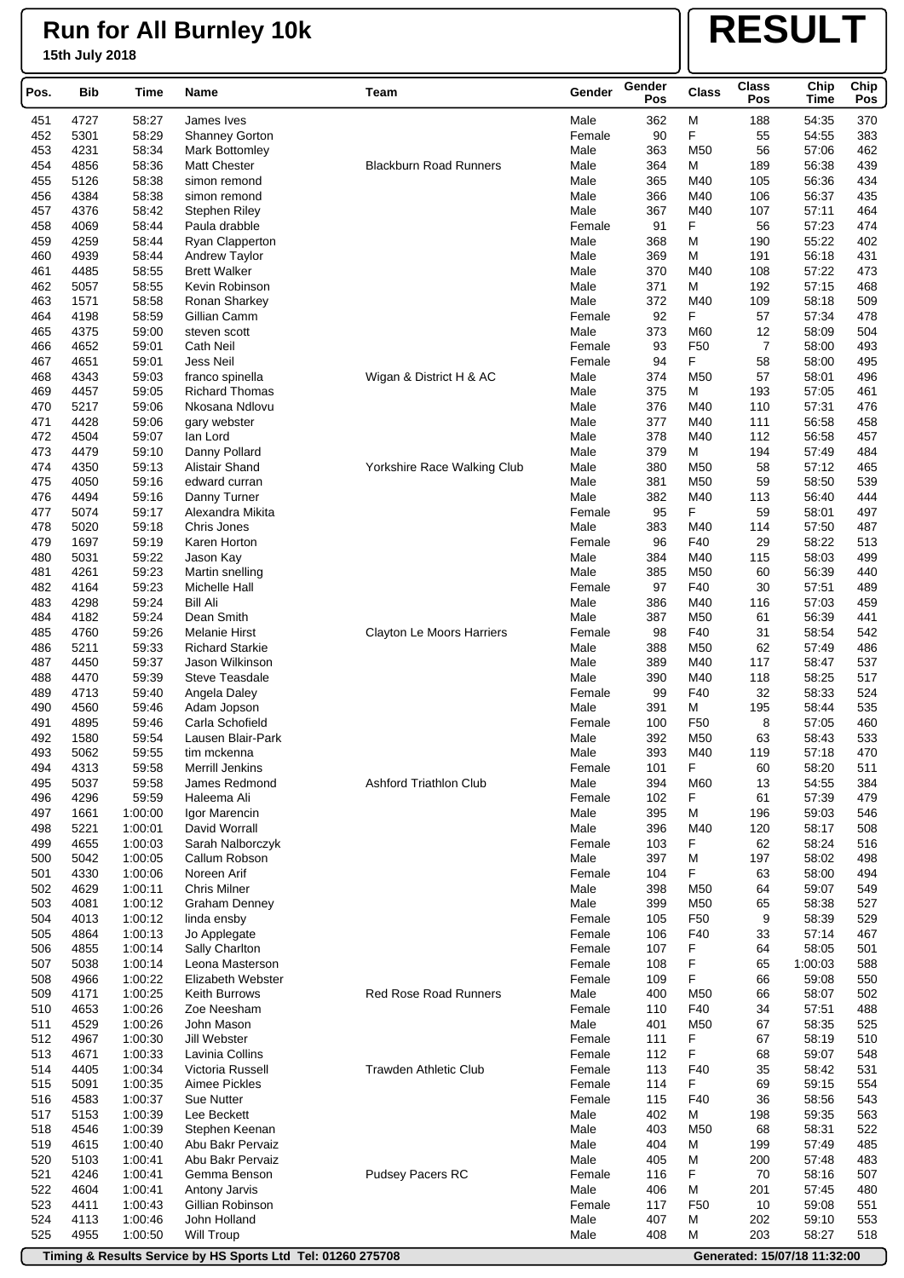# **RESULT**

| Pos.       | <b>Bib</b>   | Time               | Name                                         | Team                          | Gender           | Gender<br>Pos | <b>Class</b>           | <b>Class</b><br>Pos | Chip           | Chip       |
|------------|--------------|--------------------|----------------------------------------------|-------------------------------|------------------|---------------|------------------------|---------------------|----------------|------------|
|            |              |                    |                                              |                               |                  |               |                        |                     | Time           | Pos        |
| 451        | 4727         | 58:27              | James Ives                                   |                               | Male             | 362           | M                      | 188                 | 54:35          | 370        |
| 452        | 5301         | 58:29              | <b>Shanney Gorton</b>                        |                               | Female           | 90            | F<br>M50               | 55                  | 54:55          | 383        |
| 453<br>454 | 4231<br>4856 | 58:34<br>58:36     | <b>Mark Bottomley</b><br><b>Matt Chester</b> | <b>Blackburn Road Runners</b> | Male<br>Male     | 363<br>364    | м                      | 56<br>189           | 57:06<br>56:38 | 462<br>439 |
| 455        | 5126         | 58:38              | simon remond                                 |                               | Male             | 365           | M40                    | 105                 | 56:36          | 434        |
| 456        | 4384         | 58:38              | simon remond                                 |                               | Male             | 366           | M40                    | 106                 | 56:37          | 435        |
| 457        | 4376         | 58:42              | <b>Stephen Riley</b>                         |                               | Male             | 367           | M40                    | 107                 | 57:11          | 464        |
| 458        | 4069         | 58:44              | Paula drabble                                |                               | Female           | 91            | F                      | 56                  | 57:23          | 474        |
| 459        | 4259         | 58:44              | <b>Ryan Clapperton</b>                       |                               | Male             | 368           | м                      | 190                 | 55:22          | 402        |
| 460        | 4939         | 58:44              | <b>Andrew Taylor</b>                         |                               | Male             | 369           | м                      | 191                 | 56:18          | 431        |
| 461        | 4485         | 58:55              | <b>Brett Walker</b>                          |                               | Male             | 370           | M40                    | 108                 | 57:22          | 473        |
| 462        | 5057         | 58:55              | Kevin Robinson                               |                               | Male             | 371           | м                      | 192                 | 57:15          | 468        |
| 463        | 1571         | 58:58              | Ronan Sharkey                                |                               | Male             | 372           | M40                    | 109                 | 58:18          | 509        |
| 464        | 4198         | 58:59              | Gillian Camm                                 |                               | Female           | 92            | F                      | 57                  | 57:34          | 478        |
| 465        | 4375         | 59:00              | steven scott                                 |                               | Male             | 373<br>93     | M60<br>F <sub>50</sub> | 12<br>7             | 58:09          | 504<br>493 |
| 466<br>467 | 4652<br>4651 | 59:01<br>59:01     | <b>Cath Neil</b><br>Jess Neil                |                               | Female<br>Female | 94            | F                      | 58                  | 58:00<br>58:00 | 495        |
| 468        | 4343         | 59:03              | franco spinella                              | Wigan & District H & AC       | Male             | 374           | M50                    | 57                  | 58:01          | 496        |
| 469        | 4457         | 59:05              | <b>Richard Thomas</b>                        |                               | Male             | 375           | M                      | 193                 | 57:05          | 461        |
| 470        | 5217         | 59:06              | Nkosana Ndlovu                               |                               | Male             | 376           | M40                    | 110                 | 57:31          | 476        |
| 471        | 4428         | 59:06              | gary webster                                 |                               | Male             | 377           | M40                    | 111                 | 56:58          | 458        |
| 472        | 4504         | 59:07              | lan Lord                                     |                               | Male             | 378           | M40                    | 112                 | 56:58          | 457        |
| 473        | 4479         | 59:10              | Danny Pollard                                |                               | Male             | 379           | м                      | 194                 | 57:49          | 484        |
| 474        | 4350         | 59:13              | Alistair Shand                               | Yorkshire Race Walking Club   | Male             | 380           | M <sub>50</sub>        | 58                  | 57:12          | 465        |
| 475        | 4050         | 59:16              | edward curran                                |                               | Male             | 381           | M <sub>50</sub>        | 59                  | 58:50          | 539        |
| 476        | 4494         | 59:16              | Danny Turner                                 |                               | Male             | 382           | M40                    | 113                 | 56:40          | 444        |
| 477        | 5074         | 59:17              | Alexandra Mikita                             |                               | Female           | 95            | F                      | 59                  | 58:01          | 497        |
| 478        | 5020         | 59:18              | Chris Jones                                  |                               | Male             | 383           | M40                    | 114                 | 57:50          | 487        |
| 479        | 1697         | 59:19              | Karen Horton                                 |                               | Female           | 96            | F40                    | 29                  | 58:22          | 513        |
| 480<br>481 | 5031<br>4261 | 59:22<br>59:23     | Jason Kay                                    |                               | Male<br>Male     | 384<br>385    | M40<br>M <sub>50</sub> | 115<br>60           | 58:03<br>56:39 | 499<br>440 |
| 482        | 4164         | 59:23              | Martin snelling<br>Michelle Hall             |                               | Female           | 97            | F40                    | 30                  | 57:51          | 489        |
| 483        | 4298         | 59:24              | Bill Ali                                     |                               | Male             | 386           | M40                    | 116                 | 57:03          | 459        |
| 484        | 4182         | 59:24              | Dean Smith                                   |                               | Male             | 387           | M50                    | 61                  | 56:39          | 441        |
| 485        | 4760         | 59:26              | <b>Melanie Hirst</b>                         | Clayton Le Moors Harriers     | Female           | 98            | F40                    | 31                  | 58:54          | 542        |
| 486        | 5211         | 59:33              | <b>Richard Starkie</b>                       |                               | Male             | 388           | M50                    | 62                  | 57:49          | 486        |
| 487        | 4450         | 59:37              | Jason Wilkinson                              |                               | Male             | 389           | M40                    | 117                 | 58:47          | 537        |
| 488        | 4470         | 59:39              | <b>Steve Teasdale</b>                        |                               | Male             | 390           | M40                    | 118                 | 58:25          | 517        |
| 489        | 4713         | 59:40              | Angela Daley                                 |                               | Female           | 99            | F40                    | 32                  | 58:33          | 524        |
| 490        | 4560         | 59:46              | Adam Jopson                                  |                               | Male             | 391           | м                      | 195                 | 58:44          | 535        |
| 491        | 4895         | 59:46              | Carla Schofield                              |                               | Female           | 100           | F <sub>50</sub>        | 8                   | 57:05          | 460        |
| 492        | 1580         | 59:54              | Lausen Blair-Park                            |                               | Male             | 392           | M <sub>50</sub>        | 63                  | 58:43          | 533        |
| 493        | 5062         | 59:55              | tim mckenna                                  |                               | Male             | 393           | M40                    | 119                 | 57:18          | 470        |
| 494<br>495 | 4313<br>5037 | 59:58<br>59:58     | Merrill Jenkins<br>James Redmond             | <b>Ashford Triathlon Club</b> | Female<br>Male   | 101<br>394    | F<br>M60               | 60<br>13            | 58:20<br>54:55 | 511<br>384 |
| 496        | 4296         | 59:59              | Haleema Ali                                  |                               | Female           | 102           | F                      | 61                  | 57:39          | 479        |
| 497        | 1661         | 1:00:00            | Igor Marencin                                |                               | Male             | 395           | M                      | 196                 | 59:03          | 546        |
| 498        | 5221         | 1:00:01            | David Worrall                                |                               | Male             | 396           | M40                    | 120                 | 58:17          | 508        |
| 499        | 4655         | 1:00:03            | Sarah Nalborczyk                             |                               | Female           | 103           | F                      | 62                  | 58:24          | 516        |
| 500        | 5042         | 1:00:05            | Callum Robson                                |                               | Male             | 397           | M                      | 197                 | 58:02          | 498        |
| 501        | 4330         | 1:00:06            | Noreen Arif                                  |                               | Female           | 104           | F                      | 63                  | 58:00          | 494        |
| 502        | 4629         | 1:00:11            | <b>Chris Milner</b>                          |                               | Male             | 398           | M50                    | 64                  | 59:07          | 549        |
| 503        | 4081         | 1:00:12            | <b>Graham Denney</b>                         |                               | Male             | 399           | M <sub>50</sub>        | 65                  | 58:38          | 527        |
| 504        | 4013         | 1:00:12            | linda ensby                                  |                               | Female           | 105           | F <sub>50</sub>        | 9                   | 58:39          | 529        |
| 505        | 4864         | 1:00:13            | Jo Applegate                                 |                               | Female           | 106           | F40                    | 33                  | 57:14          | 467        |
| 506        | 4855         | 1:00:14            | Sally Charlton                               |                               | Female           | 107           | F                      | 64                  | 58:05          | 501        |
| 507        | 5038         | 1:00:14            | Leona Masterson                              |                               | Female           | 108           | F                      | 65                  | 1:00:03        | 588        |
| 508<br>509 | 4966<br>4171 | 1:00:22<br>1:00:25 | Elizabeth Webster<br>Keith Burrows           | <b>Red Rose Road Runners</b>  | Female<br>Male   | 109<br>400    | F<br>M50               | 66<br>66            | 59:08<br>58:07 | 550<br>502 |
| 510        | 4653         | 1:00:26            | Zoe Neesham                                  |                               | Female           | 110           | F40                    | 34                  | 57:51          | 488        |
| 511        | 4529         | 1:00:26            | John Mason                                   |                               | Male             | 401           | M <sub>50</sub>        | 67                  | 58:35          | 525        |
| 512        | 4967         | 1:00:30            | Jill Webster                                 |                               | Female           | 111           | F                      | 67                  | 58:19          | 510        |
| 513        | 4671         | 1:00:33            | Lavinia Collins                              |                               | Female           | 112           | F                      | 68                  | 59:07          | 548        |
| 514        | 4405         | 1:00:34            | Victoria Russell                             | Trawden Athletic Club         | Female           | 113           | F40                    | 35                  | 58:42          | 531        |
| 515        | 5091         | 1:00:35            | Aimee Pickles                                |                               | Female           | 114           | F                      | 69                  | 59:15          | 554        |
| 516        | 4583         | 1:00:37            | Sue Nutter                                   |                               | Female           | 115           | F40                    | 36                  | 58:56          | 543        |
| 517        | 5153         | 1:00:39            | Lee Beckett                                  |                               | Male             | 402           | М                      | 198                 | 59:35          | 563        |
| 518        | 4546         | 1:00:39            | Stephen Keenan                               |                               | Male             | 403           | M50                    | 68                  | 58:31          | 522        |
| 519        | 4615         | 1:00:40            | Abu Bakr Pervaiz                             |                               | Male             | 404           | м                      | 199                 | 57:49          | 485        |
| 520        | 5103         | 1:00:41            | Abu Bakr Pervaiz                             |                               | Male             | 405           | M                      | 200                 | 57:48          | 483        |
| 521        | 4246         | 1:00:41            | Gemma Benson                                 | Pudsey Pacers RC              | Female           | 116           | F                      | 70                  | 58:16          | 507        |
| 522        | 4604         | 1:00:41            | Antony Jarvis                                |                               | Male             | 406           | M                      | 201                 | 57:45          | 480        |
| 523<br>524 | 4411<br>4113 | 1:00:43<br>1:00:46 | Gillian Robinson<br>John Holland             |                               | Female<br>Male   | 117<br>407    | F <sub>50</sub><br>M   | 10<br>202           | 59:08<br>59:10 | 551<br>553 |
| 525        | 4955         | 1:00:50            | <b>Will Troup</b>                            |                               | Male             | 408           | м                      | 203                 | 58:27          | 518        |
|            |              |                    |                                              |                               |                  |               |                        |                     |                |            |

**Timing & Results Service by HS Sports Ltd Tel: 01260 275708 Generated: 15/07/18 11:32:00**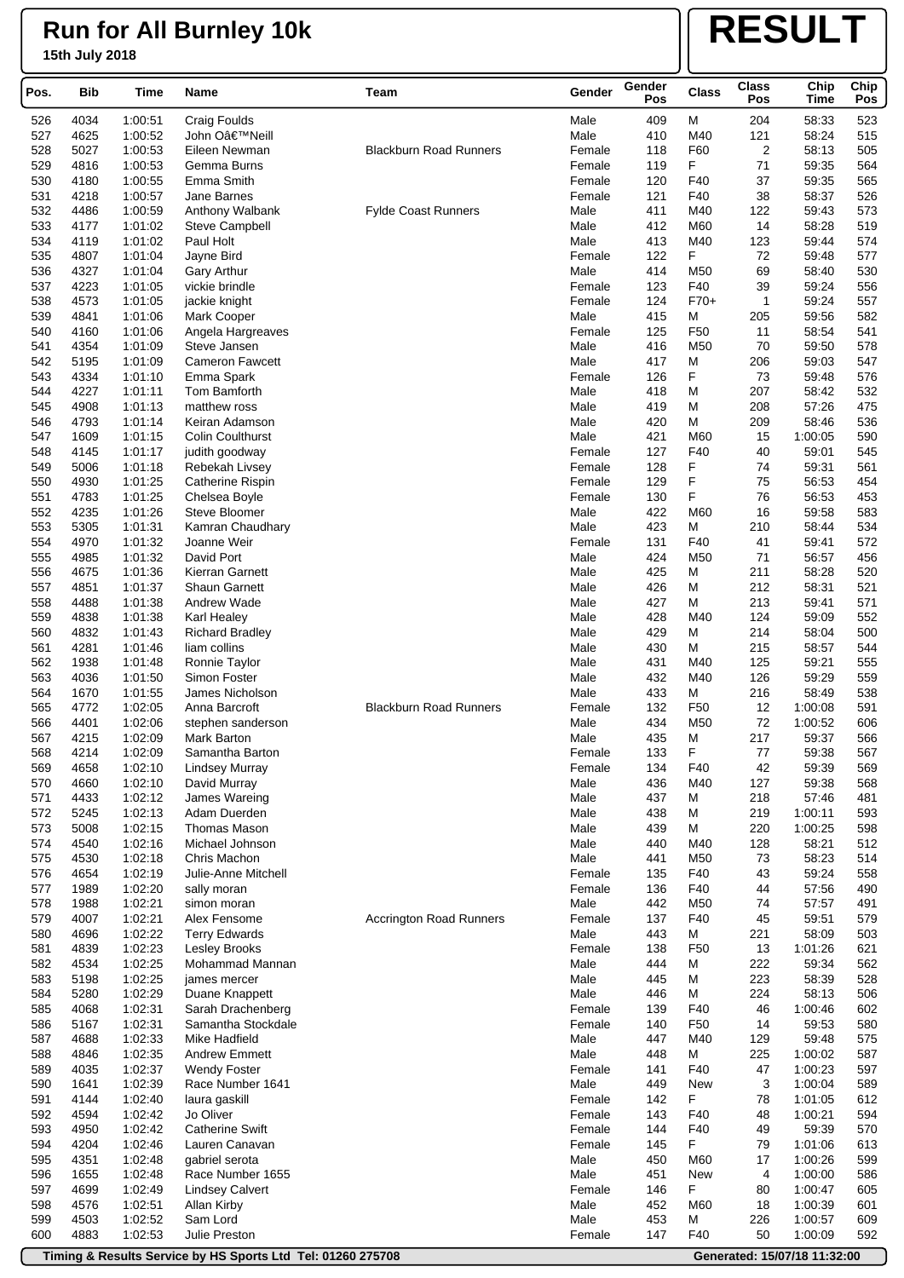# **RESULT**

| Pos.       | <b>Bib</b>   | Time               | Name                              | Team                           | Gender         | Gender<br>Pos | <b>Class</b>         | <b>Class</b><br>Pos | Chip<br>Time       | Chip<br>Pos |
|------------|--------------|--------------------|-----------------------------------|--------------------------------|----------------|---------------|----------------------|---------------------|--------------------|-------------|
| 526        | 4034         | 1:00:51            | <b>Craig Foulds</b>               |                                | Male           | 409           | M                    | 204                 | 58:33              | 523         |
| 527        | 4625         | 1:00:52            | John O'Neill                      |                                | Male           | 410           | M40                  | 121                 | 58:24              | 515         |
| 528        | 5027         | 1:00:53            | Eileen Newman                     | <b>Blackburn Road Runners</b>  | Female         | 118           | F60                  | $\overline{2}$      | 58:13              | 505         |
| 529        | 4816         | 1:00:53            | Gemma Burns                       |                                | Female         | 119           | F                    | 71                  | 59:35              | 564         |
| 530        | 4180         | 1:00:55            | Emma Smith                        |                                | Female         | 120           | F40                  | 37                  | 59:35              | 565         |
| 531        | 4218         | 1:00:57            | Jane Barnes                       |                                | Female         | 121           | F40                  | 38                  | 58:37              | 526         |
| 532        | 4486         | 1:00:59            | Anthony Walbank                   | <b>Fylde Coast Runners</b>     | Male           | 411           | M40                  | 122                 | 59:43              | 573         |
| 533        | 4177         | 1:01:02            | Steve Campbell                    |                                | Male           | 412           | M60                  | 14                  | 58:28              | 519         |
| 534        | 4119         | 1:01:02            | Paul Holt                         |                                | Male           | 413           | M40                  | 123                 | 59:44              | 574         |
| 535        | 4807         | 1:01:04            | Jayne Bird                        |                                | Female         | 122           | F                    | 72                  | 59:48              | 577         |
| 536        | 4327         | 1:01:04            | <b>Gary Arthur</b>                |                                | Male           | 414           | M50                  | 69                  | 58:40              | 530         |
| 537        | 4223         | 1:01:05            | vickie brindle                    |                                | Female         | 123           | F40                  | 39                  | 59:24              | 556         |
| 538        | 4573         | 1:01:05            | jackie knight                     |                                | Female         | 124           | $F70+$               | 1                   | 59:24              | 557         |
| 539<br>540 | 4841<br>4160 | 1:01:06<br>1:01:06 | Mark Cooper                       |                                | Male<br>Female | 415<br>125    | M<br>F <sub>50</sub> | 205<br>11           | 59:56<br>58:54     | 582<br>541  |
| 541        | 4354         | 1:01:09            | Angela Hargreaves<br>Steve Jansen |                                | Male           | 416           | M50                  | 70                  | 59:50              | 578         |
| 542        | 5195         | 1:01:09            | <b>Cameron Fawcett</b>            |                                | Male           | 417           | М                    | 206                 | 59:03              | 547         |
| 543        | 4334         | 1:01:10            | Emma Spark                        |                                | Female         | 126           | F                    | 73                  | 59:48              | 576         |
| 544        | 4227         | 1:01:11            | Tom Bamforth                      |                                | Male           | 418           | М                    | 207                 | 58:42              | 532         |
| 545        | 4908         | 1:01:13            | matthew ross                      |                                | Male           | 419           | М                    | 208                 | 57:26              | 475         |
| 546        | 4793         | 1:01:14            | Keiran Adamson                    |                                | Male           | 420           | М                    | 209                 | 58:46              | 536         |
| 547        | 1609         | 1:01:15            | <b>Colin Coulthurst</b>           |                                | Male           | 421           | M60                  | 15                  | 1:00:05            | 590         |
| 548        | 4145         | 1:01:17            | judith goodway                    |                                | Female         | 127           | F40                  | 40                  | 59:01              | 545         |
| 549        | 5006         | 1:01:18            | Rebekah Livsey                    |                                | Female         | 128           | F                    | 74                  | 59:31              | 561         |
| 550        | 4930         | 1:01:25            | <b>Catherine Rispin</b>           |                                | Female         | 129           | F                    | 75                  | 56:53              | 454         |
| 551        | 4783         | 1:01:25            | Chelsea Boyle                     |                                | Female         | 130           | F                    | 76                  | 56:53              | 453         |
| 552        | 4235         | 1:01:26            | Steve Bloomer                     |                                | Male           | 422           | M60                  | 16                  | 59:58              | 583         |
| 553        | 5305         | 1:01:31            | Kamran Chaudhary                  |                                | Male           | 423           | M                    | 210                 | 58:44              | 534         |
| 554        | 4970         | 1:01:32            | Joanne Weir                       |                                | Female         | 131           | F40                  | 41                  | 59:41              | 572         |
| 555        | 4985         | 1:01:32            | David Port                        |                                | Male           | 424           | M50                  | 71                  | 56:57              | 456         |
| 556        | 4675         | 1:01:36            | Kierran Garnett                   |                                | Male           | 425           | M                    | 211                 | 58:28              | 520         |
| 557        | 4851         | 1:01:37            | <b>Shaun Garnett</b>              |                                | Male           | 426           | М                    | 212                 | 58:31              | 521         |
| 558        | 4488         | 1:01:38            | Andrew Wade                       |                                | Male           | 427           | М                    | 213                 | 59:41              | 571         |
| 559        | 4838         | 1:01:38            | Karl Healey                       |                                | Male           | 428           | M40                  | 124                 | 59:09              | 552         |
| 560        | 4832         | 1:01:43            | <b>Richard Bradley</b>            |                                | Male           | 429           | М                    | 214                 | 58:04              | 500         |
| 561        | 4281         | 1:01:46            | liam collins                      |                                | Male           | 430           | М                    | 215                 | 58:57              | 544         |
| 562        | 1938         | 1:01:48            | Ronnie Taylor                     |                                | Male           | 431           | M40                  | 125                 | 59:21              | 555         |
| 563        | 4036         | 1:01:50            | Simon Foster                      |                                | Male           | 432           | M40                  | 126                 | 59:29              | 559         |
| 564        | 1670         | 1:01:55            | James Nicholson                   |                                | Male           | 433           | М                    | 216                 | 58:49              | 538         |
| 565        | 4772         | 1:02:05            | Anna Barcroft                     | <b>Blackburn Road Runners</b>  | Female         | 132           | F <sub>50</sub>      | 12                  | 1:00:08            | 591         |
| 566        | 4401         | 1:02:06            | stephen sanderson                 |                                | Male           | 434           | M50                  | 72                  | 1:00:52            | 606         |
| 567        | 4215         | 1:02:09            | Mark Barton                       |                                | Male           | 435           | М                    | 217                 | 59:37              | 566         |
| 568        | 4214         | 1:02:09            | Samantha Barton                   |                                | Female         | 133           | F                    | 77                  | 59:38              | 567         |
| 569        | 4658         | 1:02:10            | Lindsey Murray                    |                                | Female         | 134           | F40                  | 42                  | 59:39              | 569         |
| 570<br>571 | 4660<br>4433 | 1:02:10<br>1:02:12 | David Murray<br>James Wareing     |                                | Male<br>Male   | 436<br>437    | M40<br>М             | 127<br>218          | 59:38<br>57:46     | 568<br>481  |
| 572        | 5245         | 1:02:13            | Adam Duerden                      |                                | Male           | 438           | М                    | 219                 | 1:00:11            | 593         |
| 573        | 5008         | 1:02:15            | <b>Thomas Mason</b>               |                                | Male           | 439           | М                    | 220                 | 1:00:25            | 598         |
| 574        | 4540         | 1:02:16            | Michael Johnson                   |                                | Male           | 440           | M40                  | 128                 | 58:21              | 512         |
| 575        | 4530         | 1:02:18            | Chris Machon                      |                                | Male           | 441           | M50                  | 73                  | 58:23              | 514         |
| 576        | 4654         | 1:02:19            | Julie-Anne Mitchell               |                                | Female         | 135           | F40                  | 43                  | 59:24              | 558         |
| 577        | 1989         | 1:02:20            | sally moran                       |                                | Female         | 136           | F40                  | 44                  | 57:56              | 490         |
| 578        | 1988         | 1:02:21            | simon moran                       |                                | Male           | 442           | M50                  | 74                  | 57:57              | 491         |
| 579        | 4007         | 1:02:21            | Alex Fensome                      | <b>Accrington Road Runners</b> | Female         | 137           | F40                  | 45                  | 59:51              | 579         |
| 580        | 4696         | 1:02:22            | <b>Terry Edwards</b>              |                                | Male           | 443           | М                    | 221                 | 58:09              | 503         |
| 581        | 4839         | 1:02:23            | Lesley Brooks                     |                                | Female         | 138           | F <sub>50</sub>      | 13                  | 1:01:26            | 621         |
| 582        | 4534         | 1:02:25            | Mohammad Mannan                   |                                | Male           | 444           | M                    | 222                 | 59:34              | 562         |
| 583        | 5198         | 1:02:25            | james mercer                      |                                | Male           | 445           | М                    | 223                 | 58:39              | 528         |
| 584        | 5280         | 1:02:29            | Duane Knappett                    |                                | Male           | 446           | М                    | 224                 | 58:13              | 506         |
| 585        | 4068         | 1:02:31            | Sarah Drachenberg                 |                                | Female         | 139           | F40                  | 46                  | 1:00:46            | 602         |
| 586        | 5167         | 1:02:31            | Samantha Stockdale                |                                | Female         | 140           | F <sub>50</sub>      | 14                  | 59:53              | 580         |
| 587        | 4688         | 1:02:33            | Mike Hadfield                     |                                | Male           | 447           | M40                  | 129                 | 59:48              | 575         |
| 588        | 4846         | 1:02:35            | <b>Andrew Emmett</b>              |                                | Male           | 448           | м                    | 225                 | 1:00:02            | 587         |
| 589        | 4035         | 1:02:37            | <b>Wendy Foster</b>               |                                | Female         | 141           | F40                  | 47                  | 1:00:23            | 597         |
| 590        | 1641         | 1:02:39            | Race Number 1641                  |                                | Male           | 449           | New                  | 3                   | 1:00:04            | 589         |
| 591        | 4144         | 1:02:40            | laura gaskill                     |                                | Female         | 142           | F                    | 78                  | 1:01:05            | 612         |
| 592        | 4594         | 1:02:42            | Jo Oliver                         |                                | Female         | 143           | F40                  | 48                  | 1:00:21            | 594         |
| 593        | 4950         | 1:02:42            | <b>Catherine Swift</b>            |                                | Female         | 144           | F40                  | 49                  | 59:39              | 570         |
| 594        | 4204         | 1:02:46            | Lauren Canavan                    |                                | Female         | 145           | F                    | 79                  | 1:01:06            | 613         |
| 595        | 4351         | 1:02:48            | gabriel serota                    |                                | Male           | 450           | M60                  | 17                  | 1:00:26            | 599         |
| 596        | 1655         | 1:02:48            | Race Number 1655                  |                                | Male           | 451           | <b>New</b>           | 4                   | 1:00:00            | 586         |
| 597        | 4699         | 1:02:49            | <b>Lindsey Calvert</b>            |                                | Female         | 146           | F                    | 80                  | 1:00:47            | 605         |
| 598<br>599 | 4576<br>4503 | 1:02:51<br>1:02:52 | Allan Kirby<br>Sam Lord           |                                | Male<br>Male   | 452<br>453    | M60<br>М             | 18<br>226           | 1:00:39<br>1:00:57 | 601<br>609  |
| 600        | 4883         | 1:02:53            | Julie Preston                     |                                | Female         | 147           | F40                  | 50                  | 1:00:09            | 592         |
|            |              |                    |                                   |                                |                |               |                      |                     |                    |             |

**Timing & Results Service by HS Sports Ltd Tel: 01260 275708 Generated: 15/07/18 11:32:00**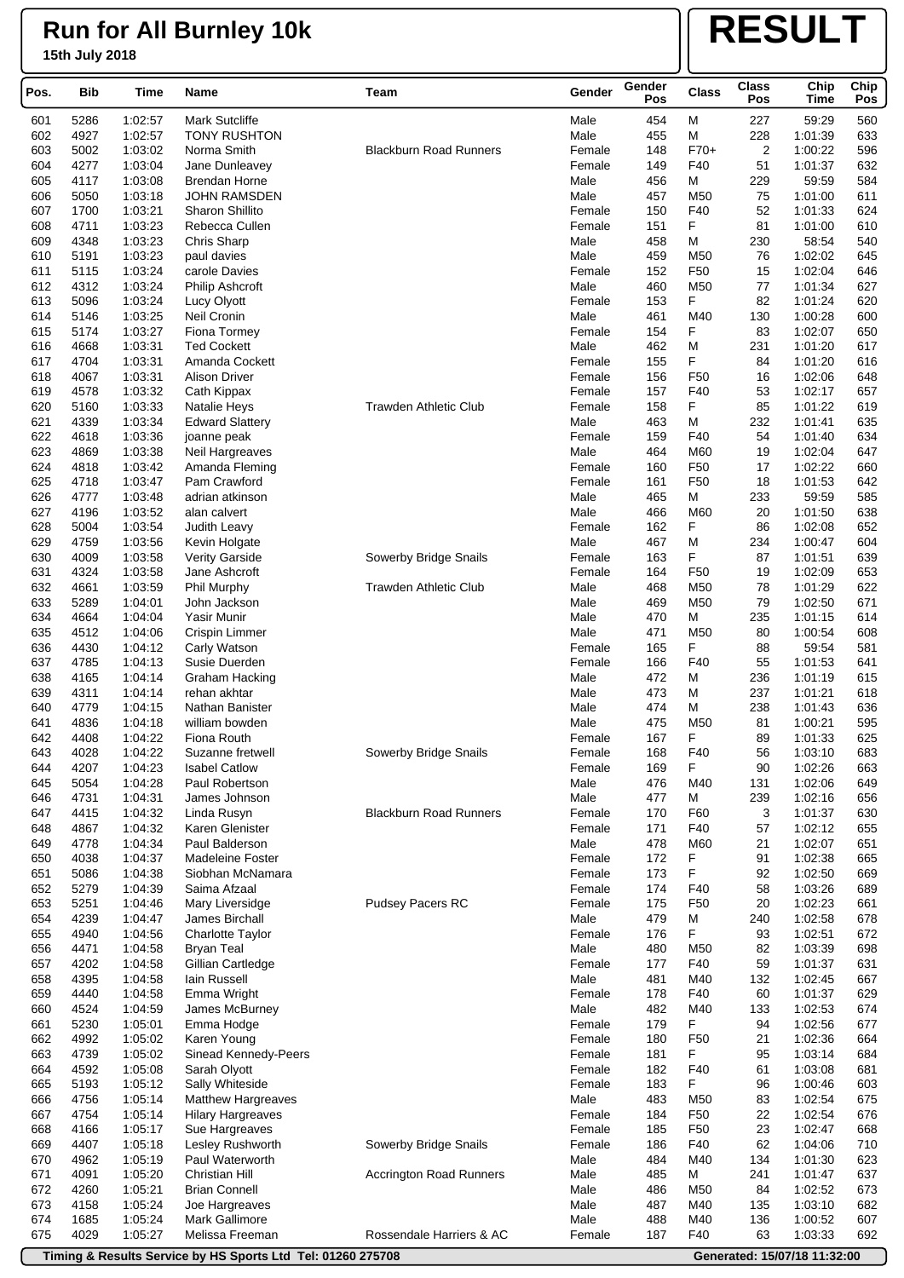# **RESULT**

| Pos. | Bib  | Time    | <b>Name</b>              | Team                           | Gender | Gender<br>Pos | <b>Class</b>    | <b>Class</b><br>Pos | Chip<br><b>Time</b> | Chip<br>Pos |
|------|------|---------|--------------------------|--------------------------------|--------|---------------|-----------------|---------------------|---------------------|-------------|
| 601  | 5286 | 1:02:57 | <b>Mark Sutcliffe</b>    |                                | Male   | 454           | M               | 227                 | 59:29               | 560         |
| 602  | 4927 | 1:02:57 | <b>TONY RUSHTON</b>      |                                | Male   | 455           | M               | 228                 | 1:01:39             | 633         |
| 603  | 5002 | 1:03:02 | Norma Smith              | <b>Blackburn Road Runners</b>  | Female | 148           | $F70+$          | $\overline{2}$      | 1:00:22             | 596         |
| 604  | 4277 | 1:03:04 | Jane Dunleavey           |                                | Female | 149           | F40             | 51                  | 1:01:37             | 632         |
| 605  | 4117 | 1:03:08 | <b>Brendan Horne</b>     |                                | Male   | 456           | Μ               | 229                 | 59:59               | 584         |
| 606  | 5050 | 1:03:18 | <b>JOHN RAMSDEN</b>      |                                | Male   | 457           | M <sub>50</sub> | 75                  | 1:01:00             | 611         |
| 607  | 1700 | 1:03:21 | Sharon Shillito          |                                | Female | 150           | F40             | 52                  | 1:01:33             | 624         |
| 608  | 4711 | 1:03:23 | Rebecca Cullen           |                                | Female | 151           | F               | 81                  | 1:01:00             | 610         |
| 609  | 4348 | 1:03:23 | Chris Sharp              |                                | Male   | 458           | М               | 230                 | 58:54               | 540         |
| 610  | 5191 | 1:03:23 | paul davies              |                                | Male   | 459           | M50             | 76                  | 1:02:02             | 645         |
| 611  | 5115 | 1:03:24 | carole Davies            |                                | Female | 152           | F50             | 15                  | 1:02:04             | 646         |
| 612  | 4312 | 1:03:24 | <b>Philip Ashcroft</b>   |                                | Male   | 460           | M <sub>50</sub> | 77                  | 1:01:34             | 627         |
| 613  | 5096 | 1:03:24 | Lucy Olyott              |                                | Female | 153           | F               | 82                  | 1:01:24             | 620         |
| 614  | 5146 | 1:03:25 | Neil Cronin              |                                | Male   | 461           | M40             | 130                 | 1:00:28             | 600         |
| 615  | 5174 | 1:03:27 | Fiona Tormey             |                                | Female | 154           | F               | 83                  | 1:02:07             | 650         |
| 616  | 4668 | 1:03:31 | <b>Ted Cockett</b>       |                                | Male   | 462           | M               | 231                 | 1:01:20             | 617         |
| 617  | 4704 | 1:03:31 | Amanda Cockett           |                                | Female | 155           | F               | 84                  | 1:01:20             | 616         |
| 618  | 4067 | 1:03:31 | <b>Alison Driver</b>     |                                | Female | 156           | F50             | 16                  | 1:02:06             | 648         |
| 619  | 4578 | 1:03:32 | Cath Kippax              |                                | Female | 157           | F40             | 53                  | 1:02:17             | 657         |
| 620  | 5160 | 1:03:33 | Natalie Heys             | <b>Trawden Athletic Club</b>   | Female | 158           | F               | 85                  | 1:01:22             | 619         |
| 621  | 4339 | 1:03:34 | <b>Edward Slattery</b>   |                                | Male   | 463           | Μ               | 232                 | 1:01:41             | 635         |
| 622  | 4618 | 1:03:36 | joanne peak              |                                | Female | 159           | F40             | 54                  | 1:01:40             | 634         |
| 623  | 4869 | 1:03:38 | Neil Hargreaves          |                                | Male   | 464           | M60             | 19                  | 1:02:04             | 647         |
| 624  | 4818 | 1:03:42 | Amanda Fleming           |                                | Female | 160           | F50             | 17                  | 1:02:22             | 660         |
| 625  | 4718 | 1:03:47 | Pam Crawford             |                                | Female | 161           | F <sub>50</sub> | 18                  | 1:01:53             | 642         |
| 626  | 4777 | 1:03:48 | adrian atkinson          |                                | Male   | 465           | М               | 233                 | 59:59               | 585         |
| 627  | 4196 | 1:03:52 | alan calvert             |                                | Male   | 466           | M60             | 20                  | 1:01:50             | 638         |
| 628  | 5004 | 1:03:54 | Judith Leavy             |                                | Female | 162           | F               | 86                  | 1:02:08             | 652         |
| 629  | 4759 | 1:03:56 | Kevin Holgate            |                                | Male   | 467           | M               | 234                 | 1:00:47             | 604         |
| 630  | 4009 | 1:03:58 | <b>Verity Garside</b>    | Sowerby Bridge Snails          | Female | 163           | F               | 87                  | 1:01:51             | 639         |
| 631  | 4324 | 1:03:58 | Jane Ashcroft            |                                | Female | 164           | F <sub>50</sub> | 19                  | 1:02:09             | 653         |
| 632  | 4661 | 1:03:59 | Phil Murphy              | <b>Trawden Athletic Club</b>   | Male   | 468           | M <sub>50</sub> | 78                  | 1:01:29             | 622         |
| 633  | 5289 | 1:04:01 | John Jackson             |                                | Male   | 469           | M50             | 79                  | 1:02:50             | 671         |
| 634  | 4664 | 1:04:04 | Yasir Munir              |                                | Male   | 470           | М               | 235                 | 1:01:15             | 614         |
| 635  | 4512 | 1:04:06 | Crispin Limmer           |                                | Male   | 471           | M <sub>50</sub> | 80                  | 1:00:54             | 608         |
| 636  | 4430 | 1:04:12 | Carly Watson             |                                | Female | 165           | F               | 88                  | 59:54               | 581         |
| 637  | 4785 | 1:04:13 | Susie Duerden            |                                | Female | 166           | F40             | 55                  | 1:01:53             | 641         |
| 638  | 4165 | 1:04:14 | <b>Graham Hacking</b>    |                                | Male   | 472           | М               | 236                 | 1:01:19             | 615         |
| 639  | 4311 | 1:04:14 | rehan akhtar             |                                | Male   | 473           | М               | 237                 | 1:01:21             | 618         |
| 640  | 4779 | 1:04:15 | Nathan Banister          |                                | Male   | 474           | М               | 238                 | 1:01:43             | 636         |
| 641  | 4836 | 1:04:18 |                          |                                | Male   | 475           | M50             | 81                  | 1:00:21             | 595         |
|      | 4408 |         | william bowden           |                                |        | 167           | F               |                     |                     |             |
| 642  |      | 1:04:22 | Fiona Routh              |                                | Female |               | F40             | 89                  | 1:01:33             | 625         |
| 643  | 4028 | 1:04:22 | Suzanne fretwell         | Sowerby Bridge Snails          | Female | 168           | F               | 56                  | 1:03:10             | 683         |
| 644  | 4207 | 1:04:23 | <b>Isabel Catlow</b>     |                                | Female | 169           |                 | 90                  | 1:02:26             | 663         |
| 645  | 5054 | 1:04:28 | Paul Robertson           |                                | Male   | 476           | M40             | 131                 | 1:02:06             | 649         |
| 646  | 4731 | 1:04:31 | James Johnson            | <b>Blackburn Road Runners</b>  | Male   | 477           | М               | 239                 | 1:02:16             | 656         |
| 647  | 4415 | 1:04:32 | Linda Rusyn              |                                | Female | 170           | F60             | 3                   | 1:01:37             | 630         |
| 648  | 4867 | 1:04:32 | Karen Glenister          |                                | Female | 171           | F40             | 57                  | 1:02:12             | 655         |
| 649  | 4778 | 1:04:34 | Paul Balderson           |                                | Male   | 478           | M60             | 21                  | 1:02:07             | 651         |
| 650  | 4038 | 1:04:37 | Madeleine Foster         |                                | Female | 172           | F               | 91                  | 1:02:38             | 665         |
| 651  | 5086 | 1:04:38 | Siobhan McNamara         |                                | Female | 173           | F               | 92                  | 1:02:50             | 669         |
| 652  | 5279 | 1:04:39 | Saima Afzaal             |                                | Female | 174           | F40             | 58                  | 1:03:26             | 689         |
| 653  | 5251 | 1:04:46 | Mary Liversidge          | Pudsey Pacers RC               | Female | 175           | F <sub>50</sub> | 20                  | 1:02:23             | 661         |
| 654  | 4239 | 1:04:47 | James Birchall           |                                | Male   | 479           | М               | 240                 | 1:02:58             | 678         |
| 655  | 4940 | 1:04:56 | <b>Charlotte Taylor</b>  |                                | Female | 176           | F               | 93                  | 1:02:51             | 672         |
| 656  | 4471 | 1:04:58 | <b>Bryan Teal</b>        |                                | Male   | 480           | M50             | 82                  | 1:03:39             | 698         |
| 657  | 4202 | 1:04:58 | Gillian Cartledge        |                                | Female | 177           | F40             | 59                  | 1:01:37             | 631         |
| 658  | 4395 | 1:04:58 | lain Russell             |                                | Male   | 481           | M40             | 132                 | 1:02:45             | 667         |
| 659  | 4440 | 1:04:58 | Emma Wright              |                                | Female | 178           | F40             | 60                  | 1:01:37             | 629         |
| 660  | 4524 | 1:04:59 | James McBurney           |                                | Male   | 482           | M40             | 133                 | 1:02:53             | 674         |
| 661  | 5230 | 1:05:01 | Emma Hodge               |                                | Female | 179           | F               | 94                  | 1:02:56             | 677         |
| 662  | 4992 | 1:05:02 | Karen Young              |                                | Female | 180           | F <sub>50</sub> | 21                  | 1:02:36             | 664         |
| 663  | 4739 | 1:05:02 | Sinead Kennedy-Peers     |                                | Female | 181           | F               | 95                  | 1:03:14             | 684         |
| 664  | 4592 | 1:05:08 | Sarah Olyott             |                                | Female | 182           | F40             | 61                  | 1:03:08             | 681         |
| 665  | 5193 | 1:05:12 | Sally Whiteside          |                                | Female | 183           | F               | 96                  | 1:00:46             | 603         |
| 666  | 4756 | 1:05:14 | Matthew Hargreaves       |                                | Male   | 483           | M <sub>50</sub> | 83                  | 1:02:54             | 675         |
| 667  | 4754 | 1:05:14 | <b>Hilary Hargreaves</b> |                                | Female | 184           | F50             | 22                  | 1:02:54             | 676         |
| 668  | 4166 | 1:05:17 | Sue Hargreaves           |                                | Female | 185           | F50             | 23                  | 1:02:47             | 668         |
| 669  | 4407 | 1:05:18 | Lesley Rushworth         | Sowerby Bridge Snails          | Female | 186           | F40             | 62                  | 1:04:06             | 710         |
| 670  | 4962 | 1:05:19 | Paul Waterworth          |                                | Male   | 484           | M40             | 134                 | 1:01:30             | 623         |
| 671  | 4091 | 1:05:20 | Christian Hill           | <b>Accrington Road Runners</b> | Male   | 485           | М               | 241                 | 1:01:47             | 637         |
| 672  | 4260 | 1:05:21 | <b>Brian Connell</b>     |                                | Male   | 486           | M <sub>50</sub> | 84                  | 1:02:52             | 673         |
| 673  | 4158 | 1:05:24 | Joe Hargreaves           |                                | Male   | 487           | M40             | 135                 | 1:03:10             | 682         |
| 674  | 1685 | 1:05:24 | <b>Mark Gallimore</b>    |                                | Male   | 488           | M40             | 136                 | 1:00:52             | 607         |
| 675  | 4029 | 1:05:27 | Melissa Freeman          | Rossendale Harriers & AC       | Female | 187           | F40             | 63                  | 1:03:33             | 692         |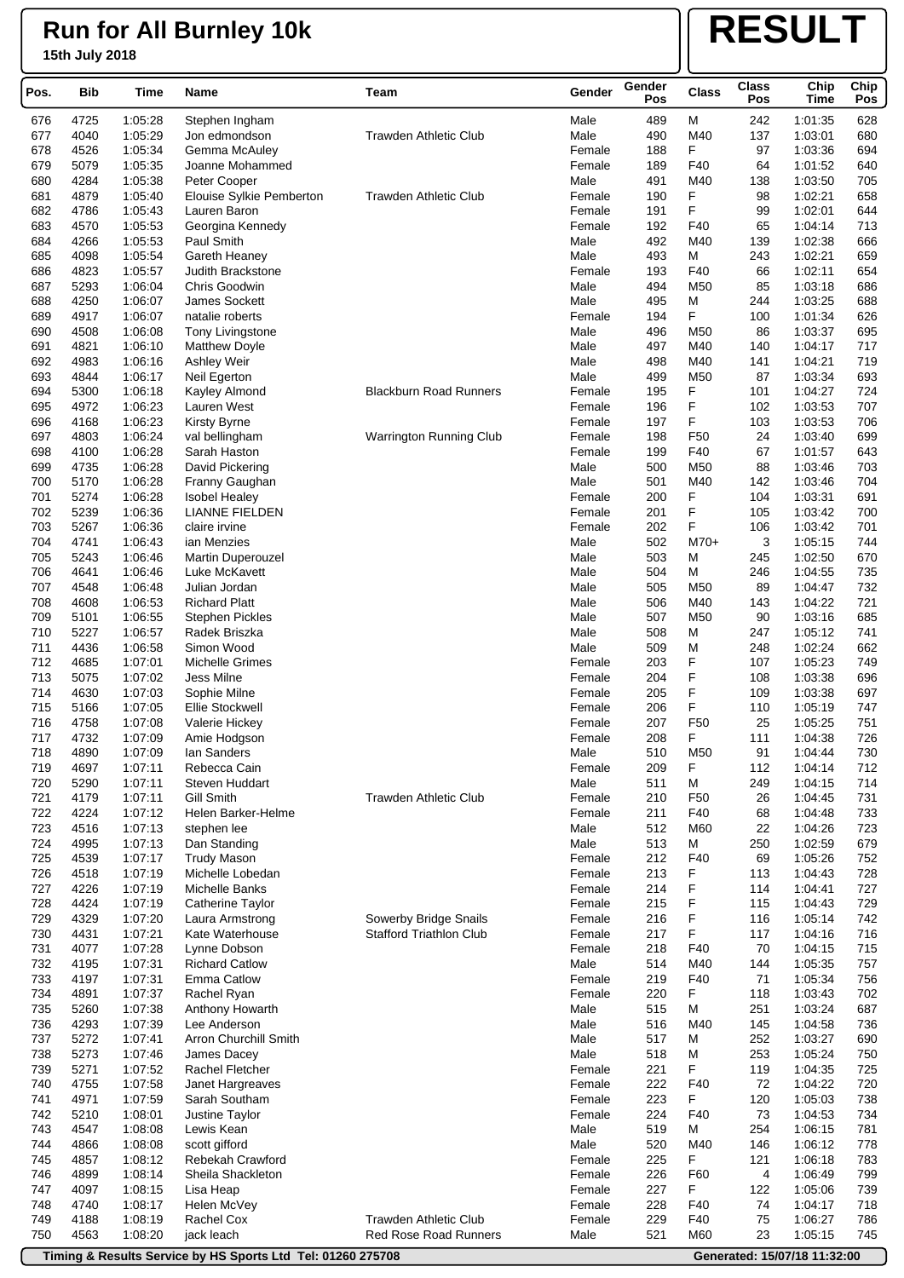## **Run for All Burnley 10k**

### **15th July 2018**

# **RESULT**

| Pos.       | <b>Bib</b>   | Time               | Name                                   | <b>Team</b>                    | Gender           | Gender<br>Pos | <b>Class</b>    | <b>Class</b><br>Pos | Chip<br><b>Time</b> | Chip<br>Pos |
|------------|--------------|--------------------|----------------------------------------|--------------------------------|------------------|---------------|-----------------|---------------------|---------------------|-------------|
| 676        | 4725         | 1:05:28            | Stephen Ingham                         |                                | Male             | 489           | M               | 242                 | 1:01:35             | 628         |
| 677        | 4040         | 1:05:29            | Jon edmondson                          | <b>Trawden Athletic Club</b>   | Male             | 490           | M40             | 137                 | 1:03:01             | 680         |
| 678        | 4526         | 1:05:34            | Gemma McAuley                          |                                | Female           | 188           | F               | 97                  | 1:03:36             | 694         |
| 679        | 5079         | 1:05:35            | Joanne Mohammed                        |                                | Female           | 189           | F40             | 64                  | 1:01:52             | 640         |
| 680        | 4284         | 1:05:38            | Peter Cooper                           |                                | Male             | 491           | M40             | 138                 | 1:03:50             | 705         |
| 681        | 4879         | 1:05:40            | Elouise Sylkie Pemberton               | <b>Trawden Athletic Club</b>   | Female           | 190           | F               | 98                  | 1:02:21             | 658         |
| 682        | 4786         | 1:05:43            | Lauren Baron                           |                                | Female           | 191           | F               | 99                  | 1:02:01             | 644         |
| 683        | 4570         | 1:05:53            | Georgina Kennedy                       |                                | Female           | 192           | F40             | 65                  | 1:04:14             | 713         |
| 684        | 4266         | 1:05:53            | Paul Smith                             |                                | Male             | 492           | M40             | 139                 | 1:02:38             | 666         |
| 685        | 4098         | 1:05:54            | Gareth Heaney                          |                                | Male             | 493           | М               | 243                 | 1:02:21             | 659         |
| 686        | 4823         | 1:05:57            | Judith Brackstone                      |                                | Female           | 193           | F40             | 66                  | 1:02:11             | 654         |
| 687        | 5293         | 1:06:04            | Chris Goodwin                          |                                | Male             | 494           | M50             | 85                  | 1:03:18             | 686         |
| 688        | 4250         | 1:06:07            | James Sockett                          |                                | Male             | 495           | М               | 244                 | 1:03:25             | 688         |
| 689        | 4917         | 1:06:07            | natalie roberts                        |                                | Female           | 194           | F               | 100                 | 1:01:34             | 626         |
| 690        | 4508         | 1:06:08            | <b>Tony Livingstone</b>                |                                | Male             | 496           | M50             | 86                  | 1:03:37             | 695         |
| 691        | 4821         | 1:06:10            | <b>Matthew Doyle</b>                   |                                | Male             | 497           | M40             | 140                 | 1:04:17             | 717         |
| 692        | 4983         | 1:06:16            | Ashley Weir                            |                                | Male             | 498           | M40             | 141                 | 1:04:21             | 719         |
| 693        | 4844         | 1:06:17            | Neil Egerton                           |                                | Male             | 499           | M50             | 87                  | 1:03:34             | 693         |
| 694        | 5300         | 1:06:18            | Kayley Almond                          | <b>Blackburn Road Runners</b>  | Female           | 195           | F               | 101                 | 1:04:27             | 724         |
| 695        | 4972         | 1:06:23            | Lauren West                            |                                | Female           | 196           | F               | 102                 | 1:03:53             | 707         |
| 696        | 4168         | 1:06:23            | Kirsty Byrne                           |                                | Female           | 197           | F               | 103                 | 1:03:53             | 706         |
| 697        | 4803         | 1:06:24            | val bellingham                         | Warrington Running Club        | Female           | 198           | F <sub>50</sub> | 24                  | 1:03:40             | 699         |
| 698        | 4100         | 1:06:28            | Sarah Haston                           |                                | Female           | 199           | F40             | 67                  | 1:01:57             | 643         |
| 699        | 4735         | 1:06:28            | David Pickering                        |                                | Male             | 500           | M50             | 88                  | 1:03:46             | 703         |
| 700<br>701 | 5170<br>5274 | 1:06:28<br>1:06:28 | Franny Gaughan<br><b>Isobel Healey</b> |                                | Male<br>Female   | 501<br>200    | M40<br>F        | 142<br>104          | 1:03:46<br>1:03:31  | 704<br>691  |
|            |              |                    |                                        |                                |                  |               |                 |                     |                     |             |
| 702<br>703 | 5239<br>5267 | 1:06:36<br>1:06:36 | <b>LIANNE FIELDEN</b><br>claire irvine |                                | Female<br>Female | 201<br>202    | F<br>F          | 105<br>106          | 1:03:42<br>1:03:42  | 700<br>701  |
| 704        | 4741         | 1:06:43            | ian Menzies                            |                                | Male             | 502           | $M70+$          | 3                   | 1:05:15             | 744         |
| 705        | 5243         | 1:06:46            | <b>Martin Duperouzel</b>               |                                | Male             | 503           | М               | 245                 | 1:02:50             | 670         |
| 706        | 4641         | 1:06:46            | Luke McKavett                          |                                | Male             | 504           | M               | 246                 | 1:04:55             | 735         |
| 707        | 4548         | 1:06:48            | Julian Jordan                          |                                | Male             | 505           | M <sub>50</sub> | 89                  | 1:04:47             | 732         |
| 708        | 4608         | 1:06:53            | <b>Richard Platt</b>                   |                                | Male             | 506           | M40             | 143                 | 1:04:22             | 721         |
| 709        | 5101         | 1:06:55            | <b>Stephen Pickles</b>                 |                                | Male             | 507           | M50             | 90                  | 1:03:16             | 685         |
| 710        | 5227         | 1:06:57            | Radek Briszka                          |                                | Male             | 508           | М               | 247                 | 1:05:12             | 741         |
| 711        | 4436         | 1:06:58            | Simon Wood                             |                                | Male             | 509           | М               | 248                 | 1:02:24             | 662         |
| 712        | 4685         | 1:07:01            | Michelle Grimes                        |                                | Female           | 203           | F               | 107                 | 1:05:23             | 749         |
| 713        | 5075         | 1:07:02            | Jess Milne                             |                                | Female           | 204           | F               | 108                 | 1:03:38             | 696         |
| 714        | 4630         | 1:07:03            | Sophie Milne                           |                                | Female           | 205           | F               | 109                 | 1:03:38             | 697         |
| 715        | 5166         | 1:07:05            | <b>Ellie Stockwell</b>                 |                                | Female           | 206           | F               | 110                 | 1:05:19             | 747         |
| 716        | 4758         | 1:07:08            | Valerie Hickey                         |                                | Female           | 207           | F <sub>50</sub> | 25                  | 1:05:25             | 751         |
| 717        | 4732         | 1:07:09            | Amie Hodgson                           |                                | Female           | 208           | F               | 111                 | 1:04:38             | 726         |
| 718        | 4890         | 1:07:09            | Ian Sanders                            |                                | Male             | 510           | M50             | 91                  | 1:04:44             | 730         |
| 719        | 4697         | 1:07:11            | Rebecca Cain                           |                                | Female           | 209           | F               | 112                 | 1:04:14             | 712         |
| 720        | 5290         | 1:07:11            | Steven Huddart                         |                                | Male             | 511           | M               | 249                 | 1:04:15             | 714         |
| 721        | 4179         | 1:07:11            | <b>Gill Smith</b>                      | <b>Trawden Athletic Club</b>   | Female           | 210           | F <sub>50</sub> | 26                  | 1:04:45             | 731         |
| 722        | 4224         | 1:07:12            | Helen Barker-Helme                     |                                | Female           | 211           | F40             | 68                  | 1:04:48             | 733         |
| 723        | 4516         | 1:07:13            | stephen lee                            |                                | Male             | 512           | M60             | 22                  | 1:04:26             | 723         |
| 724        | 4995         | 1:07:13            | Dan Standing                           |                                | Male             | 513           | M               | 250                 | 1:02:59             | 679         |
| 725        | 4539         | 1:07:17            | <b>Trudy Mason</b>                     |                                | Female           | 212           | F40             | 69                  | 1:05:26             | 752         |
| 726        | 4518         | 1:07:19            | Michelle Lobedan                       |                                | Female           | 213           | F               | 113                 | 1:04:43             | 728         |
| 727        | 4226         | 1:07:19            | Michelle Banks                         |                                | Female           | 214           | F               | 114                 | 1:04:41             | 727         |
| 728        | 4424         | 1:07:19            | Catherine Taylor                       |                                | Female           | 215           | F               | 115                 | 1:04:43             | 729         |
| 729        | 4329         | 1:07:20            | Laura Armstrong                        | Sowerby Bridge Snails          | Female           | 216           | F               | 116                 | 1:05:14             | 742         |
| 730        | 4431         | 1:07:21            | Kate Waterhouse                        | <b>Stafford Triathlon Club</b> | Female           | 217           | F               | 117                 | 1:04:16             | 716         |
| 731        | 4077         | 1:07:28            | Lynne Dobson                           |                                | Female           | 218           | F40             | 70                  | 1:04:15             | 715         |
| 732        | 4195         | 1:07:31            | <b>Richard Catlow</b>                  |                                | Male             | 514           | M40             | 144                 | 1:05:35             | 757         |
| 733        | 4197         | 1:07:31            | <b>Emma Catlow</b>                     |                                | Female           | 219           | F40             | 71                  | 1:05:34             | 756         |
| 734        | 4891         | 1:07:37            | Rachel Ryan                            |                                | Female           | 220           | F               | 118                 | 1:03:43             | 702         |
| 735        | 5260         | 1:07:38            | Anthony Howarth                        |                                | Male             | 515           | м               | 251                 | 1:03:24             | 687         |
| 736        | 4293         | 1:07:39            | Lee Anderson                           |                                | Male             | 516           | M40             | 145                 | 1:04:58             | 736         |
| 737        | 5272         | 1:07:41            | Arron Churchill Smith                  |                                | Male             | 517           | M               | 252                 | 1:03:27             | 690         |
| 738        | 5273         | 1:07:46            | James Dacey                            |                                | Male             | 518           | М               | 253                 | 1:05:24             | 750         |
| 739<br>740 | 5271<br>4755 | 1:07:52<br>1:07:58 | Rachel Fletcher<br>Janet Hargreaves    |                                | Female<br>Female | 221<br>222    | F<br>F40        | 119<br>72           | 1:04:35<br>1:04:22  | 725<br>720  |
| 741        | 4971         | 1:07:59            | Sarah Southam                          |                                | Female           | 223           | F               | 120                 | 1:05:03             | 738         |
| 742        | 5210         | 1:08:01            | Justine Taylor                         |                                | Female           | 224           | F40             | 73                  | 1:04:53             | 734         |
| 743        | 4547         | 1:08:08            | Lewis Kean                             |                                | Male             | 519           | М               | 254                 | 1:06:15             | 781         |
| 744        | 4866         | 1:08:08            | scott gifford                          |                                | Male             | 520           | M40             | 146                 | 1:06:12             | 778         |
| 745        | 4857         | 1:08:12            | Rebekah Crawford                       |                                | Female           | 225           | F               | 121                 | 1:06:18             | 783         |
| 746        | 4899         | 1:08:14            | Sheila Shackleton                      |                                | Female           | 226           | F60             | 4                   | 1:06:49             | 799         |
| 747        | 4097         | 1:08:15            | Lisa Heap                              |                                | Female           | 227           | F               | 122                 | 1:05:06             | 739         |
| 748        | 4740         | 1:08:17            | Helen McVey                            |                                | Female           | 228           | F40             | 74                  | 1:04:17             | 718         |
| 749        | 4188         | 1:08:19            | Rachel Cox                             | <b>Trawden Athletic Club</b>   | Female           | 229           | F40             | 75                  | 1:06:27             | 786         |
| 750        | 4563         | 1:08:20            | jack leach                             | Red Rose Road Runners          | Male             | 521           | M60             | 23                  | 1:05:15             | 745         |
|            |              |                    |                                        |                                |                  |               |                 |                     |                     |             |

**Timing & Results Service by HS Sports Ltd Tel: 01260 275708 Generated: 15/07/18 11:32:00**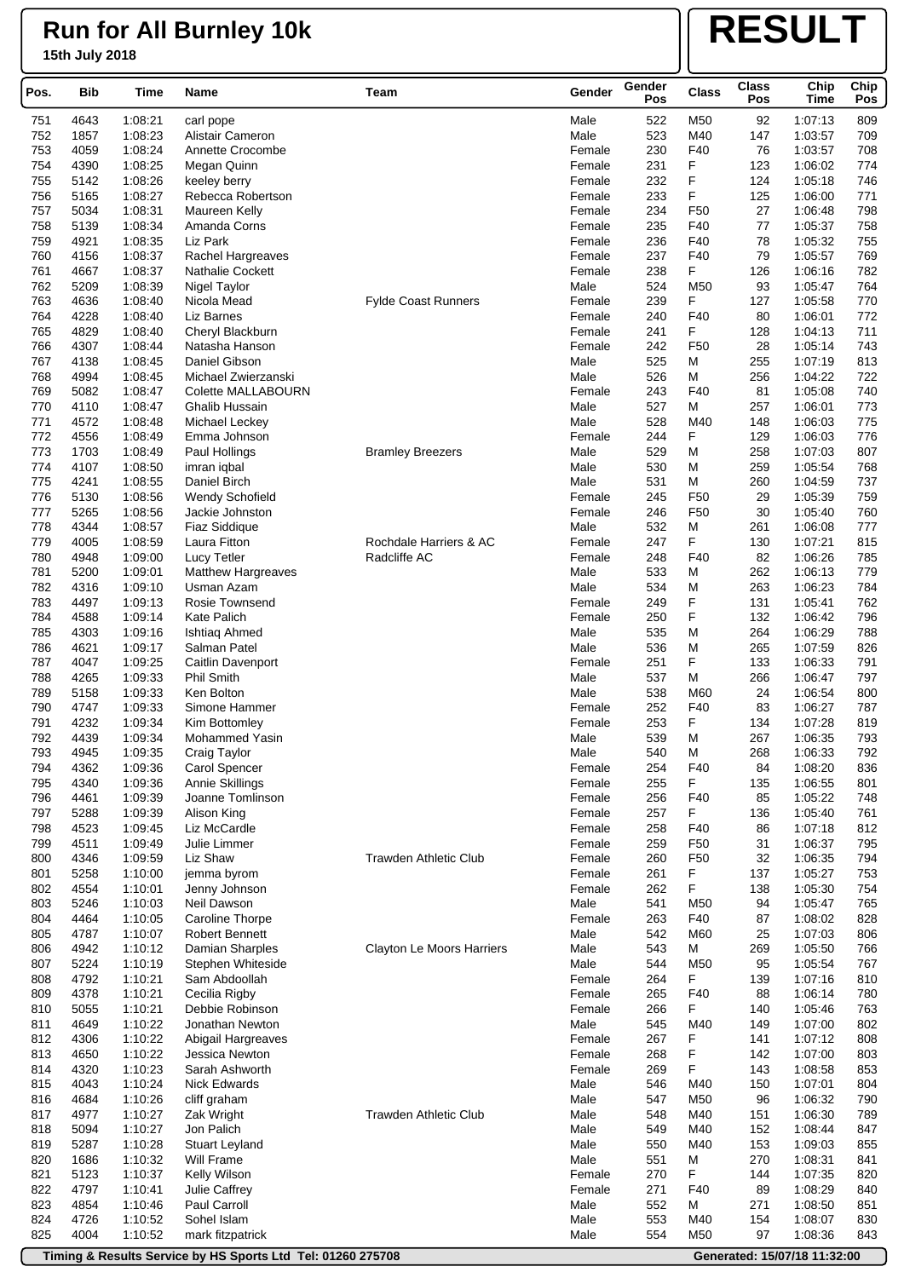# **RESULT**

| Pos. | Bib  | Time    | Name                      | Team                         | Gender | Gender<br>Pos | Class           | <b>Class</b><br>Pos | Chip<br><b>Time</b> | Chip<br>Pos |
|------|------|---------|---------------------------|------------------------------|--------|---------------|-----------------|---------------------|---------------------|-------------|
| 751  | 4643 | 1:08:21 | carl pope                 |                              | Male   | 522           | M50             | 92                  | 1:07:13             | 809         |
| 752  | 1857 | 1:08:23 | Alistair Cameron          |                              | Male   | 523           | M40             | 147                 | 1:03:57             | 709         |
| 753  | 4059 | 1:08:24 | Annette Crocombe          |                              | Female | 230           | F40             | 76                  | 1:03:57             | 708         |
| 754  | 4390 | 1:08:25 | Megan Quinn               |                              | Female | 231           | F               | 123                 | 1:06:02             | 774         |
| 755  | 5142 | 1:08:26 | keeley berry              |                              | Female | 232           | F               | 124                 | 1:05:18             | 746         |
| 756  | 5165 | 1:08:27 | Rebecca Robertson         |                              | Female | 233           | F               | 125                 | 1:06:00             | 771         |
| 757  | 5034 | 1:08:31 | Maureen Kelly             |                              | Female | 234           | F50             | 27                  | 1:06:48             | 798         |
| 758  | 5139 | 1:08:34 | Amanda Corns              |                              | Female | 235           | F40             | 77                  | 1:05:37             | 758         |
| 759  | 4921 | 1:08:35 | Liz Park                  |                              | Female | 236           | F40             | 78                  | 1:05:32             | 755         |
| 760  | 4156 | 1:08:37 | Rachel Hargreaves         |                              | Female | 237           | F40             | 79                  | 1:05:57             | 769         |
| 761  | 4667 | 1:08:37 | <b>Nathalie Cockett</b>   |                              | Female | 238           | F.              | 126                 | 1:06:16             | 782         |
| 762  | 5209 | 1:08:39 | Nigel Taylor              |                              | Male   | 524           | M50             | 93                  | 1:05:47             | 764         |
| 763  | 4636 | 1:08:40 | Nicola Mead               | <b>Fylde Coast Runners</b>   | Female | 239           | F               | 127                 | 1:05:58             | 770         |
| 764  | 4228 | 1:08:40 | Liz Barnes                |                              | Female | 240           | F40             | 80                  | 1:06:01             | 772         |
| 765  | 4829 | 1:08:40 | Cheryl Blackburn          |                              | Female | 241           | F               | 128                 | 1:04:13             | 711         |
| 766  | 4307 | 1:08:44 | Natasha Hanson            |                              | Female | 242           | F <sub>50</sub> | 28                  | 1:05:14             | 743         |
| 767  | 4138 | 1:08:45 | Daniel Gibson             |                              | Male   | 525           | М               | 255                 | 1:07:19             | 813         |
| 768  | 4994 | 1:08:45 | Michael Zwierzanski       |                              | Male   | 526           | М               | 256                 | 1:04:22             | 722         |
| 769  | 5082 | 1:08:47 | Colette MALLABOURN        |                              | Female | 243           | F40             | 81                  | 1:05:08             | 740         |
| 770  | 4110 | 1:08:47 | Ghalib Hussain            |                              | Male   | 527           | М               | 257                 | 1:06:01             | 773         |
| 771  | 4572 | 1:08:48 | Michael Leckey            |                              | Male   | 528           | M40             | 148                 | 1:06:03             | 775         |
| 772  | 4556 | 1:08:49 | Emma Johnson              |                              | Female | 244           | F               | 129                 | 1:06:03             | 776         |
| 773  | 1703 | 1:08:49 | Paul Hollings             | <b>Bramley Breezers</b>      | Male   | 529           | М               | 258                 | 1:07:03             | 807         |
| 774  | 4107 | 1:08:50 | imran iqbal               |                              | Male   | 530           | М               | 259                 | 1:05:54             | 768         |
| 775  | 4241 | 1:08:55 | Daniel Birch              |                              | Male   | 531           | M               | 260                 | 1:04:59             | 737         |
| 776  | 5130 | 1:08:56 | Wendy Schofield           |                              | Female | 245           | F <sub>50</sub> | 29                  | 1:05:39             | 759         |
| 777  | 5265 | 1:08:56 | Jackie Johnston           |                              | Female | 246           | F50             | 30                  | 1:05:40             | 760         |
| 778  | 4344 | 1:08:57 | Fiaz Siddique             |                              | Male   | 532           | M               | 261                 | 1:06:08             | 777         |
| 779  | 4005 | 1:08:59 | Laura Fitton              | Rochdale Harriers & AC       | Female | 247           | F               | 130                 | 1:07:21             | 815         |
| 780  | 4948 | 1:09:00 | Lucy Tetler               | Radcliffe AC                 | Female | 248           | F40             | 82                  | 1:06:26             | 785         |
| 781  | 5200 | 1:09:01 | <b>Matthew Hargreaves</b> |                              | Male   | 533           | M               | 262                 | 1:06:13             | 779         |
| 782  | 4316 | 1:09:10 | Usman Azam                |                              | Male   | 534           | М               | 263                 | 1:06:23             | 784         |
| 783  | 4497 | 1:09:13 | Rosie Townsend            |                              | Female | 249           | F               | 131                 | 1:05:41             | 762         |
| 784  | 4588 | 1:09:14 | Kate Palich               |                              | Female | 250           | F               | 132                 | 1:06:42             | 796         |
| 785  | 4303 | 1:09:16 | Ishtiaq Ahmed             |                              | Male   | 535           | М               | 264                 | 1:06:29             | 788         |
| 786  | 4621 | 1:09:17 | Salman Patel              |                              | Male   | 536           | M               | 265                 | 1:07:59             | 826         |
| 787  | 4047 | 1:09:25 | Caitlin Davenport         |                              | Female | 251           | F               | 133                 | 1:06:33             | 791         |
| 788  | 4265 | 1:09:33 | Phil Smith                |                              | Male   | 537           | М               | 266                 | 1:06:47             | 797         |
| 789  | 5158 | 1:09:33 | Ken Bolton                |                              | Male   | 538           | M60             | 24                  | 1:06:54             | 800         |
| 790  | 4747 | 1:09:33 | Simone Hammer             |                              | Female | 252           | F40             | 83                  | 1:06:27             | 787         |
| 791  | 4232 | 1:09:34 | Kim Bottomley             |                              | Female | 253           | F               | 134                 | 1:07:28             | 819         |
| 792  | 4439 | 1:09:34 | Mohammed Yasin            |                              | Male   | 539           | M               | 267                 | 1:06:35             | 793         |
| 793  | 4945 | 1:09:35 | Craig Taylor              |                              | Male   | 540           | М               | 268                 | 1:06:33             | 792         |
| 794  | 4362 | 1:09:36 | Carol Spencer             |                              | Female | 254           | F40             | 84                  | 1:08:20             | 836         |
| 795  | 4340 | 1:09:36 | Annie Skillings           |                              | Female | 255           | F               | 135                 | 1:06:55             | 801         |
| 796  | 4461 | 1:09:39 | Joanne Tomlinson          |                              | Female | 256           | F40             | 85                  | 1:05:22             | 748         |
| 797  | 5288 | 1:09:39 | Alison King               |                              | Female | 257           | F.              | 136                 | 1:05:40             | 761         |
| 798  | 4523 | 1:09:45 | Liz McCardle              |                              | Female | 258           | F40             | 86                  | 1:07:18             | 812         |
| 799  | 4511 | 1:09:49 | Julie Limmer              |                              | Female | 259           | F50             | 31                  | 1:06:37             | 795         |
| 800  | 4346 | 1:09:59 | Liz Shaw                  | <b>Trawden Athletic Club</b> | Female | 260           | F <sub>50</sub> | 32                  | 1:06:35             | 794         |
| 801  | 5258 | 1:10:00 | jemma byrom               |                              | Female | 261           | F               | 137                 | 1:05:27             | 753         |
| 802  | 4554 | 1:10:01 | Jenny Johnson             |                              | Female | 262           | F               | 138                 | 1:05:30             | 754         |
| 803  | 5246 | 1:10:03 | Neil Dawson               |                              | Male   | 541           | M50             | 94                  | 1:05:47             | 765         |
| 804  | 4464 | 1:10:05 | <b>Caroline Thorpe</b>    |                              | Female | 263           | F40             | 87                  | 1:08:02             | 828         |
| 805  | 4787 | 1:10:07 | <b>Robert Bennett</b>     |                              | Male   | 542           | M60             | 25                  | 1:07:03             | 806         |
| 806  | 4942 | 1:10:12 | Damian Sharples           | Clayton Le Moors Harriers    | Male   | 543           | М               | 269                 | 1:05:50             | 766         |
| 807  | 5224 | 1:10:19 | Stephen Whiteside         |                              | Male   | 544           | M50             | 95                  | 1:05:54             | 767         |
| 808  | 4792 | 1:10:21 | Sam Abdoollah             |                              | Female | 264           | F               | 139                 | 1:07:16             | 810         |
| 809  | 4378 | 1:10:21 | Cecilia Rigby             |                              | Female | 265           | F40             | 88                  | 1:06:14             | 780         |
| 810  | 5055 | 1:10:21 | Debbie Robinson           |                              | Female | 266           | F               | 140                 | 1:05:46             | 763         |
| 811  | 4649 | 1:10:22 | Jonathan Newton           |                              | Male   | 545           | M40             | 149                 | 1:07:00             | 802         |
| 812  | 4306 | 1:10:22 | Abigail Hargreaves        |                              | Female | 267           | F               | 141                 | 1:07:12             | 808         |
| 813  | 4650 | 1:10:22 | Jessica Newton            |                              | Female | 268           | F               | 142                 | 1:07:00             | 803         |
| 814  | 4320 | 1:10:23 | Sarah Ashworth            |                              | Female | 269           | F               | 143                 | 1:08:58             | 853         |
| 815  | 4043 | 1:10:24 | Nick Edwards              |                              | Male   | 546           | M40             | 150                 | 1:07:01             | 804         |
| 816  | 4684 | 1:10:26 | cliff graham              |                              | Male   | 547           | M50             | 96                  | 1:06:32             | 790         |
| 817  | 4977 | 1:10:27 | Zak Wright                | <b>Trawden Athletic Club</b> | Male   | 548           | M40             | 151                 | 1:06:30             | 789         |
| 818  | 5094 | 1:10:27 | Jon Palich                |                              | Male   | 549           | M40             | 152                 | 1:08:44             | 847         |
| 819  | 5287 | 1:10:28 | Stuart Leyland            |                              | Male   | 550           | M40             | 153                 | 1:09:03             | 855         |
| 820  | 1686 | 1:10:32 | Will Frame                |                              | Male   | 551           | М               | 270                 | 1:08:31             | 841         |
| 821  | 5123 | 1:10:37 | Kelly Wilson              |                              | Female | 270           | F               | 144                 | 1:07:35             | 820         |
| 822  | 4797 | 1:10:41 | <b>Julie Caffrey</b>      |                              | Female | 271           | F40             | 89                  | 1:08:29             | 840         |
| 823  | 4854 | 1:10:46 | Paul Carroll              |                              | Male   | 552           | М               | 271                 | 1:08:50             | 851         |
| 824  | 4726 | 1:10:52 | Sohel Islam               |                              | Male   | 553           | M40             | 154                 | 1:08:07             | 830         |
| 825  | 4004 | 1:10:52 | mark fitzpatrick          |                              | Male   | 554           | M50             | 97                  | 1:08:36             | 843         |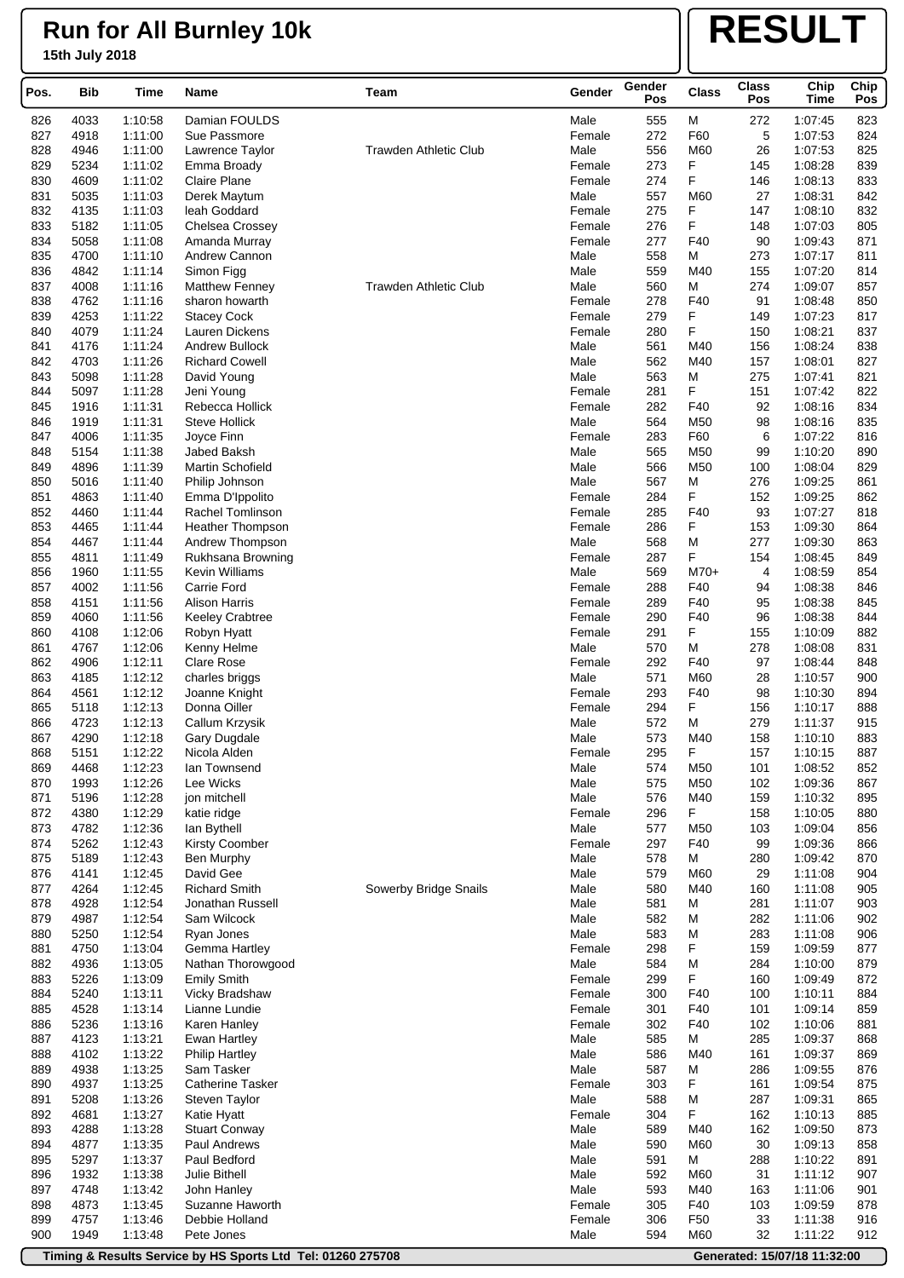# **RESULT**

| Pos.       | Bib          | Time               | Name                                 | Team                         | Gender           | Gender<br>Pos | Class           | <b>Class</b><br>Pos | Chip<br>Time       | Chip<br>Pos |
|------------|--------------|--------------------|--------------------------------------|------------------------------|------------------|---------------|-----------------|---------------------|--------------------|-------------|
| 826        | 4033         | 1:10:58            | Damian FOULDS                        |                              | Male             | 555           | М               | 272                 | 1:07:45            | 823         |
| 827        | 4918         | 1:11:00            | Sue Passmore                         |                              | Female           | 272           | F60             | 5                   | 1:07:53            | 824         |
| 828        | 4946         | 1:11:00            | Lawrence Taylor                      | <b>Trawden Athletic Club</b> | Male             | 556           | M60             | 26                  | 1:07:53            | 825         |
| 829        | 5234         | 1:11:02            | Emma Broady                          |                              | Female           | 273           | F               | 145                 | 1:08:28            | 839         |
| 830        | 4609         | 1:11:02            | Claire Plane                         |                              | Female           | 274           | F               | 146                 | 1:08:13            | 833         |
| 831        | 5035         | 1:11:03            | Derek Maytum                         |                              | Male             | 557           | M60             | 27                  | 1:08:31            | 842         |
| 832        | 4135         | 1:11:03            | leah Goddard                         |                              | Female           | 275           | F<br>F          | 147                 | 1:08:10            | 832         |
| 833<br>834 | 5182<br>5058 | 1:11:05<br>1:11:08 | Chelsea Crossey<br>Amanda Murray     |                              | Female<br>Female | 276<br>277    | F40             | 148<br>90           | 1:07:03<br>1:09:43 | 805<br>871  |
| 835        | 4700         | 1:11:10            | Andrew Cannon                        |                              | Male             | 558           | М               | 273                 | 1:07:17            | 811         |
| 836        | 4842         | 1:11:14            | Simon Figg                           |                              | Male             | 559           | M40             | 155                 | 1:07:20            | 814         |
| 837        | 4008         | 1:11:16            | <b>Matthew Fenney</b>                | <b>Trawden Athletic Club</b> | Male             | 560           | М               | 274                 | 1:09:07            | 857         |
| 838        | 4762         | 1:11:16            | sharon howarth                       |                              | Female           | 278           | F40             | 91                  | 1:08:48            | 850         |
| 839        | 4253         | 1:11:22            | <b>Stacey Cock</b>                   |                              | Female           | 279           | F               | 149                 | 1:07:23            | 817         |
| 840        | 4079         | 1:11:24            | Lauren Dickens                       |                              | Female           | 280           | F               | 150                 | 1:08:21            | 837         |
| 841        | 4176         | 1:11:24            | <b>Andrew Bullock</b>                |                              | Male             | 561           | M40             | 156                 | 1:08:24            | 838         |
| 842        | 4703         | 1:11:26            | <b>Richard Cowell</b>                |                              | Male             | 562           | M40             | 157                 | 1:08:01            | 827         |
| 843<br>844 | 5098<br>5097 | 1:11:28<br>1:11:28 | David Young<br>Jeni Young            |                              | Male<br>Female   | 563<br>281    | М<br>F          | 275<br>151          | 1:07:41<br>1:07:42 | 821<br>822  |
| 845        | 1916         | 1:11:31            | Rebecca Hollick                      |                              | Female           | 282           | F40             | 92                  | 1:08:16            | 834         |
| 846        | 1919         | 1:11:31            | <b>Steve Hollick</b>                 |                              | Male             | 564           | M50             | 98                  | 1:08:16            | 835         |
| 847        | 4006         | 1:11:35            | Joyce Finn                           |                              | Female           | 283           | F60             | 6                   | 1:07:22            | 816         |
| 848        | 5154         | 1:11:38            | Jabed Baksh                          |                              | Male             | 565           | M50             | 99                  | 1:10:20            | 890         |
| 849        | 4896         | 1:11:39            | Martin Schofield                     |                              | Male             | 566           | M50             | 100                 | 1:08:04            | 829         |
| 850        | 5016         | 1:11:40            | Philip Johnson                       |                              | Male             | 567           | M               | 276                 | 1:09:25            | 861         |
| 851        | 4863         | 1:11:40            | Emma D'Ippolito                      |                              | Female           | 284           | F               | 152                 | 1:09:25            | 862         |
| 852        | 4460         | 1:11:44            | Rachel Tomlinson                     |                              | Female           | 285           | F40             | 93                  | 1:07:27            | 818         |
| 853        | 4465         | 1.11.44            | Heather Thompson                     |                              | Female           | 286           | F               | 153                 | 1:09:30            | 864         |
| 854<br>855 | 4467<br>4811 | 1:11:44<br>1:11:49 | Andrew Thompson<br>Rukhsana Browning |                              | Male<br>Female   | 568<br>287    | М<br>F          | 277<br>154          | 1:09:30<br>1:08:45 | 863<br>849  |
| 856        | 1960         | 1:11:55            | Kevin Williams                       |                              | Male             | 569           | $M70+$          | 4                   | 1:08:59            | 854         |
| 857        | 4002         | 1:11:56            | Carrie Ford                          |                              | Female           | 288           | F40             | 94                  | 1:08:38            | 846         |
| 858        | 4151         | 1:11:56            | <b>Alison Harris</b>                 |                              | Female           | 289           | F40             | 95                  | 1:08:38            | 845         |
| 859        | 4060         | 1:11:56            | <b>Keeley Crabtree</b>               |                              | Female           | 290           | F40             | 96                  | 1:08:38            | 844         |
| 860        | 4108         | 1:12:06            | Robyn Hyatt                          |                              | Female           | 291           | F               | 155                 | 1:10:09            | 882         |
| 861        | 4767         | 1:12:06            | Kenny Helme                          |                              | Male             | 570           | М               | 278                 | 1:08:08            | 831         |
| 862        | 4906         | 1:12:11            | Clare Rose                           |                              | Female           | 292           | F40             | 97                  | 1:08:44            | 848         |
| 863        | 4185         | 1:12:12            | charles briggs                       |                              | Male             | 571           | M60             | 28                  | 1:10:57            | 900         |
| 864<br>865 | 4561<br>5118 | 1:12:12<br>1:12:13 | Joanne Knight<br>Donna Oiller        |                              | Female<br>Female | 293<br>294    | F40<br>F        | 98<br>156           | 1:10:30<br>1:10:17 | 894<br>888  |
| 866        | 4723         | 1:12:13            | Callum Krzysik                       |                              | Male             | 572           | М               | 279                 | 1:11:37            | 915         |
| 867        | 4290         | 1:12:18            | Gary Dugdale                         |                              | Male             | 573           | M40             | 158                 | 1:10:10            | 883         |
| 868        | 5151         | 1:12:22            | Nicola Alden                         |                              | Female           | 295           | F               | 157                 | 1:10:15            | 887         |
| 869        | 4468         | 1:12:23            | lan Townsend                         |                              | Male             | 574           | M50             | 101                 | 1:08:52            | 852         |
| 870        | 1993         | 1:12:26            | Lee Wicks                            |                              | Male             | 575           | M50             | 102                 | 1:09:36            | 867         |
| 871        | 5196         | 1:12:28            | jon mitchell                         |                              | Male             | 576           | M40             | 159                 | 1:10:32            | 895         |
| 872        | 4380         | 1:12:29            | katie ridge                          |                              | Female           | 296           | F               | 158                 | 1:10:05            | 880         |
| 873        | 4782         | 1:12:36            | lan Bythell<br><b>Kirsty Coomber</b> |                              | Male             | 577           | M50             | 103                 | 1:09:04            | 856         |
| 874<br>875 | 5262<br>5189 | 1:12:43<br>1:12:43 | Ben Murphy                           |                              | Female<br>Male   | 297<br>578    | F40<br>М        | 99<br>280           | 1:09:36<br>1:09:42 | 866<br>870  |
| 876        | 4141         | 1:12:45            | David Gee                            |                              | Male             | 579           | M60             | 29                  | 1:11:08            | 904         |
| 877        | 4264         | 1:12:45            | <b>Richard Smith</b>                 | Sowerby Bridge Snails        | Male             | 580           | M40             | 160                 | 1:11:08            | 905         |
| 878        | 4928         | 1:12:54            | Jonathan Russell                     |                              | Male             | 581           | М               | 281                 | 1:11:07            | 903         |
| 879        | 4987         | 1:12:54            | Sam Wilcock                          |                              | Male             | 582           | М               | 282                 | 1:11:06            | 902         |
| 880        | 5250         | 1:12:54            | Ryan Jones                           |                              | Male             | 583           | М               | 283                 | 1:11:08            | 906         |
| 881        | 4750         | 1:13:04            | Gemma Hartley                        |                              | Female           | 298           | F               | 159                 | 1:09:59            | 877         |
| 882        | 4936         | 1:13:05            | Nathan Thorowgood                    |                              | Male             | 584           | M               | 284                 | 1:10:00            | 879         |
| 883        | 5226         | 1:13:09            | <b>Emily Smith</b>                   |                              | Female           | 299           | F.              | 160                 | 1:09:49            | 872         |
| 884<br>885 | 5240<br>4528 | 1:13:11<br>1:13:14 | Vicky Bradshaw<br>Lianne Lundie      |                              | Female<br>Female | 300<br>301    | F40<br>F40      | 100<br>101          | 1:10:11<br>1:09:14 | 884<br>859  |
| 886        | 5236         | 1:13:16            | Karen Hanley                         |                              | Female           | 302           | F40             | 102                 | 1:10:06            | 881         |
| 887        | 4123         | 1:13:21            | Ewan Hartley                         |                              | Male             | 585           | М               | 285                 | 1:09:37            | 868         |
| 888        | 4102         | 1:13:22            | <b>Philip Hartley</b>                |                              | Male             | 586           | M40             | 161                 | 1:09:37            | 869         |
| 889        | 4938         | 1:13:25            | Sam Tasker                           |                              | Male             | 587           | М               | 286                 | 1:09:55            | 876         |
| 890        | 4937         | 1:13:25            | <b>Catherine Tasker</b>              |                              | Female           | 303           | F               | 161                 | 1:09:54            | 875         |
| 891        | 5208         | 1:13:26            | Steven Taylor                        |                              | Male             | 588           | M               | 287                 | 1:09:31            | 865         |
| 892        | 4681         | 1:13:27            | Katie Hyatt                          |                              | Female           | 304           | F               | 162                 | 1:10:13            | 885         |
| 893        | 4288         | 1:13:28            | <b>Stuart Conway</b>                 |                              | Male             | 589           | M40             | 162                 | 1:09:50            | 873         |
| 894<br>895 | 4877<br>5297 | 1:13:35<br>1:13:37 | Paul Andrews<br>Paul Bedford         |                              | Male<br>Male     | 590<br>591    | M60<br>М        | 30<br>288           | 1:09:13<br>1:10:22 | 858<br>891  |
| 896        | 1932         | 1:13:38            | Julie Bithell                        |                              | Male             | 592           | M60             | 31                  | 1:11:12            | 907         |
| 897        | 4748         | 1:13:42            | John Hanley                          |                              | Male             | 593           | M40             | 163                 | 1:11:06            | 901         |
| 898        | 4873         | 1:13:45            | Suzanne Haworth                      |                              | Female           | 305           | F40             | 103                 | 1:09:59            | 878         |
| 899        | 4757         | 1:13:46            | Debbie Holland                       |                              | Female           | 306           | F <sub>50</sub> | 33                  | 1:11:38            | 916         |
| 900        | 1949         | 1:13:48            | Pete Jones                           |                              | Male             | 594           | M60             | 32                  | 1:11:22            | 912         |

**Timing & Results Service by HS Sports Ltd Tel: 01260 275708 Generated: 15/07/18 11:32:00**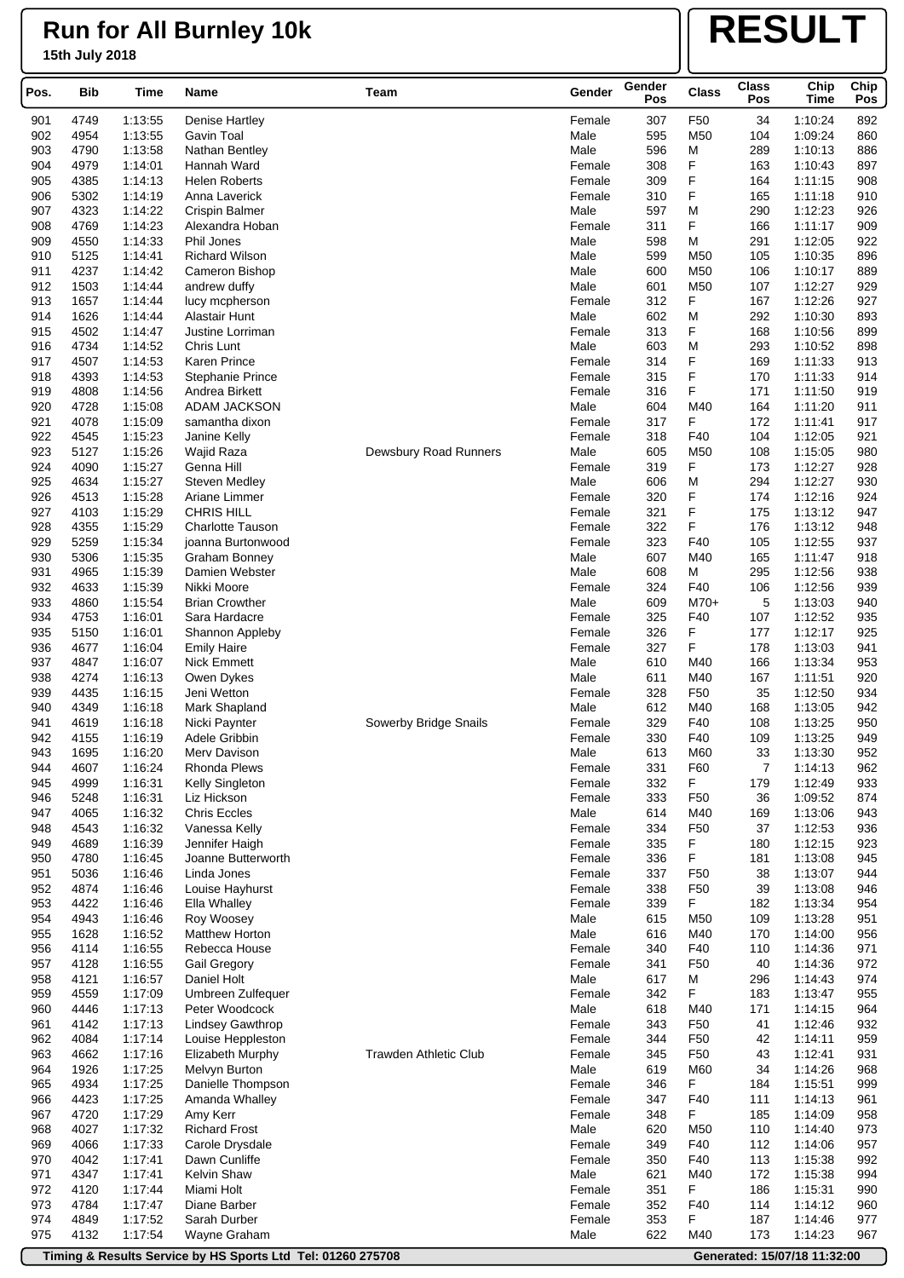# **RESULT**

| Pos.       | Bib          | Time               | Name<br>Team                                 |                              | Gender           | Gender<br>Pos | <b>Class</b>         | <b>Class</b><br>Pos | Chip<br>Time       | Chip<br>Pos |
|------------|--------------|--------------------|----------------------------------------------|------------------------------|------------------|---------------|----------------------|---------------------|--------------------|-------------|
| 901        | 4749         | 1:13:55            | Denise Hartley                               |                              | Female           | 307           | F50                  | 34                  | 1:10:24            | 892         |
| 902        | 4954         | 1:13:55            | Gavin Toal                                   |                              | Male             | 595           | M50                  | 104                 | 1:09:24            | 860         |
| 903        | 4790         | 1:13:58            | Nathan Bentley                               |                              | Male             | 596           | М                    | 289                 | 1:10:13            | 886         |
| 904        | 4979         | 1:14:01            | Hannah Ward                                  |                              | Female           | 308           | F                    | 163                 | 1:10:43            | 897         |
| 905        | 4385         | 1:14:13            | <b>Helen Roberts</b>                         |                              | Female           | 309           | F                    | 164                 | 1:11:15            | 908         |
| 906        | 5302         | 1:14:19            | Anna Laverick                                |                              | Female           | 310           | F                    | 165                 | 1:11:18            | 910         |
| 907        | 4323         | 1:14:22            | <b>Crispin Balmer</b>                        |                              | Male             | 597           | М<br>F               | 290                 | 1:12:23            | 926         |
| 908<br>909 | 4769<br>4550 | 1:14:23<br>1:14:33 | Alexandra Hoban<br>Phil Jones                |                              | Female<br>Male   | 311<br>598    | М                    | 166<br>291          | 1:11:17<br>1:12:05 | 909<br>922  |
| 910        | 5125         | 1:14:41            | <b>Richard Wilson</b>                        |                              | Male             | 599           | M50                  | 105                 | 1:10:35            | 896         |
| 911        | 4237         | 1:14:42            | Cameron Bishop                               |                              | Male             | 600           | M50                  | 106                 | 1:10:17            | 889         |
| 912        | 1503         | 1.14:44            | andrew duffy                                 |                              | Male             | 601           | M50                  | 107                 | 1:12:27            | 929         |
| 913        | 1657         | 1:14:44            | lucy mcpherson                               |                              | Female           | 312           | F                    | 167                 | 1:12:26            | 927         |
| 914        | 1626         | 1:14:44            | Alastair Hunt                                |                              | Male             | 602           | М                    | 292                 | 1:10:30            | 893         |
| 915        | 4502         | 1:14:47            | Justine Lorriman                             |                              | Female           | 313           | F                    | 168                 | 1:10:56            | 899         |
| 916        | 4734         | 1:14:52            | Chris Lunt                                   |                              | Male             | 603           | М                    | 293                 | 1:10:52            | 898         |
| 917<br>918 | 4507<br>4393 | 1:14:53<br>1:14:53 | Karen Prince<br><b>Stephanie Prince</b>      |                              | Female<br>Female | 314<br>315    | F<br>F               | 169<br>170          | 1:11:33<br>1:11:33 | 913<br>914  |
| 919        | 4808         | 1:14:56            | Andrea Birkett                               |                              | Female           | 316           | F                    | 171                 | 1:11:50            | 919         |
| 920        | 4728         | 1:15:08            | <b>ADAM JACKSON</b>                          |                              | Male             | 604           | M40                  | 164                 | 1:11:20            | 911         |
| 921        | 4078         | 1:15:09            | samantha dixon                               |                              | Female           | 317           | F                    | 172                 | 1:11:41            | 917         |
| 922        | 4545         | 1:15:23            | Janine Kelly                                 |                              | Female           | 318           | F40                  | 104                 | 1:12:05            | 921         |
| 923        | 5127         | 1:15:26            | Wajid Raza                                   | Dewsbury Road Runners        | Male             | 605           | M50                  | 108                 | 1:15:05            | 980         |
| 924        | 4090         | 1:15:27            | Genna Hill                                   |                              | Female           | 319           | F                    | 173                 | 1:12:27            | 928         |
| 925        | 4634         | 1:15:27            | <b>Steven Medley</b>                         |                              | Male             | 606           | М                    | 294                 | 1:12:27            | 930         |
| 926        | 4513         | 1:15:28            | Ariane Limmer                                |                              | Female           | 320           | F                    | 174                 | 1:12:16            | 924         |
| 927<br>928 | 4103<br>4355 | 1:15:29<br>1:15:29 | <b>CHRIS HILL</b><br><b>Charlotte Tauson</b> |                              | Female<br>Female | 321<br>322    | F<br>F               | 175<br>176          | 1:13:12<br>1:13:12 | 947<br>948  |
| 929        | 5259         | 1:15:34            | joanna Burtonwood                            |                              | Female           | 323           | F40                  | 105                 | 1:12:55            | 937         |
| 930        | 5306         | 1:15:35            | <b>Graham Bonney</b>                         |                              | Male             | 607           | M40                  | 165                 | 1:11:47            | 918         |
| 931        | 4965         | 1:15:39            | Damien Webster                               |                              | Male             | 608           | М                    | 295                 | 1:12:56            | 938         |
| 932        | 4633         | 1:15:39            | Nikki Moore                                  |                              | Female           | 324           | F40                  | 106                 | 1:12:56            | 939         |
| 933        | 4860         | 1:15:54            | <b>Brian Crowther</b>                        |                              | Male             | 609           | $M70+$               | 5                   | 1:13:03            | 940         |
| 934        | 4753         | 1:16:01            | Sara Hardacre                                |                              | Female           | 325           | F40                  | 107                 | 1:12:52            | 935         |
| 935        | 5150         | 1:16:01            | Shannon Appleby                              |                              | Female           | 326           | F                    | 177                 | 1:12:17            | 925         |
| 936<br>937 | 4677<br>4847 | 1:16:04            | <b>Emily Haire</b><br><b>Nick Emmett</b>     |                              | Female<br>Male   | 327<br>610    | F<br>M40             | 178<br>166          | 1:13:03<br>1:13:34 | 941<br>953  |
| 938        | 4274         | 1:16:07<br>1:16:13 | Owen Dykes                                   |                              | Male             | 611           | M40                  | 167                 | 1:11:51            | 920         |
| 939        | 4435         | 1:16:15            | Jeni Wetton                                  |                              | Female           | 328           | F <sub>50</sub>      | 35                  | 1:12:50            | 934         |
| 940        | 4349         | 1:16:18            | Mark Shapland                                |                              | Male             | 612           | M40                  | 168                 | 1:13:05            | 942         |
| 941        | 4619         | 1:16:18            | Nicki Paynter                                | Sowerby Bridge Snails        | Female           | 329           | F40                  | 108                 | 1:13:25            | 950         |
| 942        | 4155         | 1:16:19            | Adele Gribbin                                |                              | Female           | 330           | F40                  | 109                 | 1:13:25            | 949         |
| 943        | 1695         | 1:16:20            | Merv Davison                                 |                              | Male             | 613           | M60                  | 33                  | 1:13:30            | 952         |
| 944        | 4607         | 1:16:24            | Rhonda Plews                                 |                              | Female           | 331           | F60                  | 7                   | 1:14:13            | 962         |
| 945<br>946 | 4999<br>5248 | 1:16:31<br>1:16:31 | Kelly Singleton<br>Liz Hickson               |                              | Female<br>Female | 332<br>333    | F<br>F <sub>50</sub> | 179<br>36           | 1:12:49<br>1:09:52 | 933<br>874  |
| 947        | 4065         | 1:16:32            | <b>Chris Eccles</b>                          |                              | Male             | 614           | M40                  | 169                 | 1:13:06            | 943         |
| 948        | 4543         | 1:16:32            | Vanessa Kelly                                |                              | Female           | 334           | F <sub>50</sub>      | 37                  | 1:12:53            | 936         |
| 949        | 4689         | 1:16:39            | Jennifer Haigh                               |                              | Female           | 335           | F                    | 180                 | 1:12:15            | 923         |
| 950        | 4780         | 1:16:45            | Joanne Butterworth                           |                              | Female           | 336           | F                    | 181                 | 1:13:08            | 945         |
| 951        | 5036         | 1:16:46            | Linda Jones                                  |                              | Female           | 337           | F <sub>50</sub>      | 38                  | 1:13:07            | 944         |
| 952        | 4874         | 1:16:46            | Louise Hayhurst                              |                              | Female           | 338           | F <sub>50</sub>      | 39                  | 1:13:08            | 946         |
| 953        | 4422         | 1:16:46            | Ella Whalley                                 |                              | Female           | 339           | F.                   | 182                 | 1:13:34            | 954         |
| 954        | 4943         | 1:16:46            | Roy Woosey                                   |                              | Male             | 615           | M50                  | 109                 | 1:13:28            | 951         |
| 955<br>956 | 1628<br>4114 | 1:16:52<br>1:16:55 | Matthew Horton<br>Rebecca House              |                              | Male<br>Female   | 616<br>340    | M40<br>F40           | 170<br>110          | 1:14:00<br>1:14:36 | 956<br>971  |
| 957        | 4128         | 1:16:55            | Gail Gregory                                 |                              | Female           | 341           | F <sub>50</sub>      | 40                  | 1:14:36            | 972         |
| 958        | 4121         | 1:16:57            | Daniel Holt                                  |                              | Male             | 617           | М                    | 296                 | 1:14:43            | 974         |
| 959        | 4559         | 1:17:09            | Umbreen Zulfequer                            |                              | Female           | 342           | F                    | 183                 | 1:13:47            | 955         |
| 960        | 4446         | 1:17:13            | Peter Woodcock                               |                              | Male             | 618           | M40                  | 171                 | 1:14:15            | 964         |
| 961        | 4142         | 1:17:13            | <b>Lindsey Gawthrop</b>                      |                              | Female           | 343           | F <sub>50</sub>      | 41                  | 1:12:46            | 932         |
| 962        | 4084         | 1:17:14            | Louise Heppleston                            |                              | Female           | 344           | F <sub>50</sub>      | 42                  | 1:14:11            | 959         |
| 963        | 4662         | 1:17:16            | <b>Elizabeth Murphy</b>                      | <b>Trawden Athletic Club</b> | Female           | 345           | F50                  | 43                  | 1:12:41            | 931         |
| 964<br>965 | 1926<br>4934 | 1:17:25<br>1:17:25 | Melvyn Burton<br>Danielle Thompson           |                              | Male<br>Female   | 619<br>346    | M60<br>F             | 34<br>184           | 1:14:26<br>1:15:51 | 968<br>999  |
| 966        | 4423         | 1:17:25            | Amanda Whalley                               |                              | Female           | 347           | F40                  | 111                 | 1:14:13            | 961         |
| 967        | 4720         | 1:17:29            | Amy Kerr                                     |                              | Female           | 348           | F                    | 185                 | 1:14:09            | 958         |
| 968        | 4027         | 1:17:32            | <b>Richard Frost</b>                         |                              | Male             | 620           | M50                  | 110                 | 1:14:40            | 973         |
| 969        | 4066         | 1:17:33            | Carole Drysdale                              |                              | Female           | 349           | F40                  | 112                 | 1:14:06            | 957         |
| 970        | 4042         | 1.17.41            | Dawn Cunliffe                                |                              | Female           | 350           | F40                  | 113                 | 1:15:38            | 992         |
| 971        | 4347         | 1.17.41            | Kelvin Shaw                                  |                              | Male             | 621           | M40                  | 172                 | 1:15:38            | 994         |
| 972        | 4120         | 1:17:44            | Miami Holt                                   |                              | Female           | 351           | F                    | 186                 | 1:15:31            | 990         |
| 973<br>974 | 4784<br>4849 | 1:17:47<br>1:17:52 | Diane Barber<br>Sarah Durber                 |                              | Female<br>Female | 352<br>353    | F40<br>F             | 114<br>187          | 1:14:12<br>1:14:46 | 960<br>977  |
| 975        | 4132         | 1.17:54            | Wayne Graham                                 |                              | Male             | 622           | M40                  | 173                 | 1:14:23            | 967         |
|            |              |                    |                                              |                              |                  |               |                      |                     |                    |             |

**Timing & Results Service by HS Sports Ltd Tel: 01260 275708 Generated: 15/07/18 11:32:00**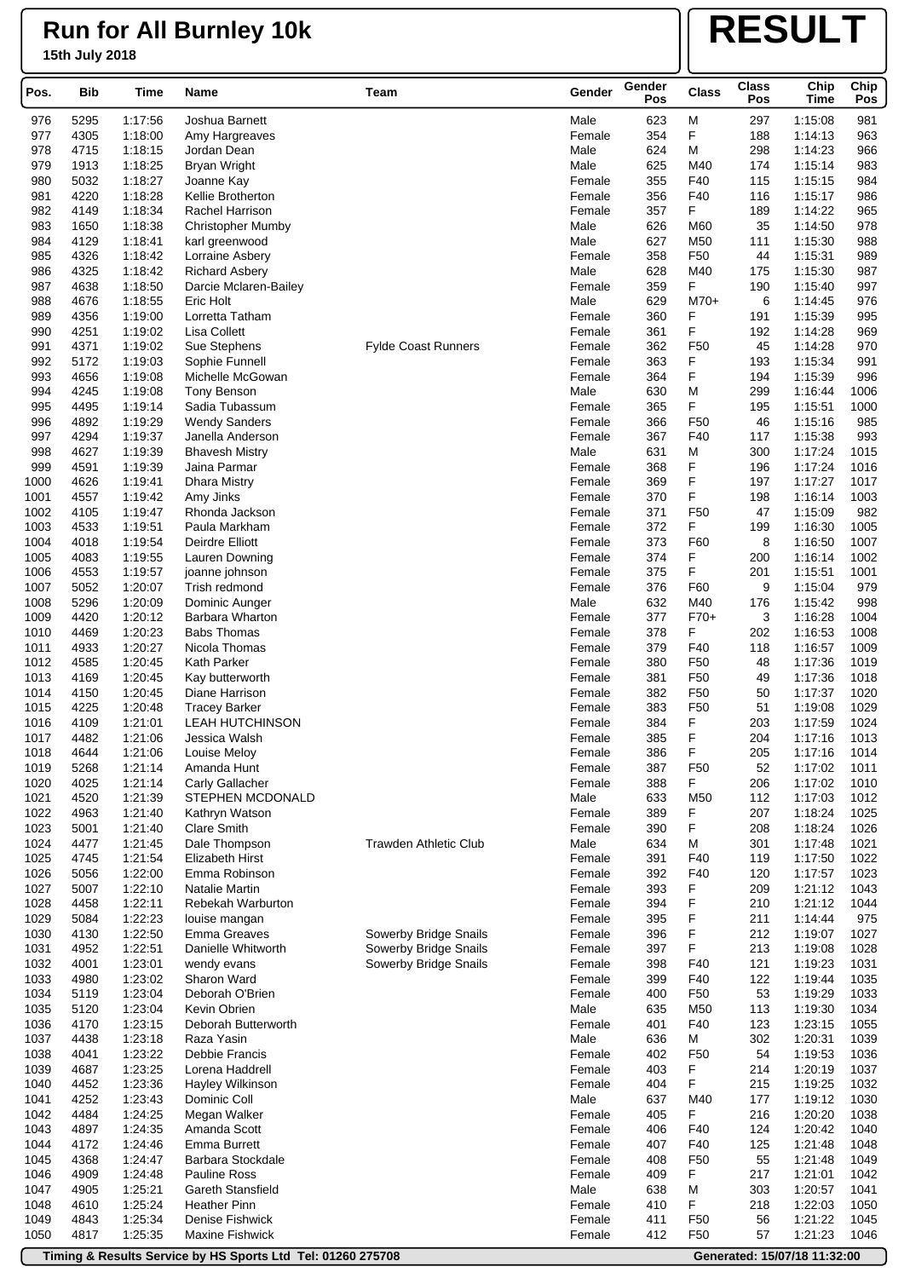# **RESULT**

| Pos.         | Bib          | <b>Time</b>        | Name<br>Team                               |                              | Gender           | Gender<br>Pos | <b>Class</b>         | <b>Class</b><br>Pos | Chip<br>Time       | Chip<br>Pos  |
|--------------|--------------|--------------------|--------------------------------------------|------------------------------|------------------|---------------|----------------------|---------------------|--------------------|--------------|
| 976          | 5295         | 1:17:56            | Joshua Barnett                             |                              | Male             | 623           | М                    | 297                 | 1:15:08            | 981          |
| 977          | 4305         | 1:18:00            | Amy Hargreaves                             |                              | Female           | 354           | F                    | 188                 | 1:14:13            | 963          |
| 978          | 4715         | 1:18:15            | Jordan Dean                                |                              | Male             | 624           | М                    | 298                 | 1:14:23            | 966          |
| 979          | 1913         | 1:18:25            | Bryan Wright                               |                              | Male             | 625           | M40                  | 174                 | 1:15:14            | 983          |
| 980          | 5032         | 1:18:27            | Joanne Kay                                 |                              | Female           | 355           | F40                  | 115                 | 1:15:15            | 984          |
| 981          | 4220         | 1:18:28            | Kellie Brotherton                          |                              | Female           | 356           | F40                  | 116                 | 1:15:17            | 986          |
| 982          | 4149         | 1:18:34            | Rachel Harrison                            |                              | Female           | 357           | F                    | 189                 | 1:14:22            | 965          |
| 983<br>984   | 1650<br>4129 | 1:18:38<br>1:18:41 | <b>Christopher Mumby</b><br>karl greenwood |                              | Male<br>Male     | 626<br>627    | M60<br>M50           | 35<br>111           | 1:14:50<br>1:15:30 | 978<br>988   |
| 985          | 4326         | 1:18:42            | Lorraine Asbery                            |                              | Female           | 358           | F <sub>50</sub>      | 44                  | 1:15:31            | 989          |
| 986          | 4325         | 1:18:42            | <b>Richard Asbery</b>                      |                              | Male             | 628           | M40                  | 175                 | 1:15:30            | 987          |
| 987          | 4638         | 1:18:50            | Darcie Mclaren-Bailey                      |                              | Female           | 359           | F                    | 190                 | 1:15:40            | 997          |
| 988          | 4676         | 1:18:55            | Eric Holt                                  |                              | Male             | 629           | $M70+$               | 6                   | 1:14:45            | 976          |
| 989          | 4356         | 1:19:00            | Lorretta Tatham                            |                              | Female           | 360           | F                    | 191                 | 1:15:39            | 995          |
| 990          | 4251         | 1:19:02            | Lisa Collett                               |                              | Female           | 361           | F                    | 192                 | 1:14:28            | 969          |
| 991          | 4371         | 1:19:02            | Sue Stephens                               | <b>Fylde Coast Runners</b>   | Female           | 362           | F <sub>50</sub>      | 45                  | 1:14:28            | 970          |
| 992          | 5172         | 1:19:03            | Sophie Funnell                             |                              | Female           | 363           | F                    | 193                 | 1:15:34            | 991          |
| 993          | 4656         | 1:19:08            | Michelle McGowan                           |                              | Female           | 364           | F                    | 194                 | 1:15:39            | 996          |
| 994          | 4245         | 1:19:08            | <b>Tony Benson</b>                         |                              | Male             | 630           | М                    | 299                 | 1:16:44            | 1006         |
| 995<br>996   | 4495<br>4892 | 1:19:14<br>1:19:29 | Sadia Tubassum                             |                              | Female           | 365<br>366    | F<br>F <sub>50</sub> | 195<br>46           | 1:15:51<br>1:15:16 | 1000<br>985  |
| 997          | 4294         | 1:19:37            | <b>Wendy Sanders</b><br>Janella Anderson   |                              | Female<br>Female | 367           | F40                  | 117                 | 1:15:38            | 993          |
| 998          | 4627         | 1:19:39            | <b>Bhavesh Mistry</b>                      |                              | Male             | 631           | М                    | 300                 | 1:17:24            | 1015         |
| 999          | 4591         | 1:19:39            | Jaina Parmar                               |                              | Female           | 368           | F                    | 196                 | 1:17:24            | 1016         |
| 1000         | 4626         | 1:19:41            | Dhara Mistry                               |                              | Female           | 369           | F                    | 197                 | 1:17:27            | 1017         |
| 1001         | 4557         | 1:19:42            | Amy Jinks                                  |                              | Female           | 370           | F                    | 198                 | 1:16:14            | 1003         |
| 1002         | 4105         | 1:19:47            | Rhonda Jackson                             |                              | Female           | 371           | F <sub>50</sub>      | 47                  | 1:15:09            | 982          |
| 1003         | 4533         | 1:19:51            | Paula Markham                              |                              | Female           | 372           | F                    | 199                 | 1:16:30            | 1005         |
| 1004         | 4018         | 1:19:54            | <b>Deirdre Elliott</b>                     |                              | Female           | 373           | F60                  | 8                   | 1:16:50            | 1007         |
| 1005         | 4083         | 1:19:55            | Lauren Downing                             |                              | Female           | 374           | F                    | 200                 | 1:16:14            | 1002         |
| 1006         | 4553         | 1:19:57            | joanne johnson                             |                              | Female           | 375           | F                    | 201                 | 1:15:51            | 1001         |
| 1007         | 5052         | 1:20:07            | Trish redmond                              |                              | Female           | 376           | F60                  | 9                   | 1:15:04            | 979          |
| 1008<br>1009 | 5296<br>4420 | 1:20:09<br>1:20:12 | Dominic Aunger<br>Barbara Wharton          |                              | Male             | 632<br>377    | M40<br>$F70+$        | 176                 | 1:15:42<br>1:16:28 | 998<br>1004  |
| 1010         | 4469         | 1:20:23            | Babs Thomas                                |                              | Female<br>Female | 378           | F                    | 3<br>202            | 1:16:53            | 1008         |
| 1011         | 4933         | 1:20:27            | Nicola Thomas                              |                              | Female           | 379           | F40                  | 118                 | 1:16:57            | 1009         |
| 1012         | 4585         | 1:20:45            | Kath Parker                                |                              | Female           | 380           | F <sub>50</sub>      | 48                  | 1:17:36            | 1019         |
| 1013         | 4169         | 1:20:45            | Kay butterworth                            |                              | Female           | 381           | F <sub>50</sub>      | 49                  | 1:17:36            | 1018         |
| 1014         | 4150         | 1:20:45            | Diane Harrison                             |                              | Female           | 382           | F <sub>50</sub>      | 50                  | 1:17:37            | 1020         |
| 1015         | 4225         | 1:20:48            | <b>Tracey Barker</b>                       |                              | Female           | 383           | F <sub>50</sub>      | 51                  | 1:19:08            | 1029         |
| 1016         | 4109         | 1:21:01            | <b>LEAH HUTCHINSON</b>                     |                              | Female           | 384           | F                    | 203                 | 1:17:59            | 1024         |
| 1017         | 4482         | 1:21:06            | Jessica Walsh                              |                              | Female           | 385           | F                    | 204                 | 1:17:16            | 1013         |
| 1018         | 4644         | 1:21:06            | Louise Meloy                               |                              | Female           | 386           | F                    | 205                 | 1:17:16            | 1014         |
| 1019         | 5268         | 1:21:14            | Amanda Hunt                                |                              | Female           | 387           | F50<br>F             | 52                  | 1:17:02            | 1011         |
| 1020<br>1021 | 4025<br>4520 | 1:21:14<br>1:21:39 | Carly Gallacher<br>STEPHEN MCDONALD        |                              | Female<br>Male   | 388<br>633    | M50                  | 206<br>112          | 1:17:02<br>1:17:03 | 1010<br>1012 |
| 1022         | 4963         | 1:21:40            | Kathryn Watson                             |                              | Female           | 389           | F                    | 207                 | 1:18:24            | 1025         |
| 1023         | 5001         | 1:21:40            | Clare Smith                                |                              | Female           | 390           | F                    | 208                 | 1:18:24            | 1026         |
| 1024         | 4477         | 1:21:45            | Dale Thompson                              | <b>Trawden Athletic Club</b> | Male             | 634           | М                    | 301                 | 1:17:48            | 1021         |
| 1025         | 4745         | 1:21:54            | <b>Elizabeth Hirst</b>                     |                              | Female           | 391           | F40                  | 119                 | 1:17:50            | 1022         |
| 1026         | 5056         | 1:22:00            | Emma Robinson                              |                              | Female           | 392           | F40                  | 120                 | 1:17:57            | 1023         |
| 1027         | 5007         | 1:22:10            | <b>Natalie Martin</b>                      |                              | Female           | 393           | F                    | 209                 | 1:21:12            | 1043         |
| 1028         | 4458         | 1:22:11            | Rebekah Warburton                          |                              | Female           | 394           | F                    | 210                 | 1:21:12            | 1044         |
| 1029         | 5084         | 1:22:23            | louise mangan                              |                              | Female           | 395           | F                    | 211                 | 1:14:44            | 975          |
| 1030         | 4130         | 1:22:50            | <b>Emma Greaves</b>                        | Sowerby Bridge Snails        | Female           | 396           | F                    | 212                 | 1:19:07            | 1027         |
| 1031         | 4952         | 1:22:51            | Danielle Whitworth                         | Sowerby Bridge Snails        | Female           | 397           | F                    | 213                 | 1:19:08            | 1028         |
| 1032<br>1033 | 4001<br>4980 | 1:23:01<br>1:23:02 | wendy evans<br>Sharon Ward                 | Sowerby Bridge Snails        | Female<br>Female | 398<br>399    | F40<br>F40           | 121<br>122          | 1:19:23<br>1:19:44 | 1031<br>1035 |
| 1034         | 5119         | 1:23:04            | Deborah O'Brien                            |                              | Female           | 400           | F <sub>50</sub>      | 53                  | 1:19:29            | 1033         |
| 1035         | 5120         | 1:23:04            | Kevin Obrien                               |                              | Male             | 635           | M50                  | 113                 | 1:19:30            | 1034         |
| 1036         | 4170         | 1:23:15            | Deborah Butterworth                        |                              | Female           | 401           | F40                  | 123                 | 1:23:15            | 1055         |
| 1037         | 4438         | 1:23:18            | Raza Yasin                                 |                              | Male             | 636           | М                    | 302                 | 1:20:31            | 1039         |
| 1038         | 4041         | 1:23:22            | Debbie Francis                             |                              | Female           | 402           | F <sub>50</sub>      | 54                  | 1:19:53            | 1036         |
| 1039         | 4687         | 1:23:25            | Lorena Haddrell                            |                              | Female           | 403           | F                    | 214                 | 1:20:19            | 1037         |
| 1040         | 4452         | 1:23:36            | Hayley Wilkinson                           |                              | Female           | 404           | F                    | 215                 | 1:19:25            | 1032         |
| 1041         | 4252         | 1:23:43            | Dominic Coll                               |                              | Male             | 637           | M40                  | 177                 | 1:19:12            | 1030         |
| 1042         | 4484         | 1:24:25            | Megan Walker                               |                              | Female           | 405           | F                    | 216                 | 1:20:20            | 1038         |
| 1043         | 4897         | 1:24:35            | Amanda Scott                               |                              | Female           | 406           | F40                  | 124                 | 1:20:42            | 1040         |
| 1044         | 4172         | 1:24:46            | Emma Burrett                               |                              | Female           | 407           | F40                  | 125                 | 1:21:48            | 1048         |
| 1045<br>1046 | 4368<br>4909 | 1:24:47<br>1:24:48 | Barbara Stockdale<br>Pauline Ross          |                              | Female           | 408<br>409    | F <sub>50</sub><br>F | 55<br>217           | 1:21:48<br>1:21:01 | 1049<br>1042 |
| 1047         | 4905         | 1:25:21            | Gareth Stansfield                          |                              | Female<br>Male   | 638           | М                    | 303                 | 1:20:57            | 1041         |
| 1048         | 4610         | 1.25:24            | <b>Heather Pinn</b>                        |                              | Female           | 410           | F                    | 218                 | 1:22:03            | 1050         |
| 1049         | 4843         | 1.25:34            | Denise Fishwick                            |                              | Female           | 411           | F <sub>50</sub>      | 56                  | 1:21:22            | 1045         |
| 1050         | 4817         | 1:25:35            | <b>Maxine Fishwick</b>                     |                              | Female           | 412           | F <sub>50</sub>      | 57                  | 1:21:23            | 1046         |

**Timing & Results Service by HS Sports Ltd Tel: 01260 275708 Generated: 15/07/18 11:32:00**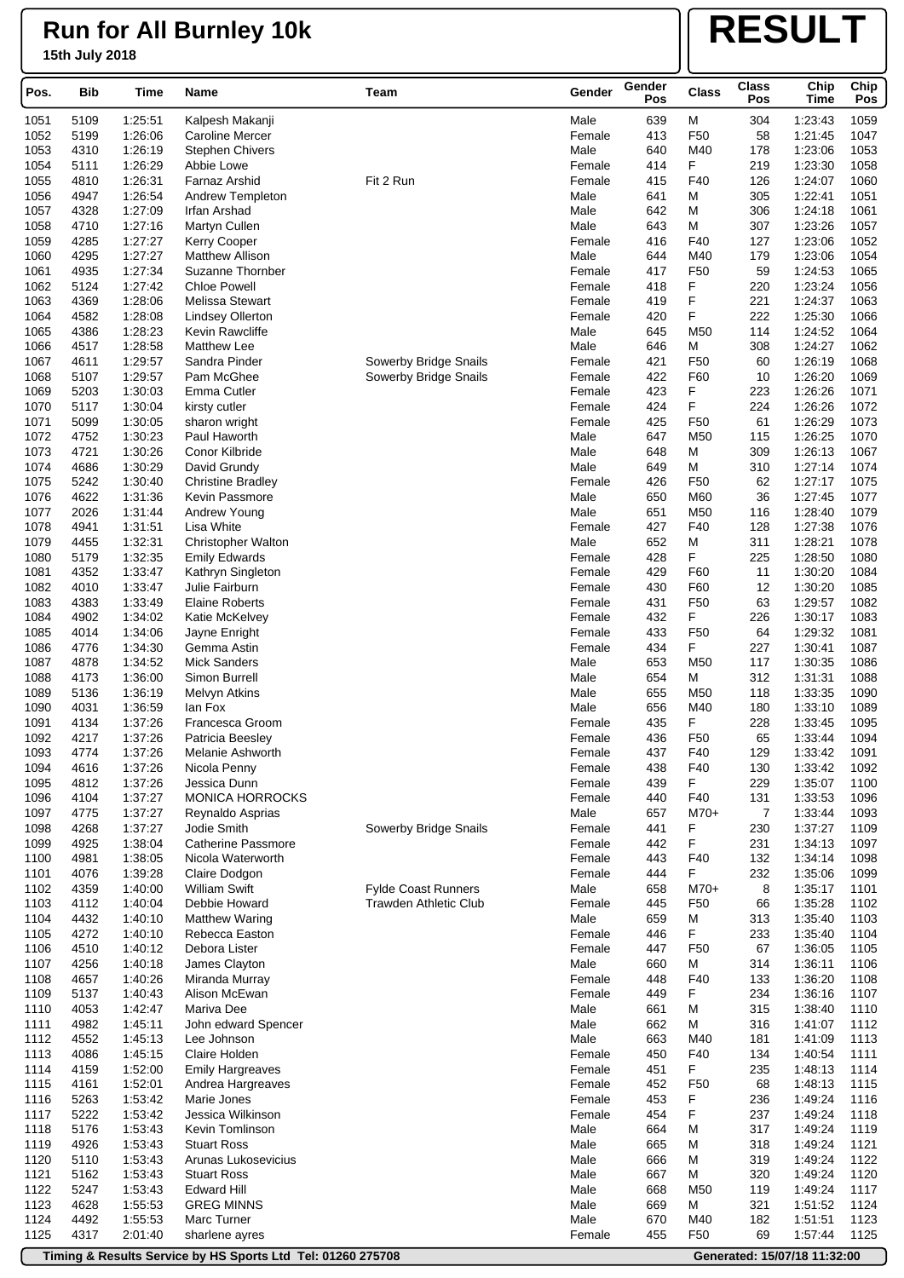# **RESULT**

| Pos.         | Bib          | Time               | Name                                       | Team                         | Gender           |            | <b>Class</b>           | <b>Class</b><br>Pos | Chip<br><b>Time</b> | Chip<br>Pos  |
|--------------|--------------|--------------------|--------------------------------------------|------------------------------|------------------|------------|------------------------|---------------------|---------------------|--------------|
| 1051         | 5109         | 1:25:51            | Kalpesh Makanji                            |                              | Male             | 639        | м                      | 304                 | 1:23:43             | 1059         |
| 1052         | 5199         | 1:26:06            | <b>Caroline Mercer</b>                     |                              | Female           | 413        | F <sub>50</sub>        | 58                  | 1:21:45             | 1047         |
| 1053         | 4310         | 1:26:19            | <b>Stephen Chivers</b>                     |                              | Male             | 640        | M40                    | 178                 | 1:23:06             | 1053         |
| 1054         | 5111         | 1:26:29            | Abbie Lowe                                 |                              | Female           | 414        | F                      | 219                 | 1:23:30             | 1058         |
| 1055         | 4810         | 1:26:31            | Farnaz Arshid                              | Fit 2 Run                    | Female           | 415        | F40                    | 126                 | 1:24:07             | 1060         |
| 1056         | 4947         | 1:26:54            | Andrew Templeton                           |                              | Male             | 641        | М                      | 305                 | 1:22:41             | 1051         |
| 1057         | 4328         | 1:27:09            | Irfan Arshad                               |                              | Male             | 642        | М                      | 306                 | 1:24:18             | 1061         |
| 1058         | 4710         | 1:27:16            | Martyn Cullen                              |                              | Male             | 643        | М                      | 307                 | 1:23:26             | 1057         |
| 1059         | 4285         | 1:27:27            | <b>Kerry Cooper</b>                        |                              | Female           | 416        | F40                    | 127                 | 1:23:06             | 1052         |
| 1060         | 4295         | 1:27:27            | <b>Matthew Allison</b>                     |                              | Male             | 644        | M40                    | 179                 | 1:23:06             | 1054         |
| 1061         | 4935         | 1:27:34            | Suzanne Thornber                           |                              | Female           | 417        | F <sub>50</sub>        | 59                  | 1:24:53             | 1065         |
| 1062         | 5124         | 1:27:42            | <b>Chloe Powell</b>                        |                              | Female           | 418        | F                      | 220                 | 1:23:24             | 1056         |
| 1063         | 4369         | 1:28:06            | Melissa Stewart                            |                              | Female           | 419        | F<br>F                 | 221                 | 1:24:37             | 1063         |
| 1064<br>1065 | 4582<br>4386 | 1:28:08<br>1:28:23 | <b>Lindsey Ollerton</b><br>Kevin Rawcliffe |                              | Female<br>Male   | 420<br>645 | M50                    | 222<br>114          | 1:25:30<br>1:24:52  | 1066<br>1064 |
| 1066         | 4517         | 1:28:58            | <b>Matthew Lee</b>                         |                              | Male             | 646        | M                      | 308                 | 1:24:27             | 1062         |
| 1067         | 4611         | 1:29:57            | Sandra Pinder                              | Sowerby Bridge Snails        | Female           | 421        | F <sub>50</sub>        | 60                  | 1:26:19             | 1068         |
| 1068         | 5107         | 1:29:57            | Pam McGhee                                 | Sowerby Bridge Snails        | Female           | 422        | F60                    | 10                  | 1:26:20             | 1069         |
| 1069         | 5203         | 1:30:03            | Emma Cutler                                |                              | Female           | 423        | F                      | 223                 | 1:26:26             | 1071         |
| 1070         | 5117         | 1:30:04            | kirsty cutler                              |                              | Female           | 424        | F                      | 224                 | 1:26:26             | 1072         |
| 1071         | 5099         | 1:30:05            | sharon wright                              |                              | Female           | 425        | F <sub>50</sub>        | 61                  | 1:26:29             | 1073         |
| 1072         | 4752         | 1:30:23            | Paul Haworth                               |                              | Male             | 647        | M50                    | 115                 | 1:26:25             | 1070         |
| 1073         | 4721         | 1:30:26            | Conor Kilbride                             |                              | Male             | 648        | М                      | 309                 | 1:26:13             | 1067         |
| 1074         | 4686         | 1:30:29            | David Grundy                               |                              | Male             | 649        | м                      | 310                 | 1.27:14             | 1074         |
| 1075         | 5242         | 1:30:40            | <b>Christine Bradley</b>                   |                              | Female           | 426        | F <sub>50</sub>        | 62                  | 1:27:17             | 1075         |
| 1076         | 4622         | 1:31:36            | Kevin Passmore                             |                              | Male             | 650        | M60                    | 36                  | 1:27:45             | 1077         |
| 1077         | 2026         | 1:31:44            | Andrew Young                               |                              | Male             | 651        | M50                    | 116                 | 1:28:40             | 1079         |
| 1078         | 4941         | 1:31:51            | Lisa White                                 |                              | Female           | 427        | F40                    | 128                 | 1:27:38             | 1076         |
| 1079         | 4455         | 1:32:31            | <b>Christopher Walton</b>                  |                              | Male             | 652        | M                      | 311                 | 1:28:21             | 1078         |
| 1080         | 5179         | 1:32:35            | <b>Emily Edwards</b>                       |                              | Female           | 428        | F                      | 225                 | 1:28:50             | 1080         |
| 1081<br>1082 | 4352<br>4010 | 1:33:47<br>1:33:47 | Kathryn Singleton<br>Julie Fairburn        |                              | Female<br>Female | 429<br>430 | F60<br>F60             | 11<br>12            | 1:30:20<br>1:30:20  | 1084<br>1085 |
| 1083         | 4383         | 1:33:49            | <b>Elaine Roberts</b>                      |                              | Female           | 431        | F <sub>50</sub>        | 63                  | 1:29:57             | 1082         |
| 1084         | 4902         | 1:34:02            | Katie McKelvey                             |                              | Female           | 432        | F                      | 226                 | 1:30:17             | 1083         |
| 1085         | 4014         | 1:34:06            | Jayne Enright                              |                              | Female           | 433        | F <sub>50</sub>        | 64                  | 1:29:32             | 1081         |
| 1086         | 4776         | 1:34:30            | Gemma Astin                                |                              | Female           | 434        | F                      | 227                 | 1:30:41             | 1087         |
| 1087         | 4878         | 1:34:52            | <b>Mick Sanders</b>                        |                              | Male             | 653        | M50                    | 117                 | 1:30:35             | 1086         |
| 1088         | 4173         | 1:36:00            | Simon Burrell                              |                              | Male             | 654        | M                      | 312                 | 1:31:31             | 1088         |
| 1089         | 5136         | 1:36:19            | <b>Melvyn Atkins</b>                       |                              | Male             | 655        | M50                    | 118                 | 1:33:35             | 1090         |
| 1090         | 4031         | 1:36:59            | lan Fox                                    |                              | Male             | 656        | M40                    | 180                 | 1:33:10             | 1089         |
| 1091         | 4134         | 1:37:26            | Francesca Groom                            |                              | Female           | 435        | F                      | 228                 | 1:33:45             | 1095         |
| 1092         | 4217         | 1:37:26            | Patricia Beesley                           |                              | Female           | 436        | F <sub>50</sub>        | 65                  | 1:33:44             | 1094         |
| 1093         | 4774         | 1:37:26            | Melanie Ashworth                           |                              | Female           | 437        | F40                    | 129                 | 1:33:42             | 1091         |
| 1094         | 4616         | 1:37:26            | Nicola Penny                               |                              | Female           | 438        | F40                    | 130                 | 1:33:42             | 1092         |
| 1095<br>1096 | 4812<br>4104 | 1:37:26<br>1:37:27 | Jessica Dunn<br><b>MONICA HORROCKS</b>     |                              | Female<br>Female | 439<br>440 | F.<br>F40              | 229<br>131          | 1:35:07<br>1:33:53  | 1100<br>1096 |
| 1097         | 4775         | 1:37:27            | Reynaldo Asprias                           |                              | Male             | 657        | $M70+$                 | 7                   | 1:33:44             | 1093         |
| 1098         | 4268         | 1:37:27            | Jodie Smith                                | Sowerby Bridge Snails        | Female           | 441        | F                      | 230                 | 1:37:27             | 1109         |
| 1099         | 4925         | 1:38:04            | <b>Catherine Passmore</b>                  |                              | Female           | 442        | F                      | 231                 | 1:34:13             | 1097         |
| 1100         | 4981         | 1:38:05            | Nicola Waterworth                          |                              | Female           | 443        | F40                    | 132                 | 1:34:14             | 1098         |
| 1101         | 4076         | 1:39:28            | Claire Dodgon                              |                              | Female           | 444        | F                      | 232                 | 1:35:06             | 1099         |
| 1102         | 4359         | 1:40:00            | <b>William Swift</b>                       | Fylde Coast Runners          | Male             | 658        | M70+                   | 8                   | 1:35:17             | 1101         |
| 1103         | 4112         | 1:40:04            | Debbie Howard                              | <b>Trawden Athletic Club</b> | Female           | 445        | F <sub>50</sub>        | 66                  | 1:35:28             | 1102         |
| 1104         | 4432         | 1:40:10            | Matthew Waring                             |                              | Male             | 659        | M                      | 313                 | 1:35:40             | 1103         |
| 1105         | 4272         | 1:40:10            | Rebecca Easton                             |                              | Female           | 446        | F                      | 233                 | 1:35:40             | 1104         |
| 1106         | 4510         | 1:40:12            | Debora Lister                              |                              | Female           | 447        | F <sub>50</sub>        | 67                  | 1:36:05             | 1105         |
| 1107         | 4256         | 1:40:18            | James Clayton                              |                              | Male             | 660        | M                      | 314                 | 1:36:11             | 1106         |
| 1108         | 4657         | 1:40:26            | Miranda Murray                             |                              | Female           | 448        | F40                    | 133                 | 1:36:20             | 1108         |
| 1109         | 5137         | 1:40:43            | Alison McEwan                              |                              | Female           | 449        | F                      | 234                 | 1:36:16             | 1107         |
| 1110         | 4053         | 1:42:47            | Mariva Dee                                 |                              | Male             | 661        | М                      | 315                 | 1:38:40             | 1110         |
| 1111<br>1112 | 4982<br>4552 | 1:45:11<br>1:45:13 | John edward Spencer<br>Lee Johnson         |                              | Male<br>Male     | 662<br>663 | М<br>M40               | 316<br>181          | 1:41:07<br>1:41:09  | 1112<br>1113 |
| 1113         | 4086         | 1:45:15            | Claire Holden                              |                              | Female           | 450        | F40                    | 134                 | 1:40:54             | 1111         |
| 1114         | 4159         | 1:52:00            | <b>Emily Hargreaves</b>                    |                              | Female           | 451        | F                      | 235                 | 1:48:13             | 1114         |
| 1115         | 4161         | 1:52:01            | Andrea Hargreaves                          |                              | Female           | 452        | F <sub>50</sub>        | 68                  | 1:48:13             | 1115         |
| 1116         | 5263         | 1:53:42            | Marie Jones                                |                              | Female           | 453        | F                      | 236                 | 1:49:24             | 1116         |
| 1117         | 5222         | 1:53:42            | Jessica Wilkinson                          |                              | Female           | 454        | F                      | 237                 | 1:49:24             | 1118         |
| 1118         | 5176         | 1:53:43            | Kevin Tomlinson                            |                              | Male             | 664        | M                      | 317                 | 1:49:24             | 1119         |
| 1119         | 4926         | 1:53:43            | <b>Stuart Ross</b>                         |                              | Male             | 665        | M                      | 318                 | 1:49:24             | 1121         |
| 1120         | 5110         | 1:53:43            | Arunas Lukosevicius                        |                              | Male             | 666        | M                      | 319                 | 1:49:24             | 1122         |
| 1121         | 5162         | 1:53:43            | <b>Stuart Ross</b>                         |                              | Male             | 667        | M                      | 320                 | 1:49:24             | 1120         |
| 1122         | 5247         | 1:53:43            | <b>Edward Hill</b>                         |                              | Male             | 668        | M50                    | 119                 | 1:49:24             | 1117         |
| 1123         | 4628         | 1:55:53            | <b>GREG MINNS</b>                          |                              | Male             | 669        | M                      | 321                 | 1:51:52             | 1124         |
| 1124<br>1125 | 4492<br>4317 | 1:55:53            | Marc Turner                                |                              | Male             | 670        | M40<br>F <sub>50</sub> | 182                 | 1:51:51<br>1:57:44  | 1123<br>1125 |
|              |              | 2:01:40            | sharlene ayres                             |                              | Female           | 455        |                        | 69                  |                     |              |